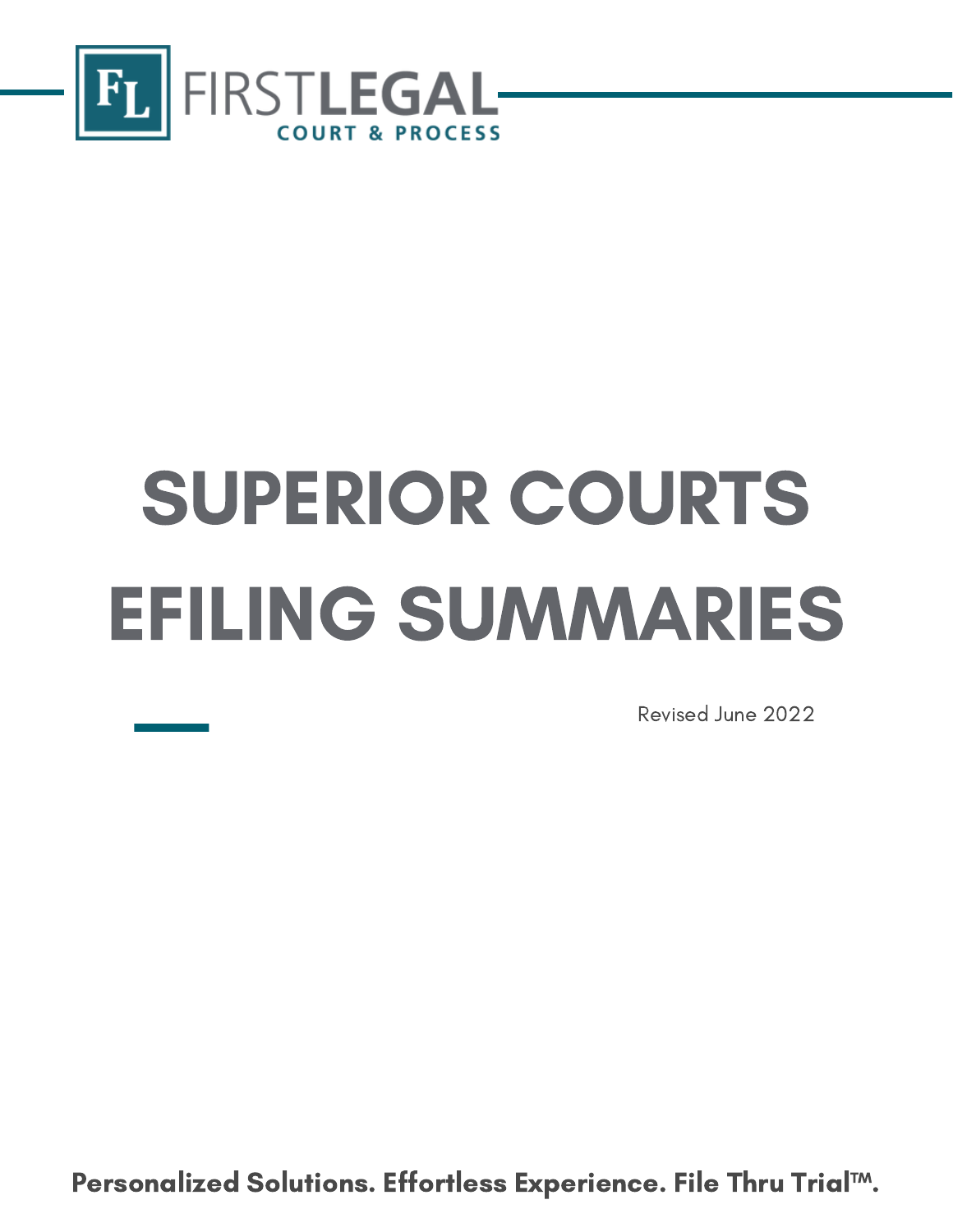

# SUPERIOR COURTS EFILING SUMMARIES

Revised June 2022

Confidential Personalized Solutions. Effortless Experience. File Thru Trial™.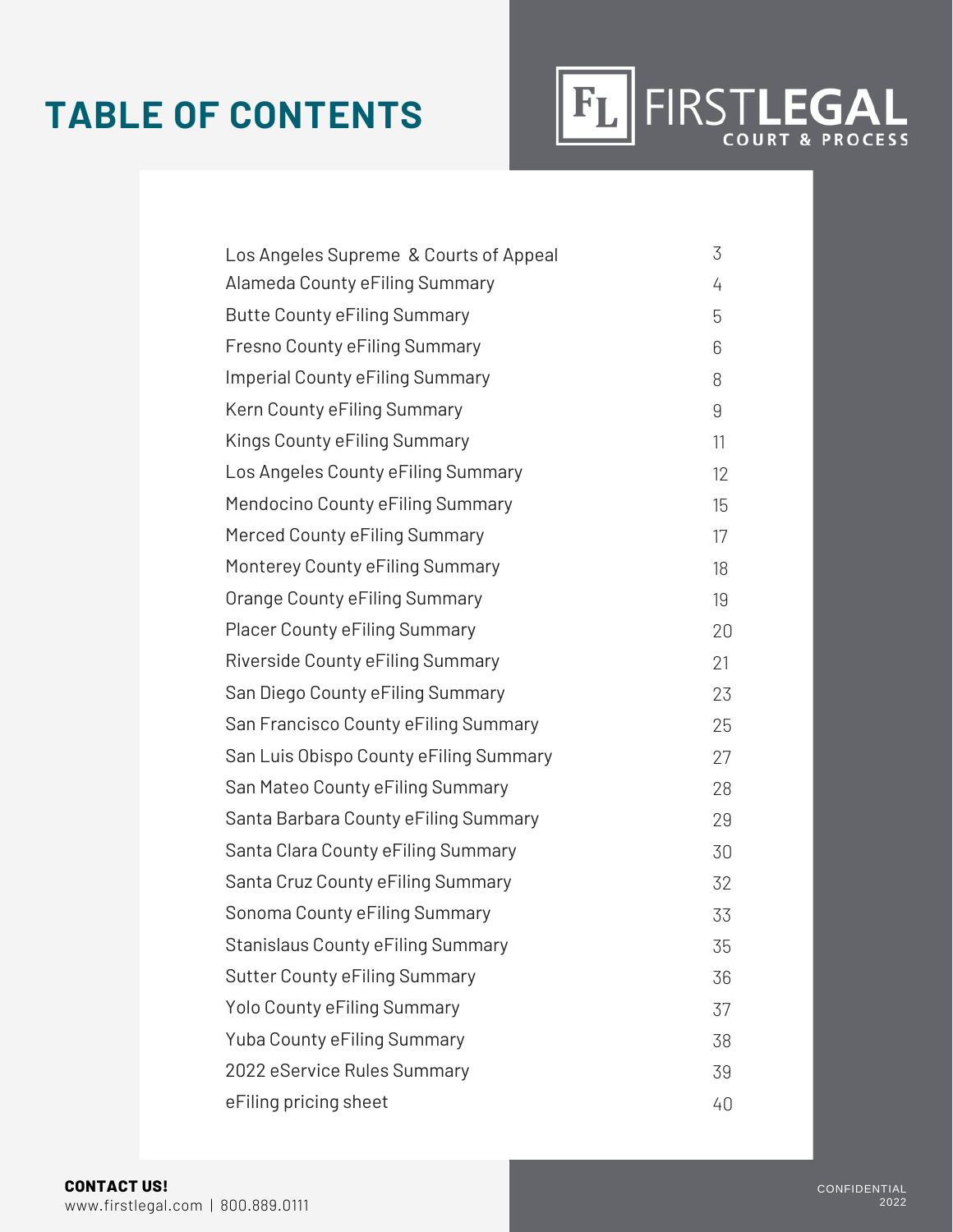### **TABLE OF CONTENTS**



| Los Angeles Supreme & Courts of Appeal | 3  |
|----------------------------------------|----|
| Alameda County eFiling Summary         | 4  |
| <b>Butte County eFiling Summary</b>    | 5  |
| Fresno County eFiling Summary          | 6  |
| Imperial County eFiling Summary        | 8  |
| Kern County eFiling Summary            | 9  |
| Kings County eFiling Summary           | 11 |
| Los Angeles County eFiling Summary     | 12 |
| Mendocino County eFiling Summary       | 15 |
| Merced County eFiling Summary          | 17 |
| Monterey County eFiling Summary        | 18 |
| Orange County eFiling Summary          | 19 |
| <b>Placer County eFiling Summary</b>   | 20 |
| Riverside County eFiling Summary       | 21 |
| San Diego County eFiling Summary       | 23 |
| San Francisco County eFiling Summary   | 25 |
| San Luis Obispo County eFiling Summary | 27 |
| San Mateo County eFiling Summary       | 28 |
| Santa Barbara County eFiling Summary   | 29 |
| Santa Clara County eFiling Summary     | 30 |
| Santa Cruz County eFiling Summary      | 32 |
| Sonoma County eFiling Summary          | 33 |
| Stanislaus County eFiling Summary      | 35 |
| <b>Sutter County eFiling Summary</b>   | 36 |
| Yolo County eFiling Summary            | 37 |
| Yuba County eFiling Summary            | 38 |
| 2022 eService Rules Summary            | 39 |
| eFiling pricing sheet                  | 40 |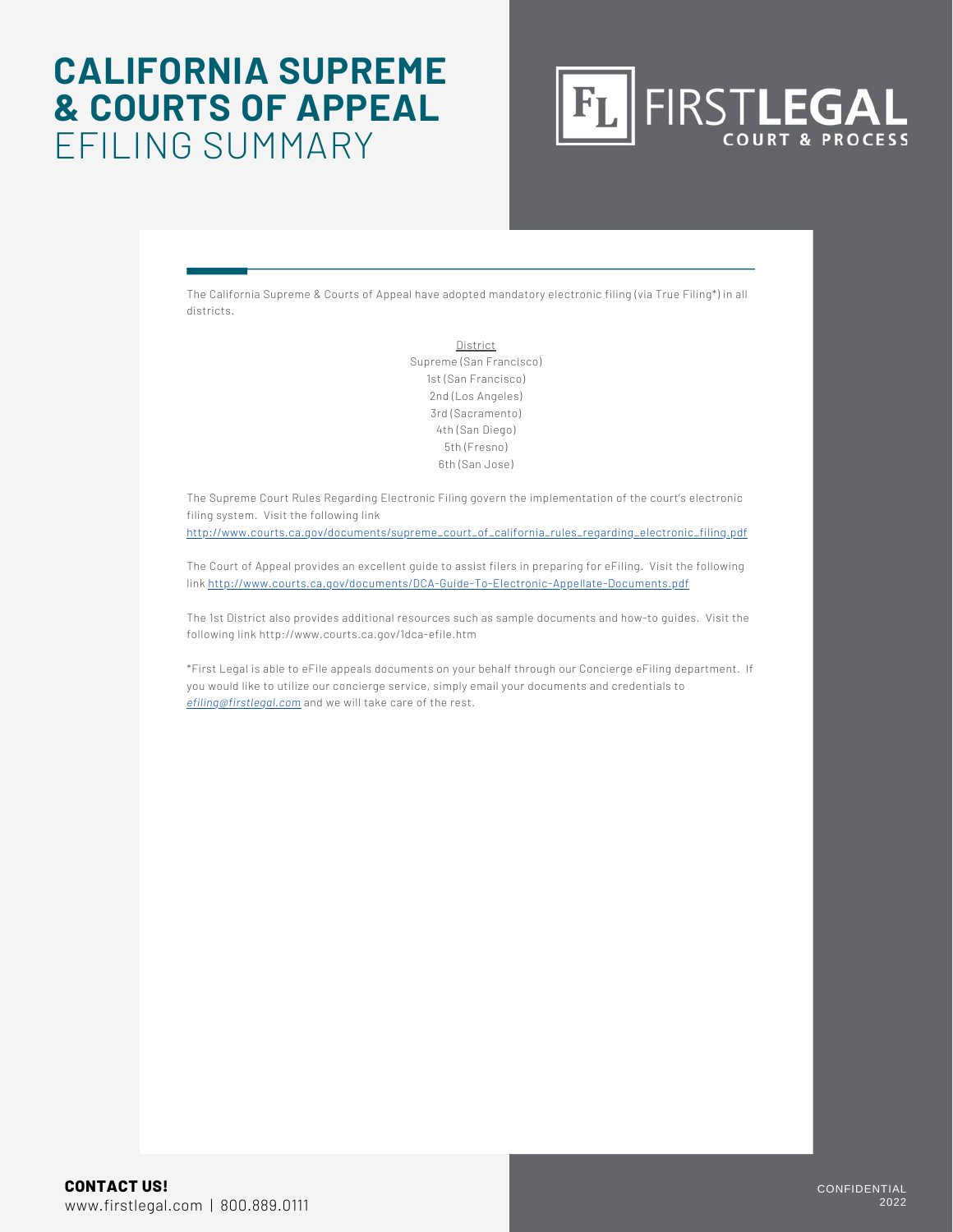### **CALIFORNIA SUPREME & COURTS OF APPEAL** EFILING SUMMARY



The California Supreme & Courts of Appeal have adopted mandatory electronic filing (via True Filing\*) in all districts.

> **District** Supreme (San Francisco) 1st (San Francisco) 2nd (Los Angeles) 3rd (Sacramento) 4th (San Diego) 5th (Fresno) 6th (San Jose)

The Supreme Court Rules Regarding Electronic Filing govern the implementation of the court's electronic filing system. Visit the following link

http://www.courts.ca.gov/documents/supreme\_court\_of\_california\_rules\_regarding\_electronic\_filing.pdf

The Court of Appeal provides an excellent guide to assist filers in preparing for eFiling. Visit the following link http://www.courts.ca.gov/documents/DCA-Guide-To-Electronic-Appellate-Documents.pdf

The 1st District also provides additional resources such as sample documents and how-to guides. Visit the following link http://www.courts.ca.gov/1dca-efile.htm

\*First Legal is able to eFile appeals documents on your behalf through our Concierge eFiling department. If you would like to utilize our concierge service, simply email your documents and credentials to *efiling@firstlegal.com* and we will take care of the rest.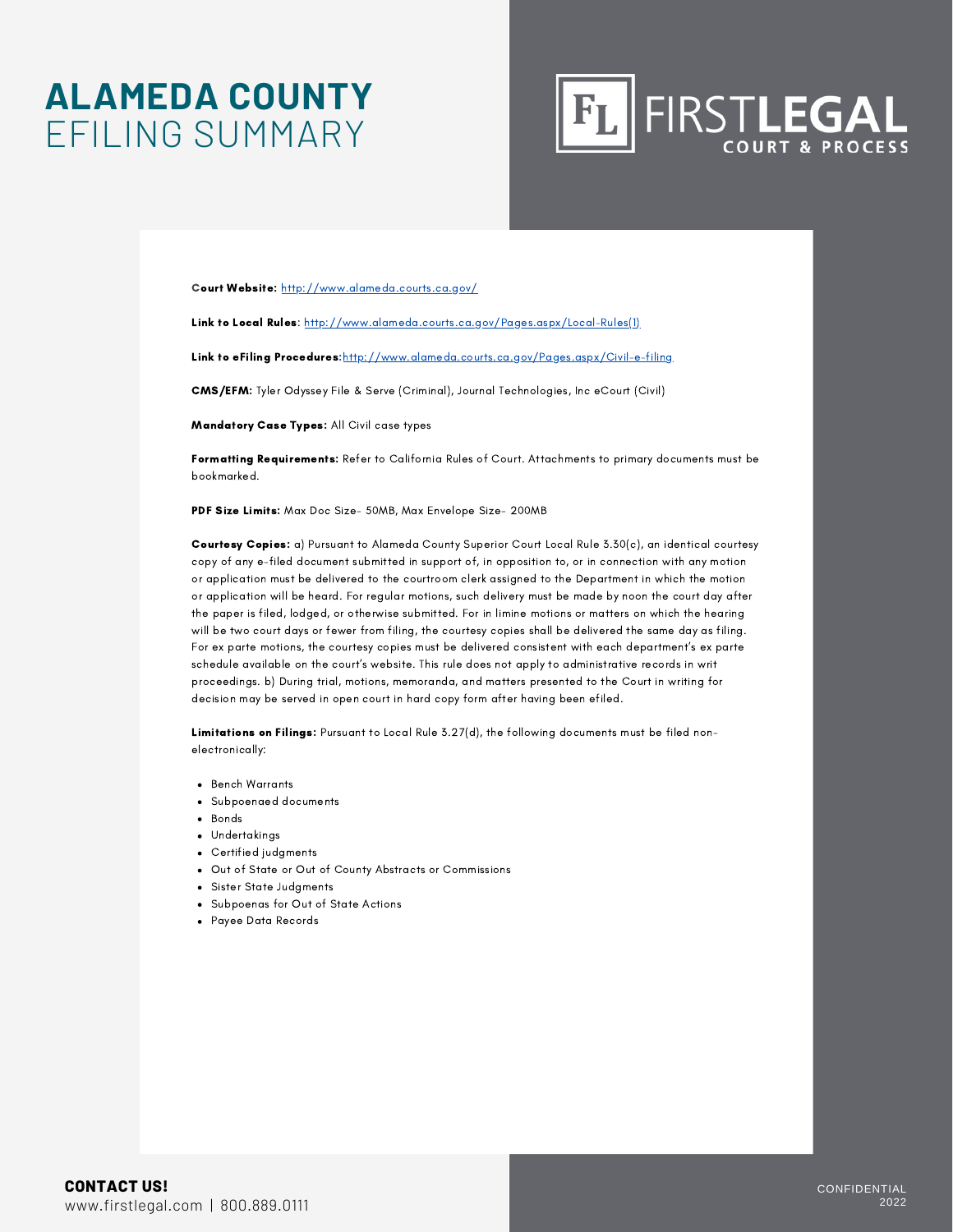### **ALAMEDA COUNTY** EFILING SUMMARY



Court Website: <http://www.alameda.courts.ca.gov/>

Link to Local Rules: [http://www.alameda.courts.ca.gov/Pages.aspx/Local-Rules\(1\)](http://www.alameda.courts.ca.gov/Pages.aspx/Local-Rules(1))

Link to eFiling Procedures: <http://www.alameda.courts.ca.gov/Pages.aspx/Civil-e-filing>

CMS/EFM: Tyler Odyssey File & Serve (Criminal), Journal Technologies, Inc eCourt (Civil)

Mandatory Case Types: All Civil case types

Formatting Requirements: Refer to California Rules of Court. Attachments to primary documents must be bookmarked.

PDF Size Limits: Max Doc Size- 50MB, Max Envelope Size- 200MB

Courtesy Copies: a) Pursuant to Alameda County Superior Court Local Rule 3.30(c), an identical courtesy copy of any e-filed document submitted in support of, in opposition to, or in connection with any motion or application must be delivered to the courtroom clerk assigned to the Department in which the motion or application will be heard. For regular motions, such delivery must be made by noon the court day after the paper is filed, lodged, or otherwise submitted. For in limine motions or matters on which the hearing will be two court days or fewer from filing, the courtesy copies shall be delivered the same day as filing. For ex parte motions, the courtesy copies must be delivered consistent with each department's ex parte schedule available on the court's website. This rule does not apply to administrative records in writ proceedings. b) During trial, motions, memoranda, and matters presented to the Court in writing for decision may be served in open court in hard copy form after having been efiled.

Limitations on Filings: Pursuant to Local Rule 3.27(d), the following documents must be filed nonelectronically:

- **•** Bench Warrants
- Subpoenaed documents
- Bonds
- Undertakings
- Certified judgments
- Out of State or Out of County Abstracts or Commissions
- Sister State Judgments
- Subpoenas for Out of State Actions
- Payee Data Records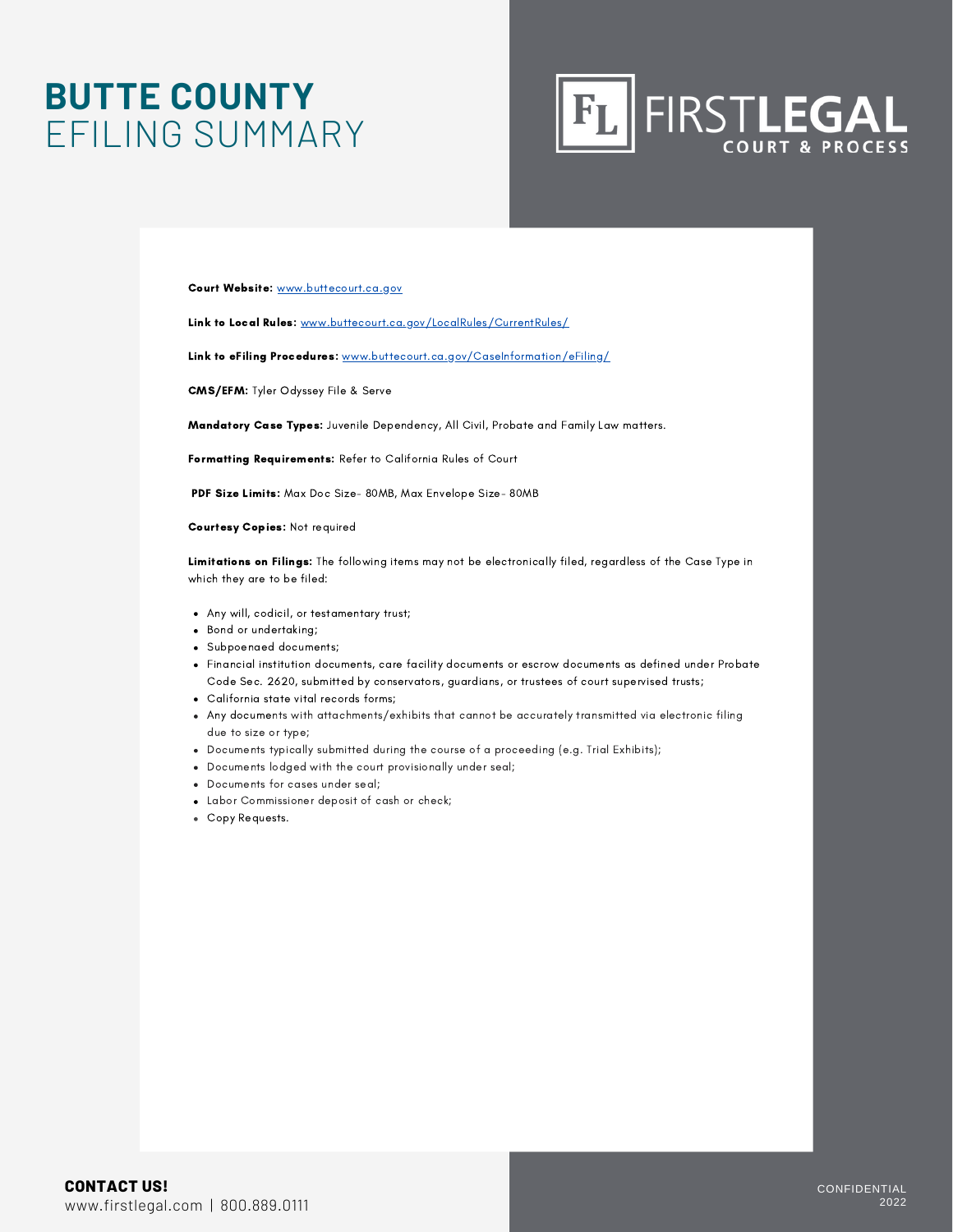### **BUTTE COUNTY** EFILING SUMMARY



Court Website: [www.buttecourt.ca.gov](http://www.buttecourt.ca.gov/)

Link to Local Rules: [www.buttecourt.ca.gov/LocalRules/CurrentRules/](http://www.buttecourt.ca.gov/LocalRules/CurrentRules/)

Link to eFiling Procedures: [www.buttecourt.ca.gov/CaseInformation/eFiling/](http://www.buttecourt.ca.gov/CaseInformation/eFiling/)

CMS/EFM: Tyler Odyssey File & Serve

Mandatory Case Types: Juvenile Dependency, All Civil, Probate and Family Law matters.

Formatting Requirements: Refer to California Rules of Court

PDF Size Limits: Max Doc Size- 80MB, Max Envelope Size- 80MB

Courtesy Copies: Not required

Limitations on Filings: The following items may not be electronically filed, regardless of the Case Type in which they are to be filed:

- Any will, codicil, or testamentary trust;
- Bond or undertaking;
- Subpoenaed documents;
- Financial institution documents, care facility documents or escrow documents as defined under Probate Code Sec. 2620, submitted by conservators, guardians, or trustees of court supervised trusts;
- California state vital records forms;
- Any documents with attachments/exhibits that cannot be accurately transmitted via electronic filing due to size or type;
- Documents typically submitted during the course of a proceeding (e.g. Trial Exhibits);
- Documents lodged with the court provisionally under seal;
- Documents for cases under seal;
- Labor Commissioner deposit of cash or check;
- Copy Requests.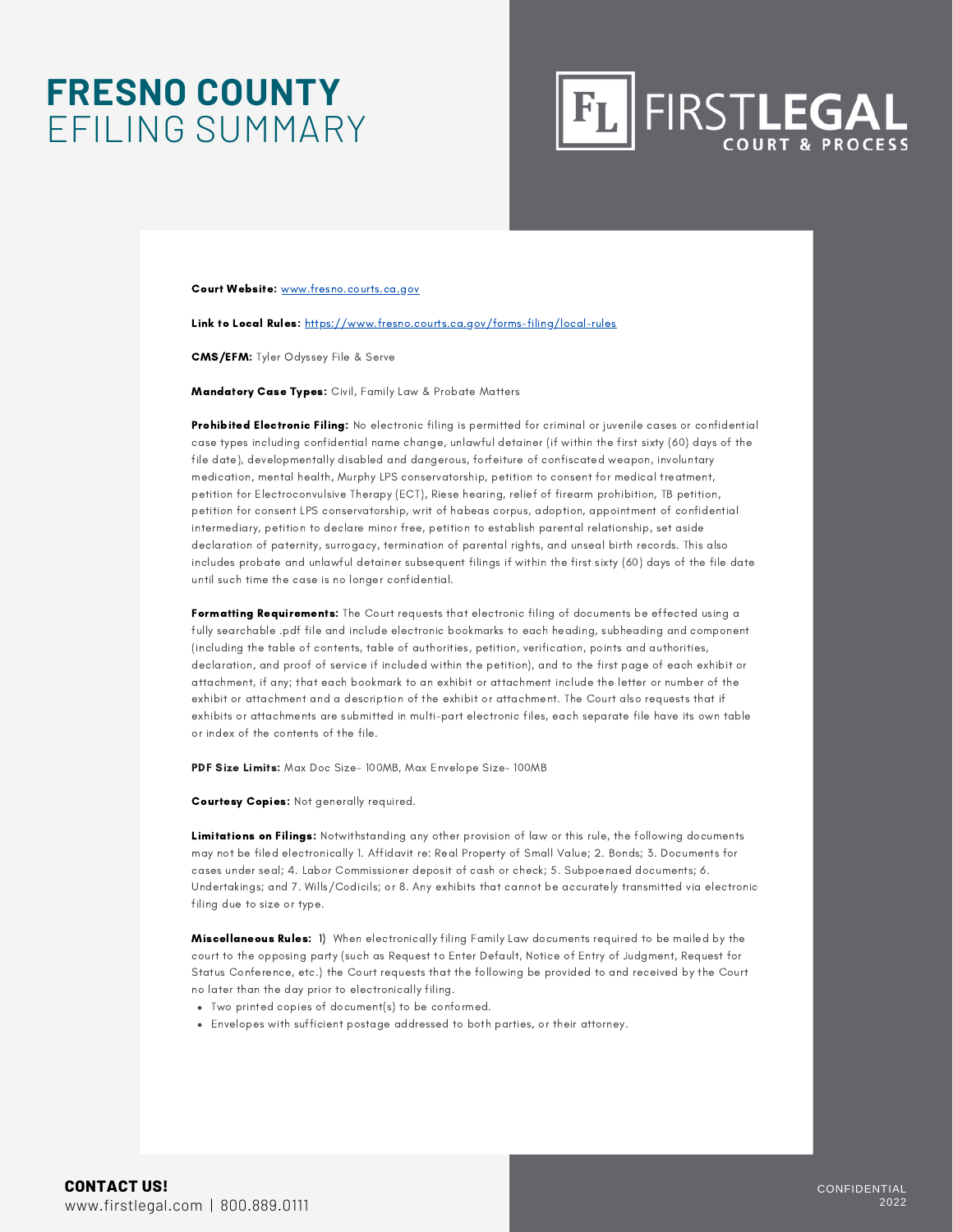### **FRESNO COUNTY** EFILING SUMMARY



Court Website: [www.fresno.courts.ca.gov](http://www.fresno.courts.ca.gov/)

Link to Local Rules: <https://www.fresno.courts.ca.gov/forms-filing/local-rules>

CMS/EFM: Tyler Odyssey File & Serve

Mandatory Case Types: Civil, Family Law & Probate Matters

Prohibited Electronic Filing: No electronic filing is permitted for criminal or juvenile cases or confidential case types including confidential name change, unlawful detainer (if within the first sixty (60) days of the file date), developmentally disabled and dangerous, forfeiture of confiscated weapon, involuntary medication, mental health, Murphy LPS conservatorship, petition to consent for medical treatment, petition for Electroconvulsive Therapy (ECT), Riese hearing, relief of firearm prohibition, TB petition, petition for consent LPS conservatorship, writ of habeas corpus, adoption, appointment of confidential intermediary, petition to declare minor free, petition to establish parental relationship, set aside declaration of paternity, surrogacy, termination of parental rights, and unseal birth records. This also includes probate and unlawful detainer subsequent filings if within the first sixty (60) days of the file date until such time the case is no longer confidential.

Formatting Requirements: The Court requests that electronic filing of documents be effected using a fully searchable .pdf file and include electronic bookmarks to each heading, subheading and component (including the table of contents, table of authorities, petition, verification, points and authorities, declaration, and proof of service if included within the petition), and to the first page of each exhibit or attachment, if any; that each bookmark to an exhibit or attachment include the letter or number of the exhibit or attachment and a description of the exhibit or attachment. The Court also requests that if exhibits or attachments are submitted in multi-part electronic files, each separate file have its own table or index of the contents of the file.

PDF Size Limits: Max Doc Size- 100MB, Max Envelope Size- 100MB

Courtesy Copies: Not generally required.

Limitations on Filings: Notwithstanding any other provision of law or this rule, the following documents may not be filed electronically 1. Affidavit re: Real Property of Small Value; 2. Bonds; 3. Documents for cases under seal; 4. Labor Commissioner deposit of cash or check; 5. Subpoenaed documents; 6. Undertakings; and 7. Wills/Codicils; or 8. Any exhibits that cannot be accurately transmitted via electronic filing due to size or type.

Miscellaneous Rules: 1) When electronically filing Family Law documents required to be mailed by the court to the opposing party (such as Request to Enter Default, Notice of Entry of Judgment, Request for Status Conference, etc.) the Court requests that the following be provided to and received by the Court no later than the day prior to electronically filing.

- Two printed copies of document(s) to be conformed.
- Envelopes with sufficient postage addressed to both parties, or their attorney.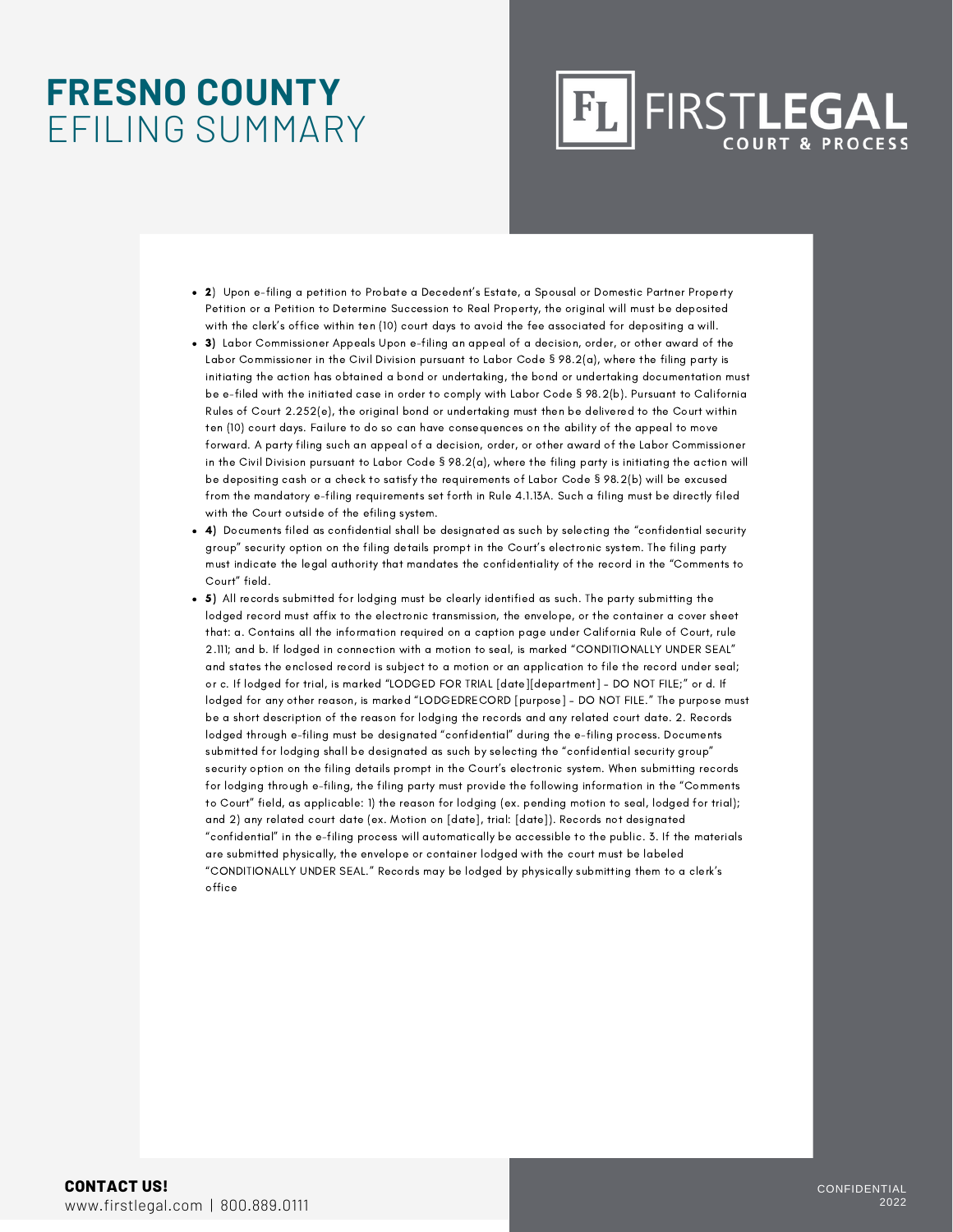### **FRESNO COUNTY** EFILING SUMMARY

## **FIRSTLEGAL**

- 2) Upon e-filing a petition to Probate a Decedent's Estate, a Spousal or Domestic Partner Property Petition or a Petition to Determine Succession to Real Property, the original will must be deposited with the clerk's office within ten (10) court days to avoid the fee associated for depositing a will.
- 3) Labor Commissioner Appeals Upon e-filing an appeal of a decision, order, or other award of the Labor Commissioner in the Civil Division pursuant to Labor Code § 98.2(a), where the filing party is initiating the action has obtained a bond or undertaking, the bond or undertaking documentation must be e-filed with the initiated case in order to comply with Labor Code § 98.2(b). Pursuant to California Rules of Court 2.252(e), the original bond or undertaking must then be delivered to the Court within ten (10) court days. Failure to do so can have consequences on the ability of the appeal to move forward. A party filing such an appeal of a decision, order, or other award of the Labor Commissioner in the Civil Division pursuant to Labor Code § 98.2(a), where the filing party is initiating the action will be depositing cash or a check to satisfy the requirements of Labor Code § 98.2(b) will be excused from the mandatory e-filing requirements set forth in Rule 4.1.13A. Such a filing must be directly filed with the Court outside of the efiling system.
- 4) Documents filed as confidential shall be designated as such by selecting the "confidential security group" security option on the filing details prompt in the Court's electronic system. The filing party must indicate the legal authority that mandates the confidentiality of the record in the "Comments to Court" field.
- 5) All records submitted for lodging must be clearly identified as such. The party submitting the lodged record must affix to the electronic transmission, the envelope, or the container a cover sheet that: a. Contains all the information required on a caption page under California Rule of Court, rule 2.111; and b. If lodged in connection with a motion to seal, is marked "CONDITIONALLY UNDER SEAL" and states the enclosed record is subject to a motion or an application to file the record under seal; or c. If lodged for trial, is marked "LODGED FOR TRIAL [date][department] – DO NOT FILE;" or d. If lodged for any other reason, is marked "LODGEDRECORD [purpose] – DO NOT FILE." The purpose must be a short description of the reason for lodging the records and any related court date. 2. Records lodged through e-filing must be designated "confidential" during the e-filing process. Documents submitted for lodging shall be designated as such by selecting the "confidential security group" security option on the filing details prompt in the Court's electronic system. When submitting records for lodging through e-filing, the filing party must provide the following information in the "Comments to Court" field, as applicable: 1) the reason for lodging (ex. pending motion to seal, lodged for trial); and 2) any related court date (ex. Motion on [date], trial: [date]). Records not designated "confidential" in the e-filing process will automatically be accessible to the public. 3. If the materials are submitted physically, the envelope or container lodged with the court must be labeled "CONDITIONALLY UNDER SEAL." Records may be lodged by physically submitting them to a clerk's office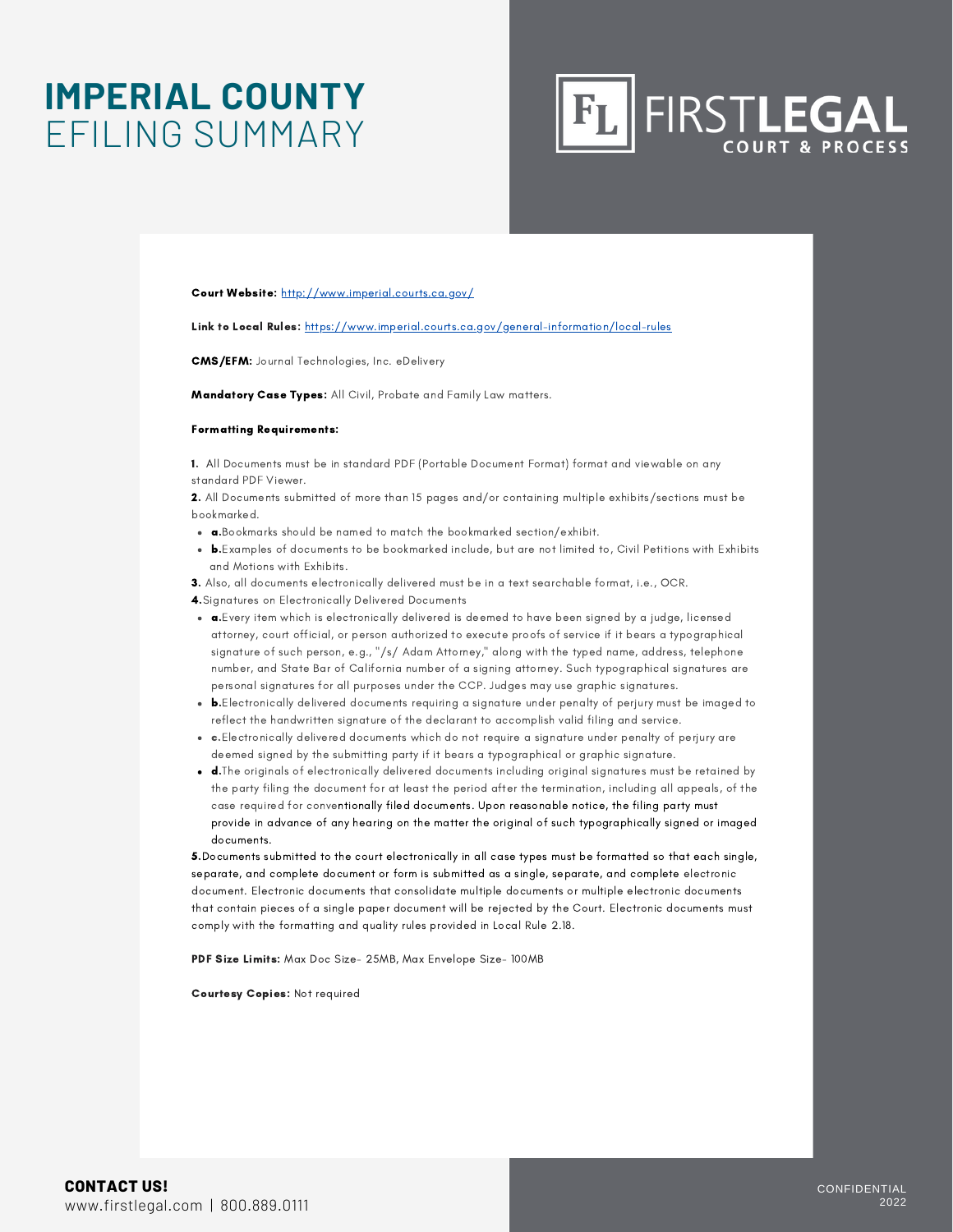### **IMPERIAL COUNTY** EFILING SUMMARY

**FL FIRSTLEGAL** 

Court Website: http://www.imperial.courts.ca.gov/

Link to Local Rules: https://www.imperial.courts.ca.gov/general-information/local-rules

CMS/EFM: Journal Technologies, Inc. eDelivery

Mandatory Case Types: All Civil, Probate and Family Law matters.

#### Formatting Requirements:

1. All Documents must be in standard PDF (Portable Document Format) format and viewable on any standard PDF Viewer.

2. All Documents submitted of more than 15 pages and/or containing multiple exhibits/sections must be bookmarked.

- a.Bookmarks should be named to match the bookmarked section/exhibit.
- b.Examples of documents to be bookmarked include, but are not limited to, Civil Petitions with Exhibits and Motions with Exhibits.

3. Also, all documents electronically delivered must be in a text searchable format, i.e., OCR. 4.Signatures on Electronically Delivered Documents

- $\bullet$   $\bullet$ . Every item which is electronically delivered is deemed to have been signed by a judge, licensed attorney, court official, or person authorized to execute proofs of service if it bears a typographical signature of such person, e.g., "/s/ Adam Attorney," along with the typed name, address, telephone number, and State Bar of California number of a signing attorney. Such typographical signatures are personal signatures for all purposes under the CCP. Judges may use graphic signatures.
- b.Electronically delivered documents requiring a signature under penalty of perjury must be imaged to reflect the handwritten signature of the declarant to accomplish valid filing and service.
- c.Electronically delivered documents which do not require a signature under penalty of perjury are deemed signed by the submitting party if it bears a typographical or graphic signature.
- d.The originals of electronically delivered documents including original signatures must be retained by the party filing the document for at least the period after the termination, including all appeals, of the case required for conventionally filed documents. Upon reasonable notice, the filing party must provide in advance of any hearing on the matter the original of such typographically signed or imaged documents.

5.Documents submitted to the court electronically in all case types must be formatted so that each single, separate, and complete document or form is submitted as a single, separate, and complete electronic document. Electronic documents that consolidate multiple documents or multiple electronic documents that contain pieces of a single paper document will be rejected by the Court. Electronic documents must comply with the formatting and quality rules provided in Local Rule 2.18.

PDF Size Limits: Max Doc Size- 25MB, Max Envelope Size- 100MB

Courtesy Copies: Not required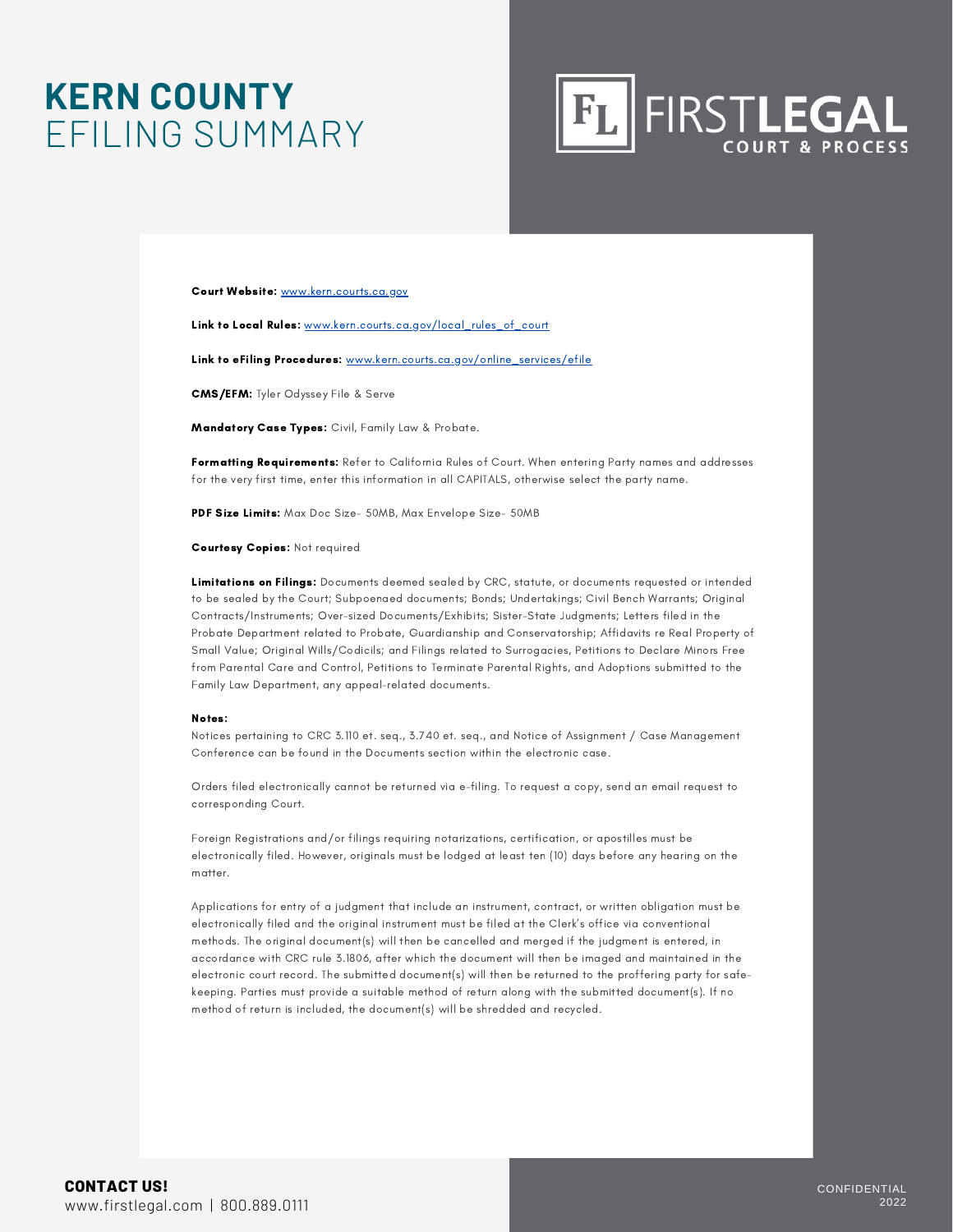### **KERN COUNTY** EFILING SUMMARY



Court Website: [www.kern.courts.ca.gov](http://www.kern.courts.ca.gov/)

Link to Local Rules: [www.kern.courts.ca.gov/local\\_rules\\_of\\_court](http://www.kern.courts.ca.gov/local_rules_of_court)

Link to eFiling Procedures: [www.kern.courts.ca.gov/online\\_services/efile](http://www.kern.courts.ca.gov/online_services/efile)

CMS/EFM: Tyler Odyssey File & Serve

Mandatory Case Types: Civil, Family Law & Probate.

Formatting Requirements: Refer to California Rules of Court. When entering Party names and addresses for the very first time, enter this information in all CAPITALS, otherwise select the party name.

PDF Size Limits: Max Doc Size- 50MB, Max Envelope Size- 50MB

Courtesy Copies: Not required

Limitations on Filings: Documents deemed sealed by CRC, statute, or documents requested or intended to be sealed by the Court; Subpoenaed documents; Bonds; Undertakings; Civil Bench Warrants; Original Contracts/Instruments; Over-sized Documents/Exhibits; Sister-State Judgments; Letters filed in the Probate Department related to Probate, Guardianship and Conservatorship; Affidavits re Real Property of Small Value; Original Wills/Codicils; and Filings related to Surrogacies, Petitions to Declare Minors Free from Parental Care and Control, Petitions to Terminate Parental Rights, and Adoptions submitted to the Family Law Department, any appeal-related documents.

#### Notes:

Notices pertaining to CRC 3.110 et. seq., 3.740 et. seq., and Notice of Assignment / Case Management Conference can be found in the Documents section within the electronic case.

Orders filed electronically cannot be returned via e-filing. To request a copy, send an email request to corresponding Court.

Foreign Registrations and/or filings requiring notarizations, certification, or apostilles must be electronically filed. However, originals must be lodged at least ten (10) days before any hearing on the matter.

Applications for entry of a judgment that include an instrument, contract, or written obligation must be electronically filed and the original instrument must be filed at the Clerk's office via conventional methods. The original document(s) will then be cancelled and merged if the judgment is entered, in accordance with CRC rule 3.1806, after which the document will then be imaged and maintained in the electronic court record. The submitted document(s) will then be returned to the proffering party for safekeeping. Parties must provide a suitable method of return along with the submitted document(s). If no method of return is included, the document(s) will be shredded and recycled.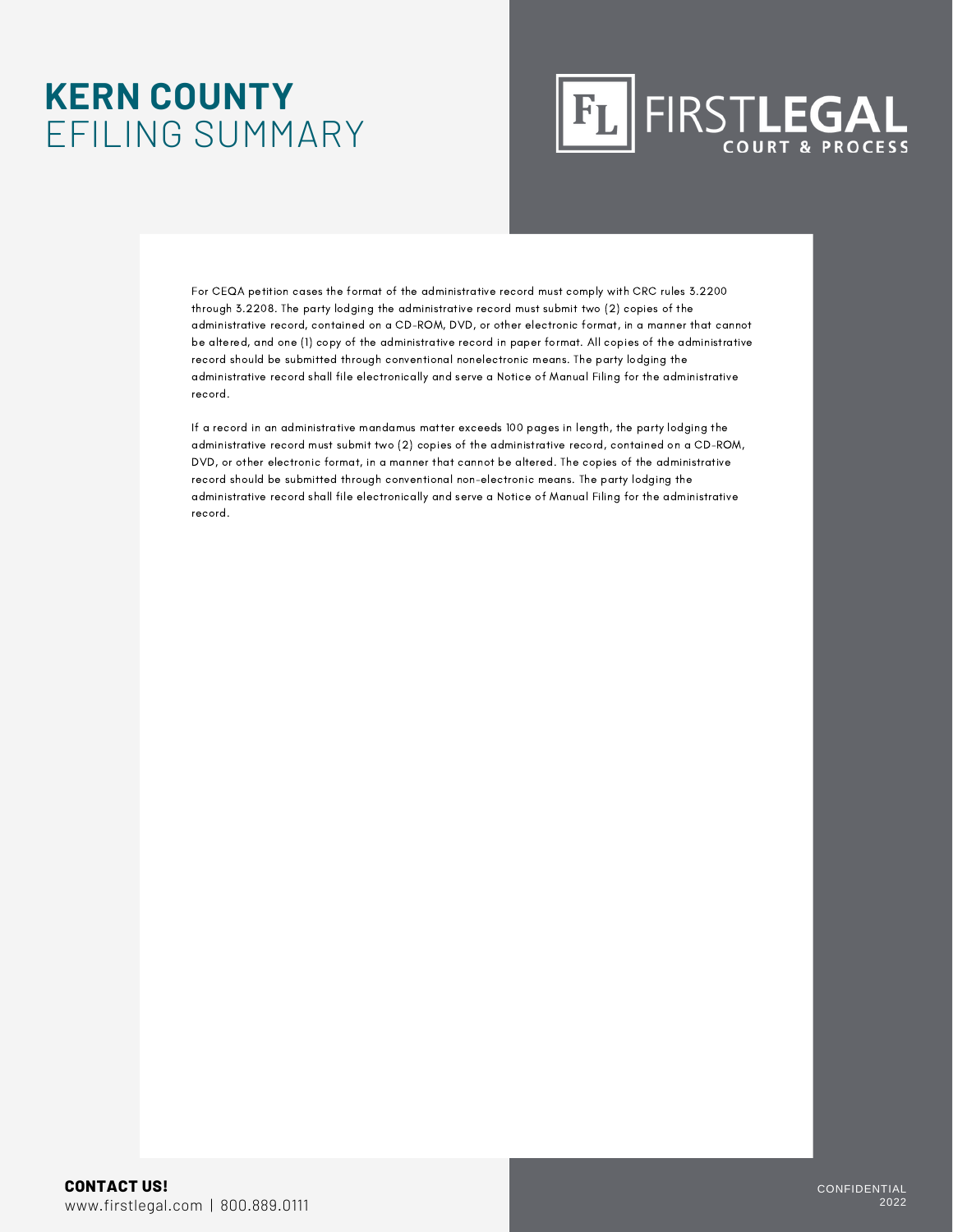### **KERN COUNTY** EFILING SUMMARY

## **FL FIRSTLEGAL**

For CEQA petition cases the format of the administrative record must comply with CRC rules 3.2200 through 3.2208. The party lodging the administrative record must submit two (2) copies of the administrative record, contained on a CD-ROM, DVD, or other electronic format, in a manner that cannot be altered, and one (1) copy of the administrative record in paper format. All copies of the administrative record should be submitted through conventional nonelectronic means. The party lodging the administrative record shall file electronically and serve a Notice of Manual Filing for the administrative record.

If a record in an administrative mandamus matter exceeds 100 pages in length, the party lodging the administrative record must submit two (2) copies of the administrative record, contained on a CD-ROM, DVD, or other electronic format, in a manner that cannot be altered. The copies of the administrative record should be submitted through conventional non-electronic means. The party lodging the administrative record shall file electronically and serve a Notice of Manual Filing for the administrative record.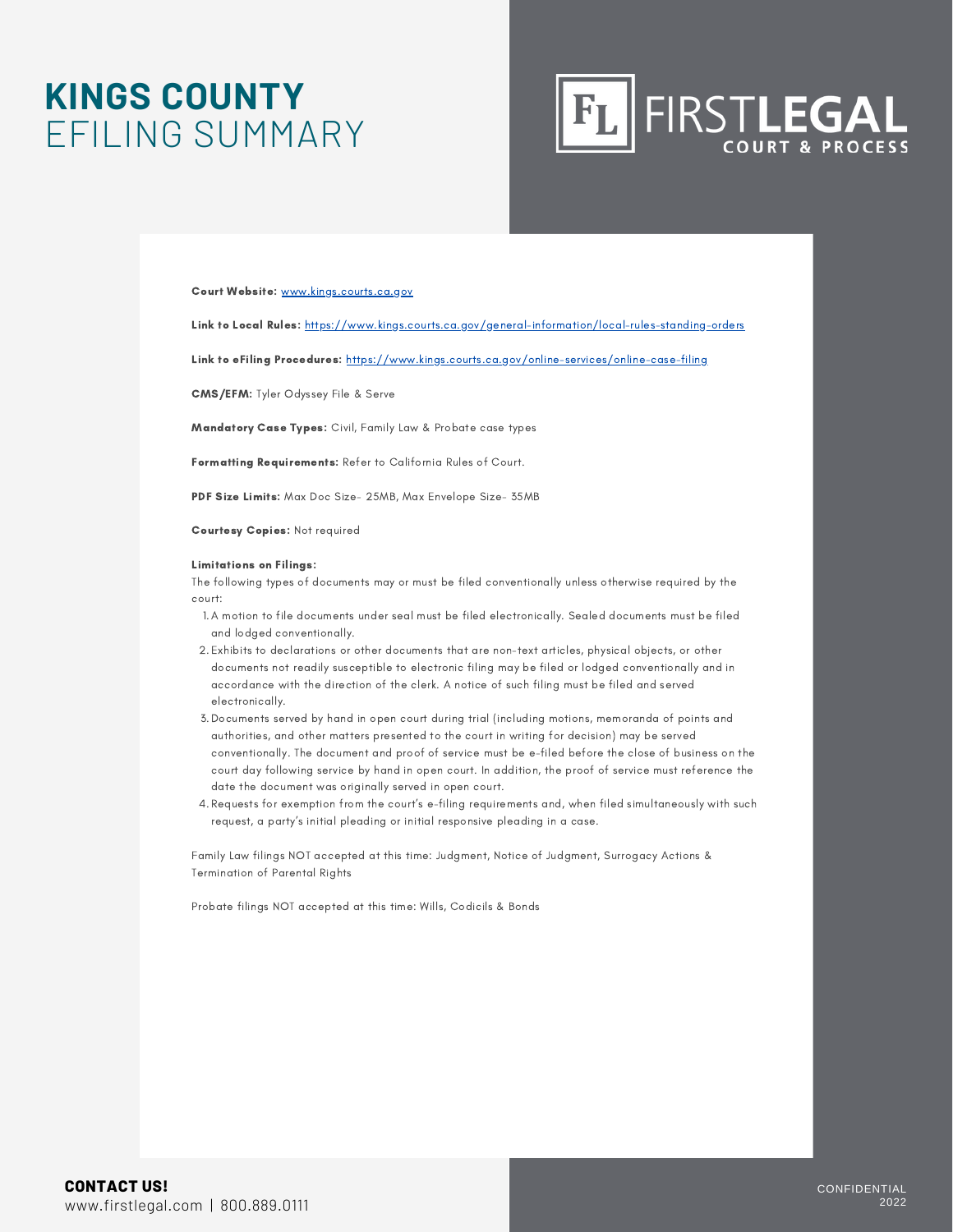### **KINGS COUNTY** EFILING SUMMARY



#### Court Website: www.kings.courts.ca.gov

Link to Local Rules: https://www.kings.courts.ca.gov/general-information/local-rules-standing-orders

Link to eFiling Procedures: https://www.kings.courts.ca.gov/online-services/online-case-filing

CMS/EFM: Tyler Odyssey File & Serve

Mandatory Case Types: Civil, Family Law & Probate case types

Formatting Requirements: Refer to California Rules of Court.

PDF Size Limits: Max Doc Size- 25MB, Max Envelope Size- 35MB

Courtesy Copies: Not required

#### Limitations on Filings:

The following types of documents may or must be filed conventionally unless otherwise required by the court:

- A motion to file documents under seal must be filed electronically. Sealed documents must be filed 1. and lodged conventionally.
- Exhibits to declarations or other documents that are non-text articles, physical objects, or other 2. documents not readily susceptible to electronic filing may be filed or lodged conventionally and in accordance with the direction of the clerk. A notice of such filing must be filed and served electronically.
- Documents served by hand in open court during trial (including motions, memoranda of points and 3. authorities, and other matters presented to the court in writing for decision) may be served conventionally. The document and proof of service must be e-filed before the close of business on the court day following service by hand in open court. In addition, the proof of service must reference the date the document was originally served in open court.
- Requests for exemption from the court's e-filing requirements and, when filed simultaneously with such 4. request, a party's initial pleading or initial responsive pleading in a case.

Family Law filings NOT accepted at this time: Judgment, Notice of Judgment, Surrogacy Actions & Termination of Parental Rights

Probate filings NOT accepted at this time: Wills, Codicils & Bonds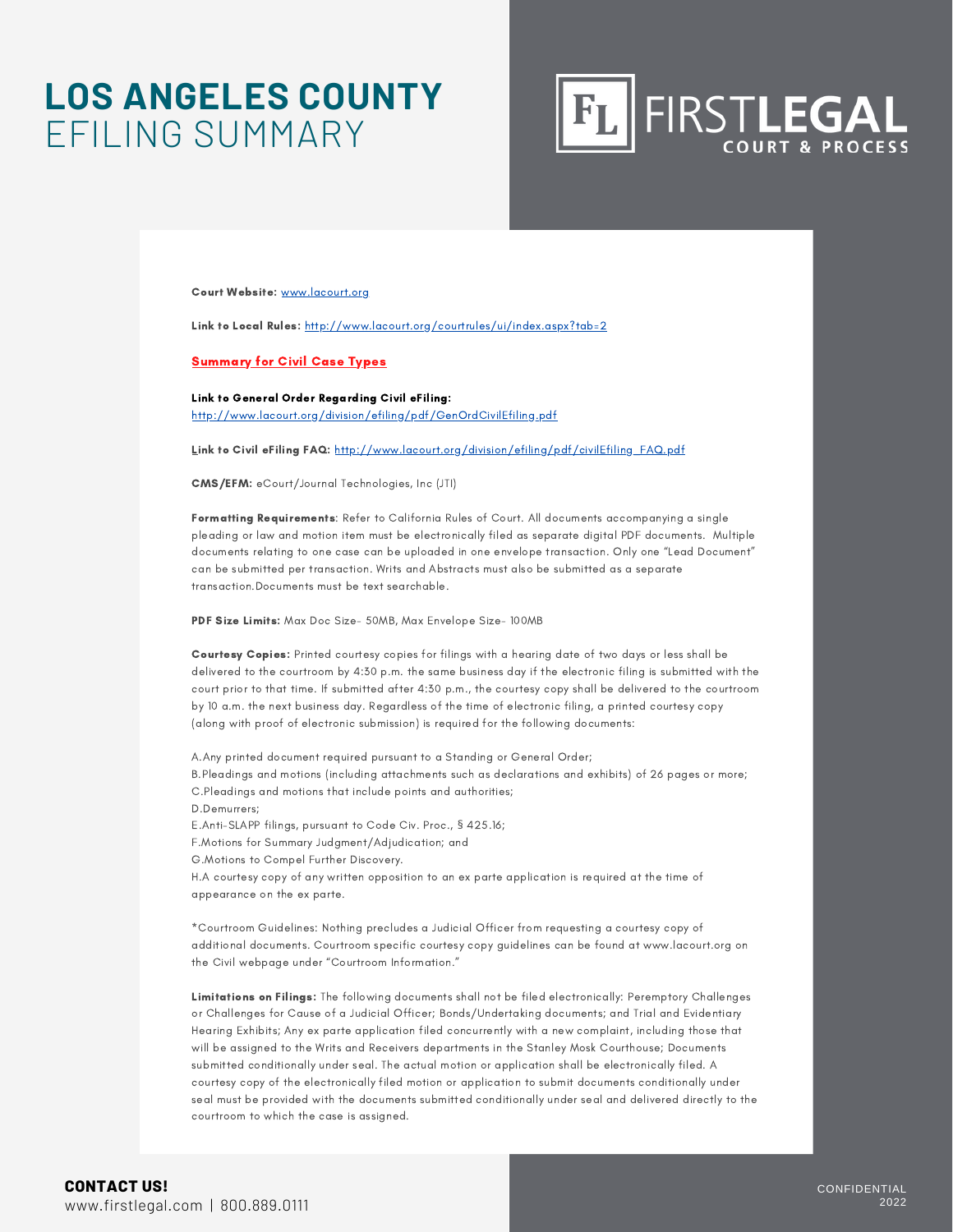### **LOS ANGELES COUNTY** EFILING SUMMARY



Court Website: [www.lacourt.org](http://www.lacourt.org/)

Link to Local Rules: <http://www.lacourt.org/courtrules/ui/index.aspx?tab=2>

#### Summary for Civil Case Types

Link to General Order Regarding Civil eFiling: <http://www.lacourt.org/division/efiling/pdf/GenOrdCivilEfiling.pdf>

Link to Civil eFiling FAQ: [http://www.lacourt.org/division/efiling/pdf/civilEfiling\\_FAQ.pdf](http://www.lacourt.org/division/efiling/pdf/civilEfiling_FAQ.pdf)

CMS/EFM: eCourt/Journal Technologies, Inc (JTI)

Formatting Requirements: Refer to California Rules of Court. All documents accompanying a single pleading or law and motion item must be electronically filed as separate digital PDF documents. Multiple documents relating to one case can be uploaded in one envelope transaction. Only one "Lead Document" can be submitted per transaction. Writs and Abstracts must also be submitted as a separate transaction.Documents must be text searchable.

PDF Size Limits: Max Doc Size- 50MB, Max Envelope Size- 100MB

Courtesy Copies: Printed courtesy copies for filings with a hearing date of two days or less shall be delivered to the courtroom by 4:30 p.m. the same business day if the electronic filing is submitted with the court prior to that time. If submitted after 4:30 p.m., the courtesy copy shall be delivered to the courtroom by 10 a.m. the next business day. Regardless of the time of electronic filing, a printed courtesy copy (along with proof of electronic submission) is required for the following documents:

A.Any printed document required pursuant to a Standing or General Order;

B.Pleadings and motions (including attachments such as declarations and exhibits) of 26 pages or more; C.Pleadings and motions that include points and authorities;

D.Demurrers;

E.Anti-SLAPP filings, pursuant to Code Civ. Proc., § 425.16;

F.Motions for Summary Judgment/Adjudication; and

G.Motions to Compel Further Discovery.

H.A courtesy copy of any written opposition to an ex parte application is required at the time of appearance on the ex parte.

\*Courtroom Guidelines: Nothing precludes a Judicial Officer from requesting a courtesy copy of additional documents. Courtroom specific courtesy copy guidelines can be found at www.lacourt.org on the Civil webpage under "Courtroom Information."

Limitations on Filings: The following documents shall not be filed electronically: Peremptory Challenges or Challenges for Cause of a Judicial Officer; Bonds/Undertaking documents; and Trial and Evidentiary Hearing Exhibits; Any ex parte application filed concurrently with a new complaint, including those that will be assigned to the Writs and Receivers departments in the Stanley Mosk Courthouse; Documents submitted conditionally under seal. The actual motion or application shall be electronically filed. A courtesy copy of the electronically filed motion or application to submit documents conditionally under seal must be provided with the documents submitted conditionally under seal and delivered directly to the courtroom to which the case is assigned.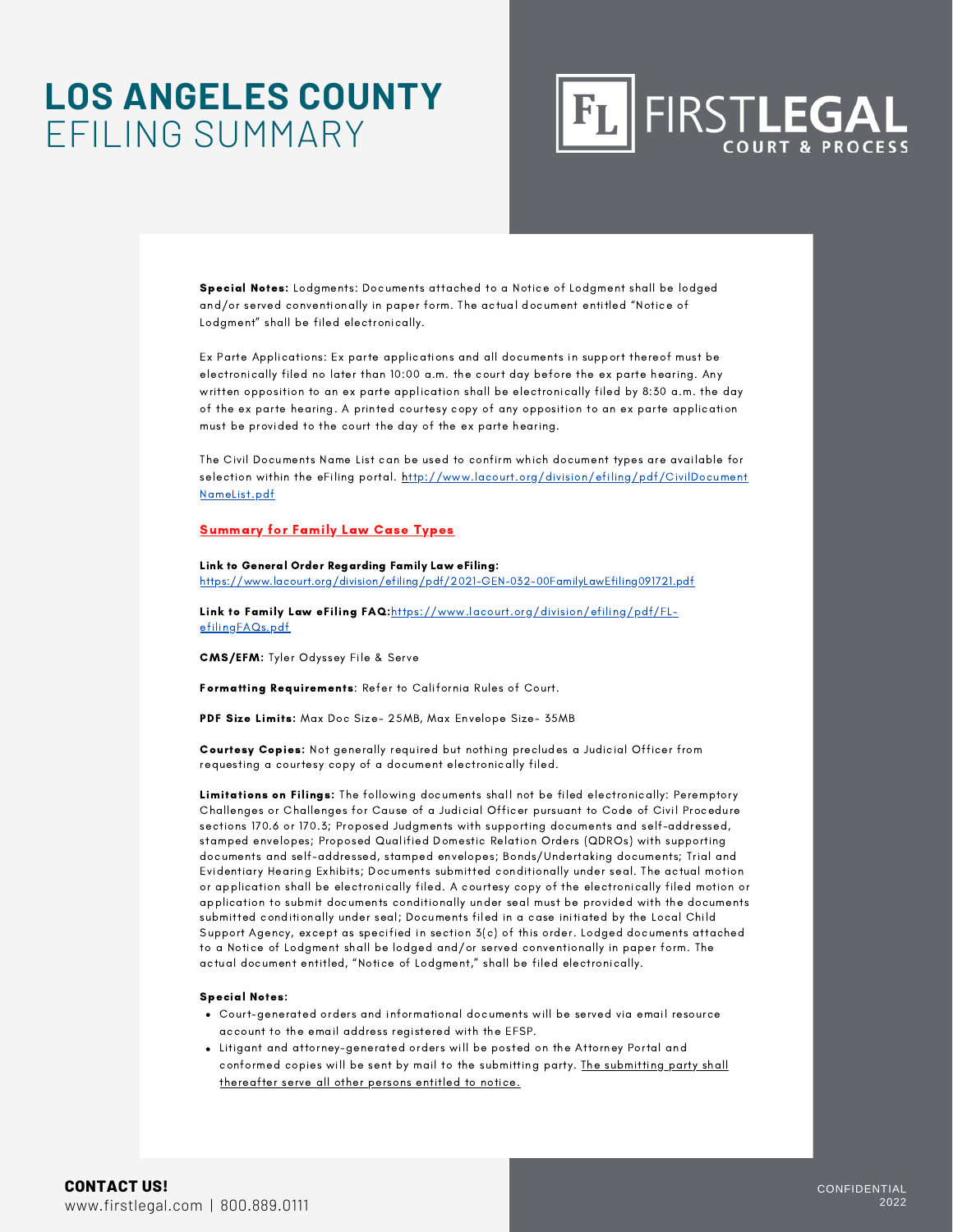### **LOS ANGELES COUNTY** EFILING SUMMARY



Special Notes: Lodgments: Documents attached to a Notice of Lodgment shall be lodged and/or served conventionally in paper form. The actual document entitled "Notice of Lodgment" shall be filed electronically.

Ex Parte Applications: Ex parte applications and all documents in support thereof must be electronically filed no later than 10:00 a.m. the court day before the ex parte hearing. Any written opposition to an ex parte application shall be electronically filed by 8:30 a.m. the day of the ex parte hearing. A printed courtesy copy of any opposition to an ex parte application must be provided to the court the day of the ex parte hearing.

The Civil Documents Name List can be used to confirm which document types are available for selection within the eFiling portal. http://www.lacourt.org/division/efiling/pdf/CivilDocument NameList.pdf

#### Summary for Family Law Case Types

#### Link to General Order Regarding Family Law eFiling:

https://www.lacourt.org/division/efiling/pdf/2021-GEN-032-00FamilyLawEfiling091721.pdf

Link to Family Law eFiling FAQ:https://www.lacourt.org/division/efiling/pdf/FLefilingFAQs.pdf

CMS/EFM: Tyler Odyssey File & Serve

Formatting Requirements: Refer to California Rules of Court.

PDF Size Limits: Max Doc Size- 25MB, Max Envelope Size- 35MB

Courtesy Copies: Not generally required but nothing precludes a Judicial Officer from requesting a courtesy copy of a document electronically filed.

Limitations on Filings: The following documents shall not be filed electronically: Peremptory Challenges or Challenges for Cause of a Judicial Officer pursuant to Code of Civil Procedure sections 170.6 or 170.3; Proposed Judgments with supporting documents and self-addressed, stamped envelopes; Proposed Qualified Domestic Relation Orders (QDROs) with supporting documents and self-addressed, stamped envelopes; Bonds/Undertaking documents; Trial and Evidentiary Hearing Exhibits; Documents submitted conditionally under seal. The actual motion or application shall be electronically filed. A courtesy copy of the electronically filed motion or application to submit documents conditionally under seal must be provided with the documents submitted conditionally under seal; Documents filed in a case initiated by the Local Child Support Agency, except as specified in section 3(c) of this order. Lodged documents attached to a Notice of Lodgment shall be lodged and/or served conventionally in paper form. The actual document entitled, "Notice of Lodgment," shall be filed electronically.

#### Special Notes:

- Court-generated orders and informational documents will be served via email resource account to the email address registered with the EFSP.
- Litigant and attorney-generated orders will be posted on the Attorney Portal and conformed copies will be sent by mail to the submitting party. The submitting party shall thereafter serve all other persons entitled to notice.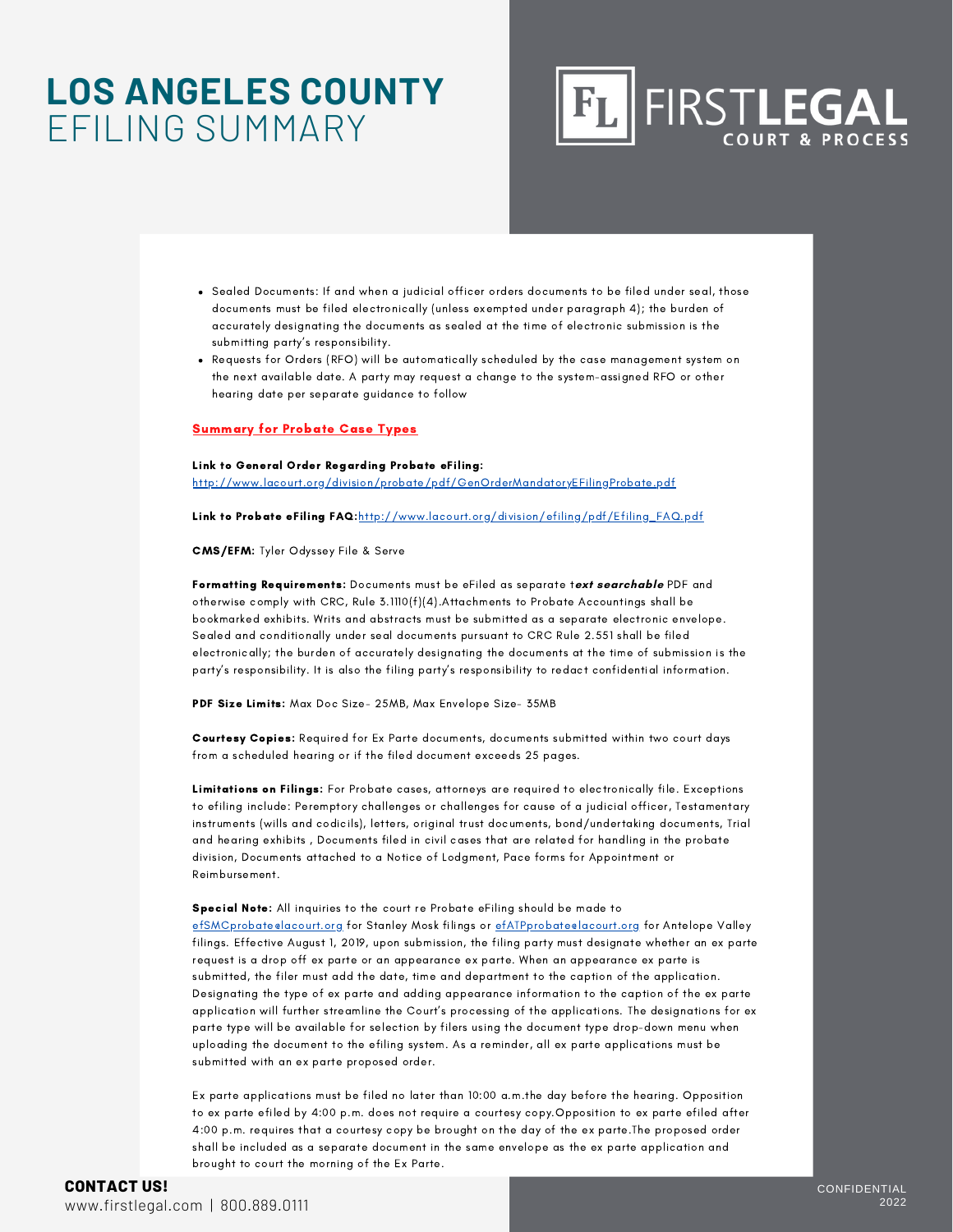### **LOS ANGELES COUNTY** EFILING SUMMARY



- Sealed Documents: If and when a judicial officer orders documents to be filed under seal, those documents must be filed electronically (unless exempted under paragraph 4); the burden of accurately designating the documents as sealed at the time of electronic submission is the submitting party's responsibility.
- Requests for Orders (RFO) will be automatically scheduled by the case management system on the next available date. A party may request a change to the system-assigned RFO or other hearing date per separate guidance to follow

#### Summary for Probate Case Types

#### Link to General Order Regarding Probate eFiling:

http://www.lacourt.org/division/probate/pdf/GenOrderMandatoryEFilingProbate.pdf

Link to Probate eFiling FAQ:http://www.lacourt.org/division/efiling/pdf/Efiling\_FAQ.pdf

CMS/EFM: Tyler Odyssey File & Serve

Formatting Requirements: Documents must be eFiled as separate t**ext searchable** PDF and otherwise comply with CRC, Rule 3.1110(f)(4).Attachments to Probate Accountings shall be bookmarked exhibits. Writs and abstracts must be submitted as a separate electronic envelope. Sealed and conditionally under seal documents pursuant to CRC Rule 2.551 shall be filed electronically; the burden of accurately designating the documents at the time of submission is the party's responsibility. It is also the filing party's responsibility to redact confidential information.

PDF Size Limits: Max Doc Size- 25MB, Max Envelope Size- 35MB

Courtesy Copies: Required for Ex Parte documents, documents submitted within two court days from a scheduled hearing or if the filed document exceeds 25 pages.

Limitations on Filings: For Probate cases, attorneys are required to electronically file. Exceptions to efiling include: Peremptory challenges or challenges for cause of a judicial officer, Testamentary instruments (wills and codicils), letters, original trust documents, bond/undertaking documents, Trial and hearing exhibits , Documents filed in civil cases that are related for handling in the probate division, Documents attached to a Notice of Lodgment, Pace forms for Appointment or Reimbursement.

Special Note: All inquiries to the court re Probate eFiling should be made to efSMCprobate@lacourt.org for Stanley Mosk filings or efATPprobate@lacourt.org for Antelope Valley filings. Effective August 1, 2019, upon submission, the filing party must designate whether an ex parte request is a drop off ex parte or an appearance ex parte. When an appearance ex parte is submitted, the filer must add the date, time and department to the caption of the application. Designating the type of ex parte and adding appearance information to the caption of the ex parte application will further streamline the Court's processing of the applications. The designations for ex parte type will be available for selection by filers using the document type drop-down menu when uploading the document to the efiling system. As a reminder, all ex parte applications must be submitted with an ex parte proposed order.

Ex parte applications must be filed no later than 10:00 a.m.the day before the hearing. Opposition to ex parte efiled by 4:00 p.m. does not require a courtesy copy.Opposition to ex parte efiled after 4:00 p.m. requires that a courtesy copy be brought on the day of the ex parte.The proposed order shall be included as a separate document in the same envelope as the ex parte application and brought to court the morning of the Ex Parte.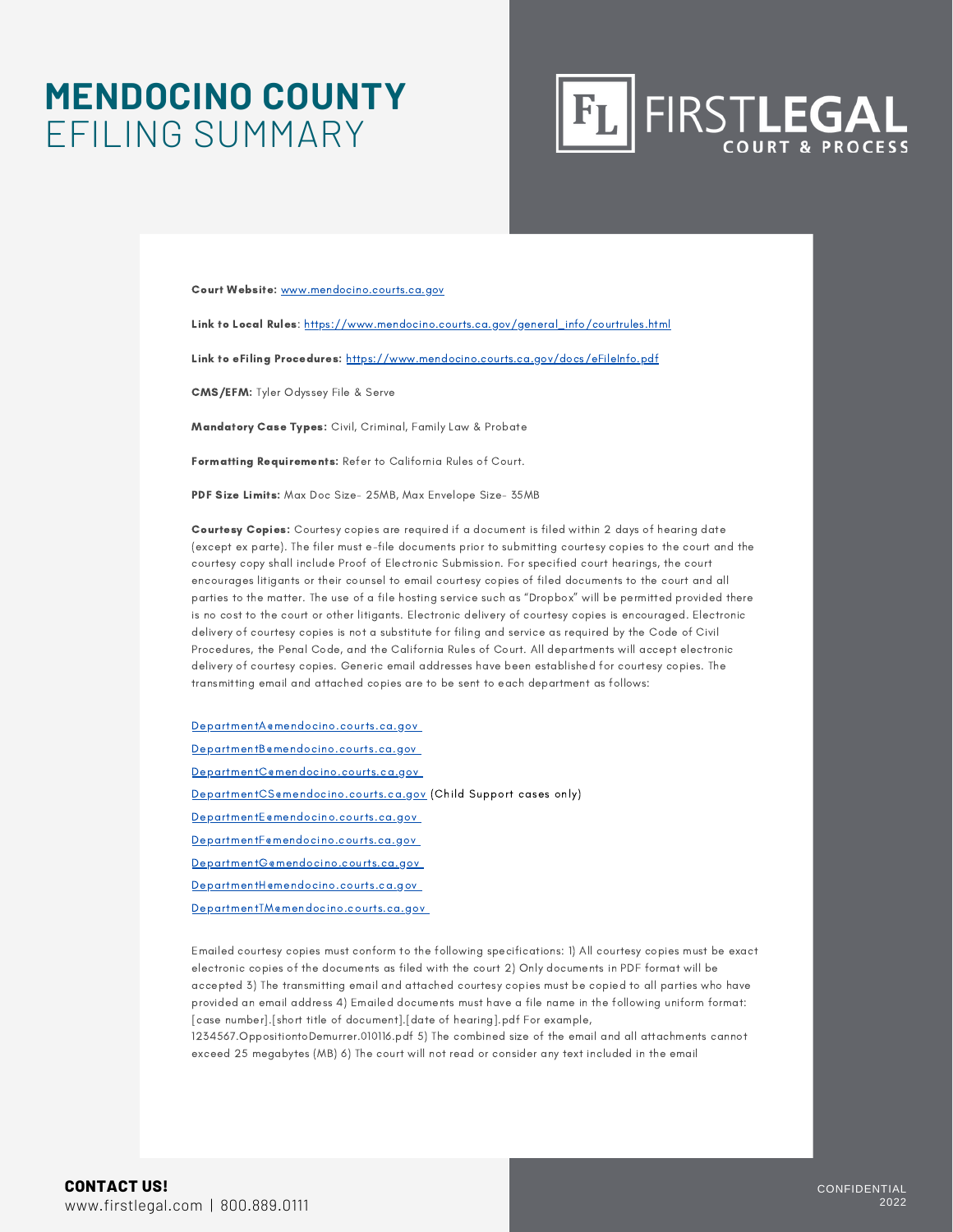### **MENDOCINO COUNTY** EFILING SUMMARY



Court Website: [www.mendocino.courts.ca.gov](http://www.mendocino.courts.ca.gov/)

Link to Local Rules: [https://www.mendocino.courts.ca.gov/general\\_info/courtrules.html](https://www.mendocino.courts.ca.gov/general_info/courtrules.html)

Link to eFiling Procedures: <https://www.mendocino.courts.ca.gov/docs/eFileInfo.pdf>

CMS/EFM: Tyler Odyssey File & Serve

Mandatory Case Types: Civil, Criminal, Family Law & Probate

Formatting Requirements: Refer to California Rules of Court.

PDF Size Limits: Max Doc Size- 25MB, Max Envelope Size- 35MB

Courtesy Copies: Courtesy copies are required if a document is filed within 2 days of hearing date (except ex parte). The filer must e-file documents prior to submitting courtesy copies to the court and the courtesy copy shall include Proof of Electronic Submission. For specified court hearings, the court encourages litigants or their counsel to email courtesy copies of filed documents to the court and all parties to the matter. The use of a file hosting service such as "Dropbox" will be permitted provided there is no cost to the court or other litigants. Electronic delivery of courtesy copies is encouraged. Electronic delivery of courtesy copies is not a substitute for filing and service as required by the Code of Civil Procedures, the Penal Code, and the California Rules of Court. All departments will accept electronic delivery of courtesy copies. Generic email addresses have been established for courtesy copies. The transmitting email and attached copies are to be sent to each department as follows:

[DepartmentA@mendocino.courts.ca.gov](mailto:DepartmentA@mendocino.courts.ca.gov)

[DepartmentB@mendocino.courts.ca.gov](mailto:DepartmentB@mendocino.courts.ca.gov)

[DepartmentC@mendocino.courts.ca.gov](mailto:DepartmentC@mendocino.courts.ca.gov)

[DepartmentCS@mendocino.courts.ca.gov](mailto:DepartmentCS@mendocino.courts.ca.gov) (Child Support cases only)

[DepartmentE@mendocino.courts.ca.gov](mailto:DepartmentE@mendocino.courts.ca.gov)

[DepartmentF@mendocino.courts.ca.gov](mailto:DepartmentF@mendocino.courts.ca.gov)

[DepartmentG@mendocino.courts.ca.gov](mailto:DepartmentG@mendocino.courts.ca.gov)

[DepartmentH@mendocino.courts.ca.gov](mailto:DepartmentH@mendocino.courts.ca.gov)

[DepartmentTM@mendocino.courts.ca.gov](mailto:DepartmentTM@mendocino.courts.ca.gov)

Emailed courtesy copies must conform to the following specifications: 1) All courtesy copies must be exact electronic copies of the documents as filed with the court 2) Only documents in PDF format will be accepted 3) The transmitting email and attached courtesy copies must be copied to all parties who have provided an email address 4) Emailed documents must have a file name in the following uniform format: [case number].[short title of document].[date of hearing].pdf For example,

1234567.OppositiontoDemurrer.010116.pdf 5) The combined size of the email and all attachments cannot exceed 25 megabytes (MB) 6) The court will not read or consider any text included in the email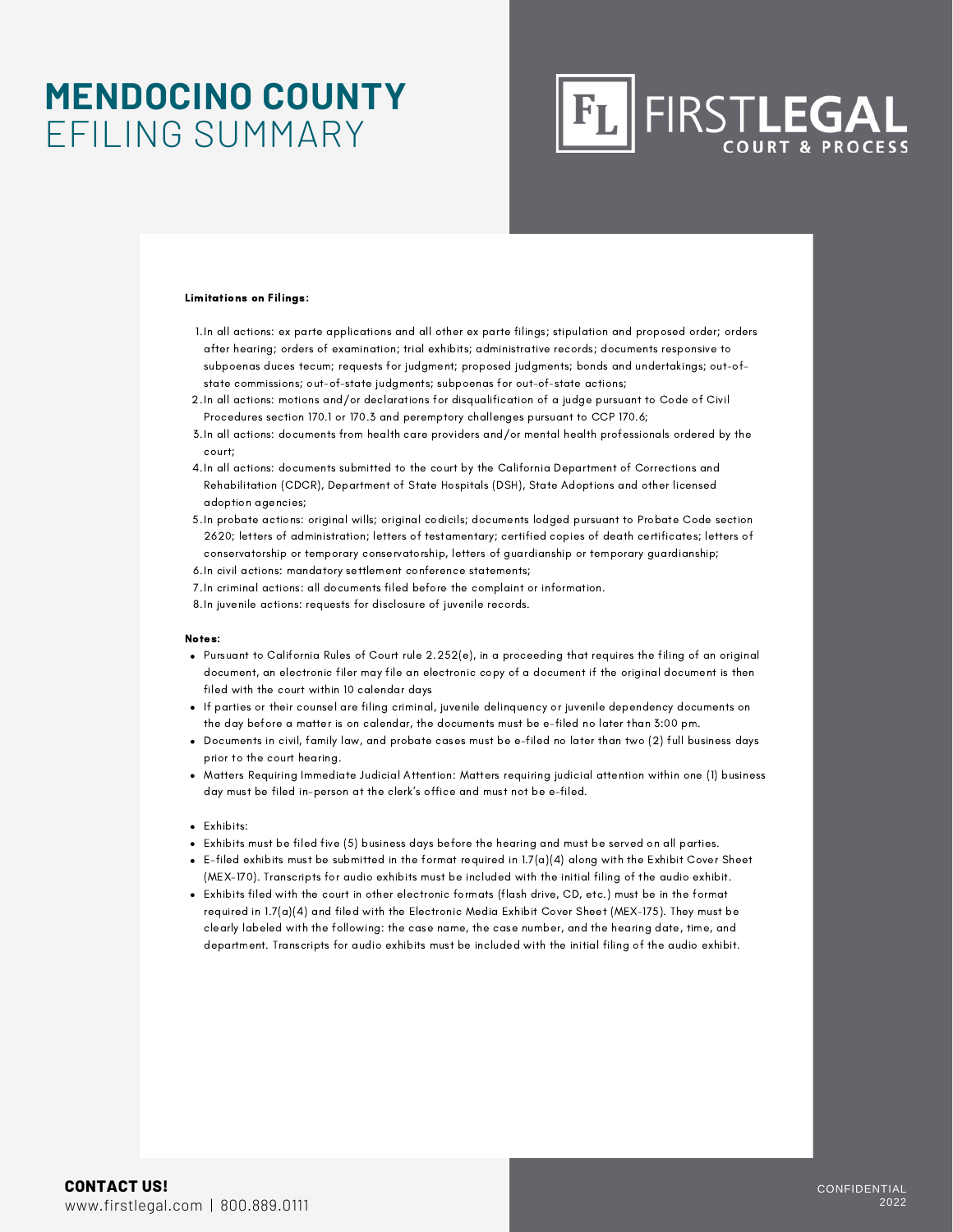### **MENDOCINO COUNTY** EFILING SUMMARY

## FIRSTLEGAL

#### Limitations on Filings:

- In all actions: ex parte applications and all other ex parte filings; stipulation and proposed order; orders 1. after hearing; orders of examination; trial exhibits; administrative records; documents responsive to subpoenas duces tecum; requests for judgment; proposed judgments; bonds and undertakings; out-ofstate commissions; out-of-state judgments; subpoenas for out-of-state actions;
- In all actions: motions and/or declarations for disqualification of a judge pursuant to Code of Civil 2. Procedures section 170.1 or 170.3 and peremptory challenges pursuant to CCP 170.6;
- In all actions: documents from health care providers and/or mental health professionals ordered by the 3. court;
- 4.In all actions: documents submitted to the court by the California Department of Corrections and Rehabilitation (CDCR), Department of State Hospitals (DSH), State Adoptions and other licensed adoption agencies;
- In probate actions: original wills; original codicils; documents lodged pursuant to Probate Code section 5. 2620; letters of administration; letters of testamentary; certified copies of death certificates; letters of conservatorship or temporary conservatorship, letters of guardianship or temporary guardianship;
- 6. In civil actions: mandatory settlement conference statements;
- In criminal actions: all documents filed before the complaint or information. 7.
- 8.In juvenile actions: requests for disclosure of juvenile records.

#### Notes:

- Pursuant to California Rules of Court rule 2.252(e), in a proceeding that requires the filing of an original document, an electronic filer may file an electronic copy of a document if the original document is then filed with the court within 10 calendar days
- If parties or their counsel are filing criminal, juvenile delinquency or juvenile dependency documents on the day before a matter is on calendar, the documents must be e-filed no later than 3:00 pm.
- Documents in civil, family law, and probate cases must be e-filed no later than two (2) full business days prior to the court hearing.
- Matters Requiring Immediate Judicial Attention: Matters requiring judicial attention within one (1) business day must be filed in-person at the clerk's office and must not be e-filed.

#### Exhibits:

- Exhibits must be filed five (5) business days before the hearing and must be served on all parties.
- $\bullet$  E-filed exhibits must be submitted in the format required in 1.7(a)(4) along with the Exhibit Cover Sheet (MEX-170). Transcripts for audio exhibits must be included with the initial filing of the audio exhibit.
- Exhibits filed with the court in other electronic formats (flash drive, CD, etc.) must be in the format required in 1.7(a)(4) and filed with the Electronic Media Exhibit Cover Sheet (MEX-175). They must be clearly labeled with the following: the case name, the case number, and the hearing date, time, and department. Transcripts for audio exhibits must be included with the initial filing of the audio exhibit.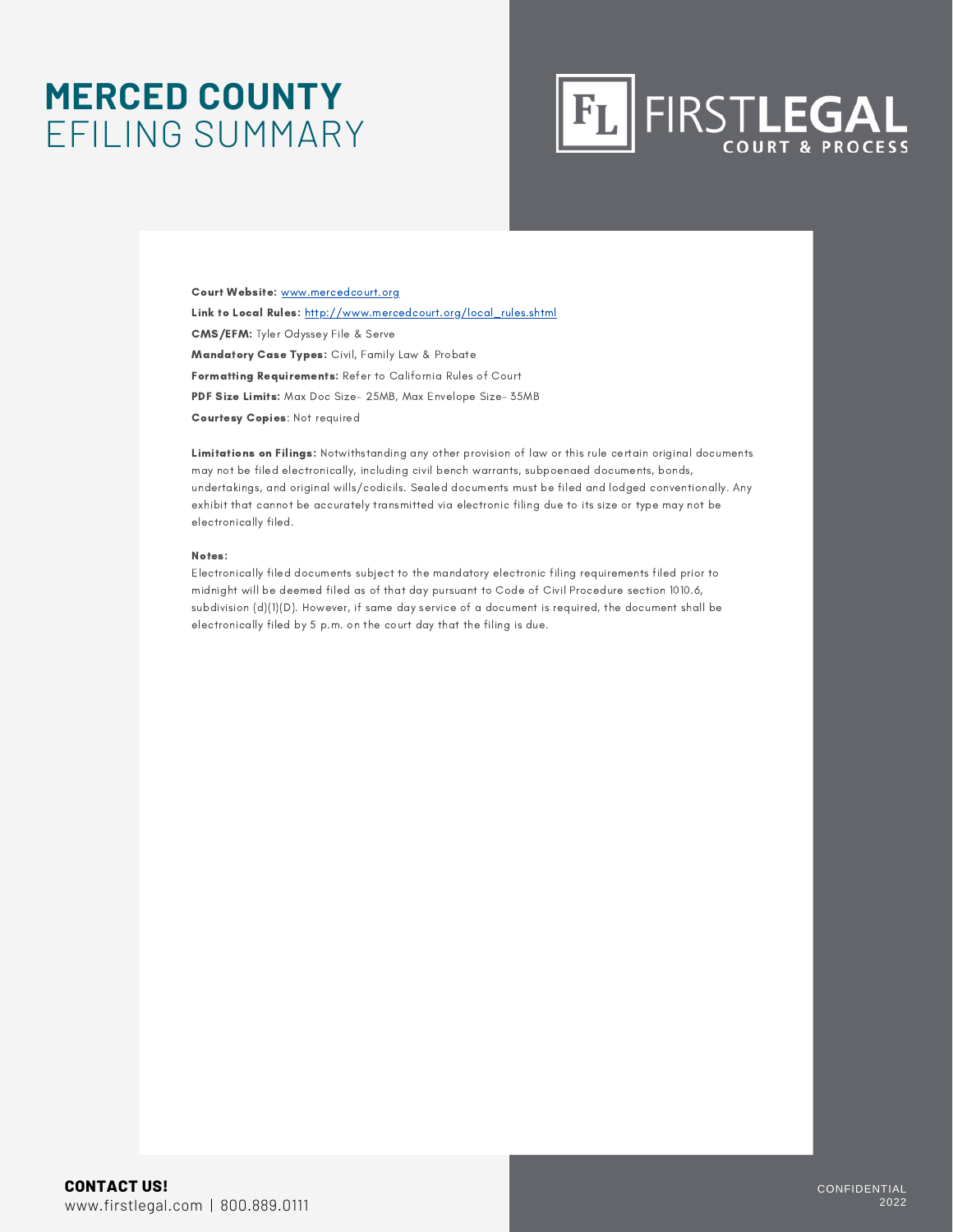### **MERCED COUNTY** EFILING SUMMARY



Court Website: [www.mercedcourt.org](http://www.mercedcourt.org/) Link to Local Rules: [http://www.mercedcourt.org/local\\_rules.shtml](http://www.mercedcourt.org/local_rules.shtml) CMS/EFM: Tyler Odyssey File & Serve Mandatory Case Types: Civil, Family Law & Probate Formatting Requirements: Refer to California Rules of Court PDF Size Limits: Max Doc Size- 25MB, Max Envelope Size- 35MB Courtesy Copies: Not required

Limitations on Filings: Notwithstanding any other provision of law or this rule certain original documents may not be filed electronically, including civil bench warrants, subpoenaed documents, bonds, undertakings, and original wills/codicils. Sealed documents must be filed and lodged conventionally. Any exhibit that cannot be accurately transmitted via electronic filing due to its size or type may not be electronically filed.

#### Notes:

Electronically filed documents subject to the mandatory electronic filing requirements filed prior to midnight will be deemed filed as of that day pursuant to Code of Civil Procedure section 1010.6, subdivision (d)(1)(D). However, if same day service of a document is required, the document shall be electronically filed by 5 p.m. on the court day that the filing is due.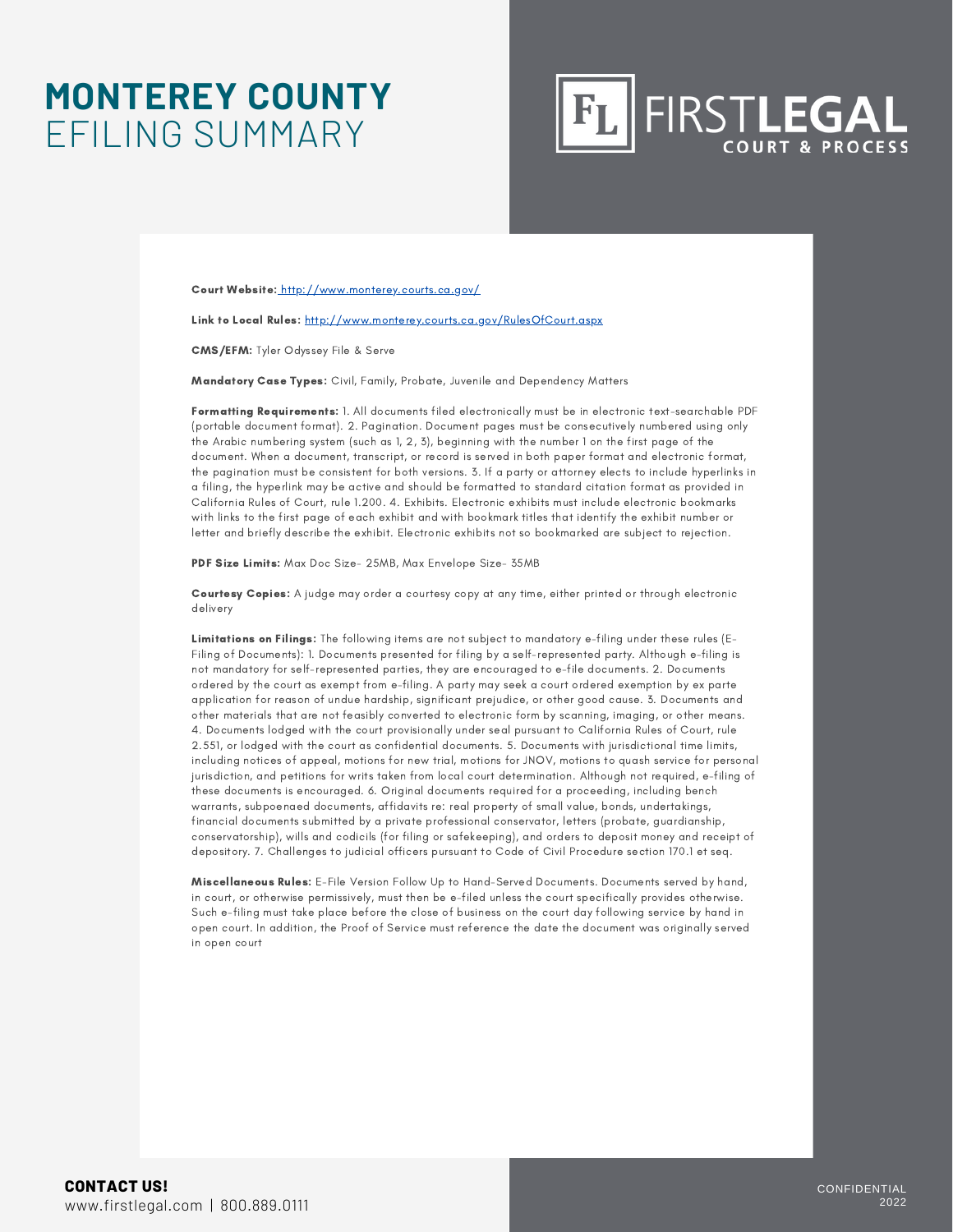### **MONTEREY COUNTY** EFILING SUMMARY

**FIRSTLEGAL** 

Court Website: <http://www.monterey.courts.ca.gov/>

Link to Local Rules: <http://www.monterey.courts.ca.gov/RulesOfCourt.aspx>

CMS/EFM: Tyler Odyssey File & Serve

Mandatory Case Types: Civil, Family, Probate, Juvenile and Dependency Matters

Formatting Requirements: 1. All documents filed electronically must be in electronic text-searchable PDF (portable document format). 2. Pagination. Document pages must be consecutively numbered using only the Arabic numbering system (such as 1, 2, 3), beginning with the number 1 on the first page of the document. When a document, transcript, or record is served in both paper format and electronic format, the pagination must be consistent for both versions. 3. If a party or attorney elects to include hyperlinks in a filing, the hyperlink may be active and should be formatted to standard citation format as provided in California Rules of Court, rule 1.200. 4. Exhibits. Electronic exhibits must include electronic bookmarks with links to the first page of each exhibit and with bookmark titles that identify the exhibit number or letter and briefly describe the exhibit. Electronic exhibits not so bookmarked are subject to rejection.

PDF Size Limits: Max Doc Size- 25MB, Max Envelope Size- 35MB

Courtesy Copies: A judge may order a courtesy copy at any time, either printed or through electronic delivery

Limitations on Filings: The following items are not subject to mandatory e-filing under these rules (E-Filing of Documents): 1. Documents presented for filing by a self-represented party. Although e-filing is not mandatory for self-represented parties, they are encouraged to e-file documents. 2. Documents ordered by the court as exempt from e-filing. A party may seek a court ordered exemption by ex parte application for reason of undue hardship, significant prejudice, or other good cause. 3. Documents and other materials that are not feasibly converted to electronic form by scanning, imaging, or other means. 4. Documents lodged with the court provisionally under seal pursuant to California Rules of Court, rule 2.551, or lodged with the court as confidential documents. 5. Documents with jurisdictional time limits, including notices of appeal, motions for new trial, motions for JNOV, motions to quash service for personal jurisdiction, and petitions for writs taken from local court determination. Although not required, e-filing of these documents is encouraged. 6. Original documents required for a proceeding, including bench warrants, subpoenaed documents, affidavits re: real property of small value, bonds, undertakings, financial documents submitted by a private professional conservator, letters (probate, guardianship, conservatorship), wills and codicils (for filing or safekeeping), and orders to deposit money and receipt of depository. 7. Challenges to judicial officers pursuant to Code of Civil Procedure section 170.1 et seq.

Miscellaneous Rules: E-File Version Follow Up to Hand-Served Documents. Documents served by hand, in court, or otherwise permissively, must then be e-filed unless the court specifically provides otherwise. Such e-filing must take place before the close of business on the court day following service by hand in open court. In addition, the Proof of Service must reference the date the document was originally served in open court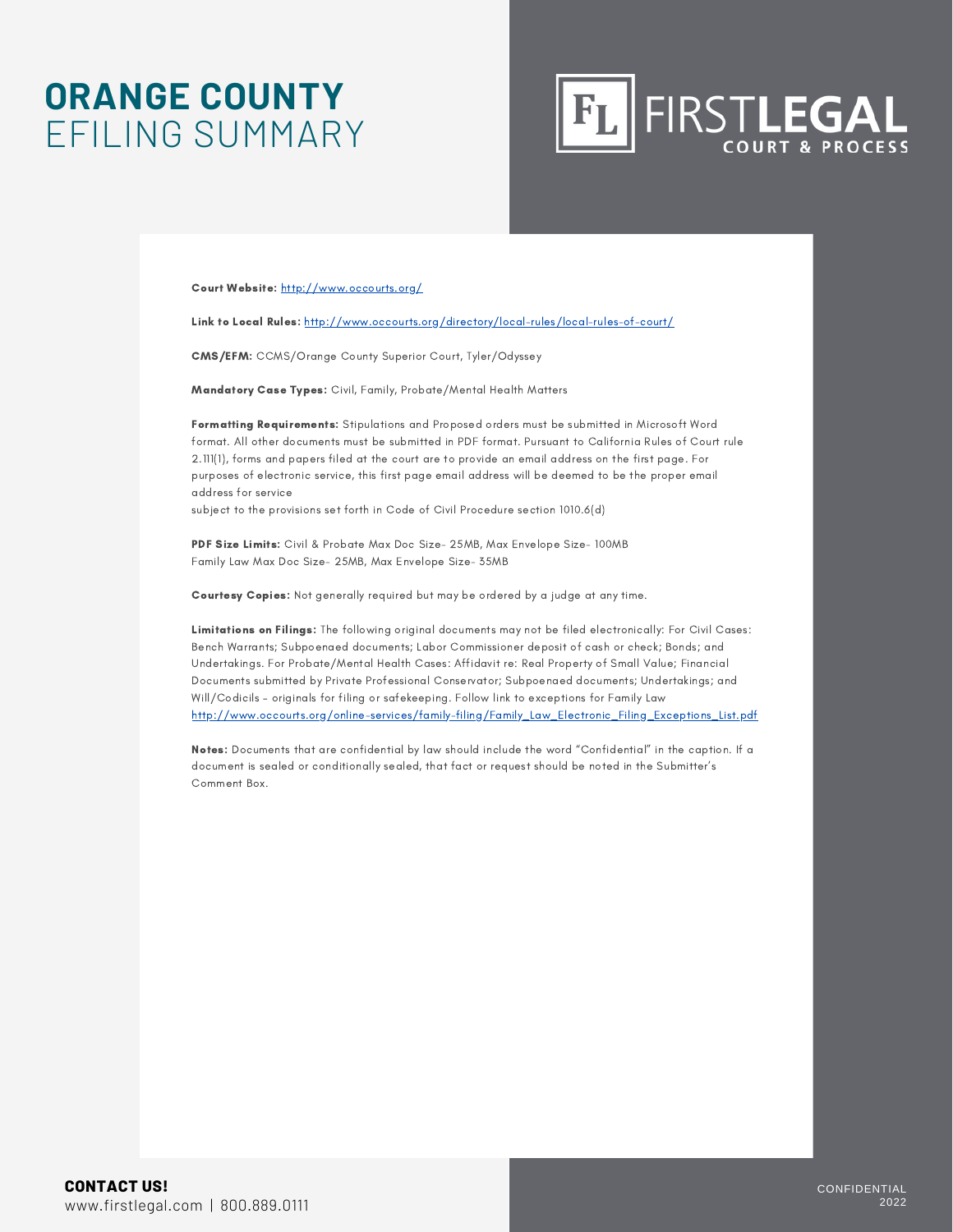### **ORANGE COUNTY** EFILING SUMMARY



Court Website: <http://www.occourts.org/>

Link to Local Rules: <http://www.occourts.org/directory/local-rules/local-rules-of-court/>

CMS/EFM: CCMS/Orange County Superior Court, Tyler/Odyssey

Mandatory Case Types: Civil, Family, Probate/Mental Health Matters

Formatting Requirements: Stipulations and Proposed orders must be submitted in Microsoft Word format. All other documents must be submitted in PDF format. Pursuant to California Rules of Court rule 2.111(1), forms and papers filed at the court are to provide an email address on the first page. For purposes of electronic service, this first page email address will be deemed to be the proper email address for service

subject to the provisions set forth in Code of Civil Procedure section 1010.6(d)

PDF Size Limits: Civil & Probate Max Doc Size- 25MB, Max Envelope Size- 100MB Family Law Max Doc Size- 25MB, Max Envelope Size- 35MB

Courtesy Copies: Not generally required but may be ordered by a judge at any time.

Limitations on Filings: The following original documents may not be filed electronically: For Civil Cases: Bench Warrants; Subpoenaed documents; Labor Commissioner deposit of cash or check; Bonds; and Undertakings. For Probate/Mental Health Cases: Affidavit re: Real Property of Small Value; Financial Documents submitted by Private Professional Conservator; Subpoenaed documents; Undertakings; and Will/Codicils – originals for filing or safekeeping. Follow link to exceptions for Family Law [http://www.occourts.org/online-services/family-filing/Family\\_Law\\_Electronic\\_Filing\\_Exceptions\\_List.pdf](http://www.occourts.org/online-services/family-efiling/Family_Law_Electronic_Filing_Exceptions_List.pdf)

Notes: Documents that are confidential by law should include the word "Confidential" in the caption. If a document is sealed or conditionally sealed, that fact or request should be noted in the Submitter's Comment Box.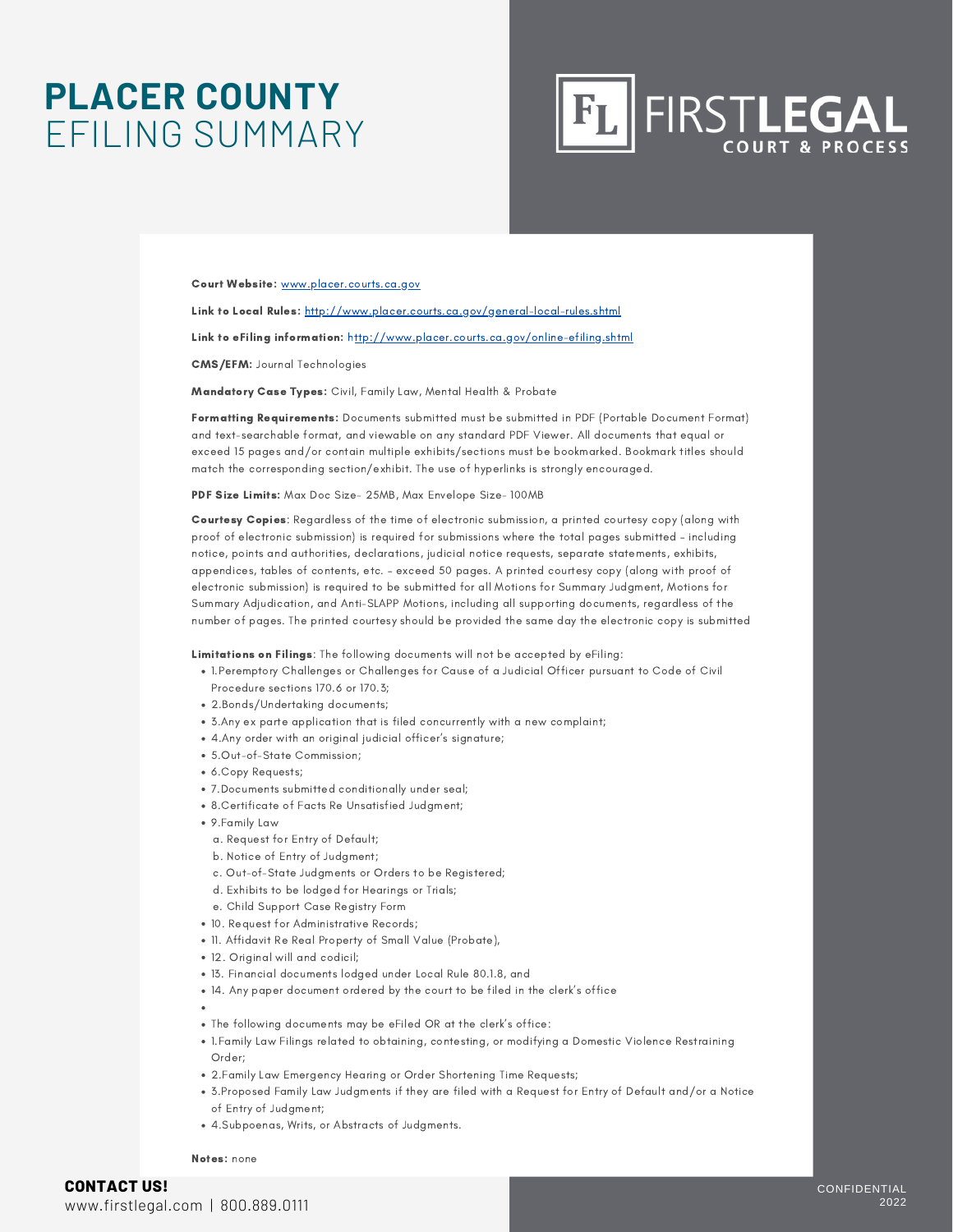### **PLACER COUNTY** EFILING SUMMARY



Court Website: [www.placer.courts.ca.gov](http://www.placer.courts.ca.gov/)

Link to Local Rules: <http://www.placer.courts.ca.gov/general-local-rules.shtml>

Link to eFiling information: <http://www.placer.courts.ca.gov/online-efiling.shtml>

CMS/EFM: Journal Technologies

Mandatory Case Types: Civil, Family Law, Mental Health & Probate

Formatting Requirements: Documents submitted must be submitted in PDF (Portable Document Format) and text-searchable format, and viewable on any standard PDF Viewer. All documents that equal or exceed 15 pages and/or contain multiple exhibits/sections must be bookmarked. Bookmark titles should match the corresponding section/exhibit. The use of hyperlinks is strongly encouraged.

PDF Size Limits: Max Doc Size- 25MB, Max Envelope Size- 100MB

Courtesy Copies: Regardless of the time of electronic submission, a printed courtesy copy (along with proof of electronic submission) is required for submissions where the total pages submitted – including notice, points and authorities, declarations, judicial notice requests, separate statements, exhibits, appendices, tables of contents, etc. – exceed 50 pages. A printed courtesy copy (along with proof of electronic submission) is required to be submitted for all Motions for Summary Judgment, Motions for Summary Adjudication, and Anti-SLAPP Motions, including all supporting documents, regardless of the number of pages. The printed courtesy should be provided the same day the electronic copy is submitted

Limitations on Filings: The following documents will not be accepted by eFiling:

- 1.Peremptory Challenges or Challenges for Cause of a Judicial Officer pursuant to Code of Civil Procedure sections 170.6 or 170.3;
- 2.Bonds/Undertaking documents;
- 3.Any ex parte application that is filed concurrently with a new complaint;
- 4.Any order with an original judicial officer's signature;
- 5.Out-of-State Commission;
- 6.Copy Requests;
- 7.Documents submitted conditionally under seal;
- 8.Certificate of Facts Re Unsatisfied Judgment;
- 9.Family Law
	- a. Request for Entry of Default;
	- b. Notice of Entry of Judgment;
	- c. Out-of-State Judgments or Orders to be Registered;
	- d. Exhibits to be lodged for Hearings or Trials;
	- e. Child Support Case Registry Form
- 10. Request for Administrative Records;
- 11. Affidavit Re Real Property of Small Value (Probate),
- 12. Original will and codicil;
- 13. Financial documents lodged under Local Rule 80.1.8, and
- 14. Any paper document ordered by the court to be filed in the clerk's office
	-
- The following documents may be eFiled OR at the clerk's office:
- 1.Family Law Filings related to obtaining, contesting, or modifying a Domestic Violence Restraining Order;
- 2.Family Law Emergency Hearing or Order Shortening Time Requests;
- 3.Proposed Family Law Judgments if they are filed with a Request for Entry of Default and/or a Notice of Entry of Judgment;
- 4.Subpoenas, Writs, or Abstracts of Judgments.

Notes: none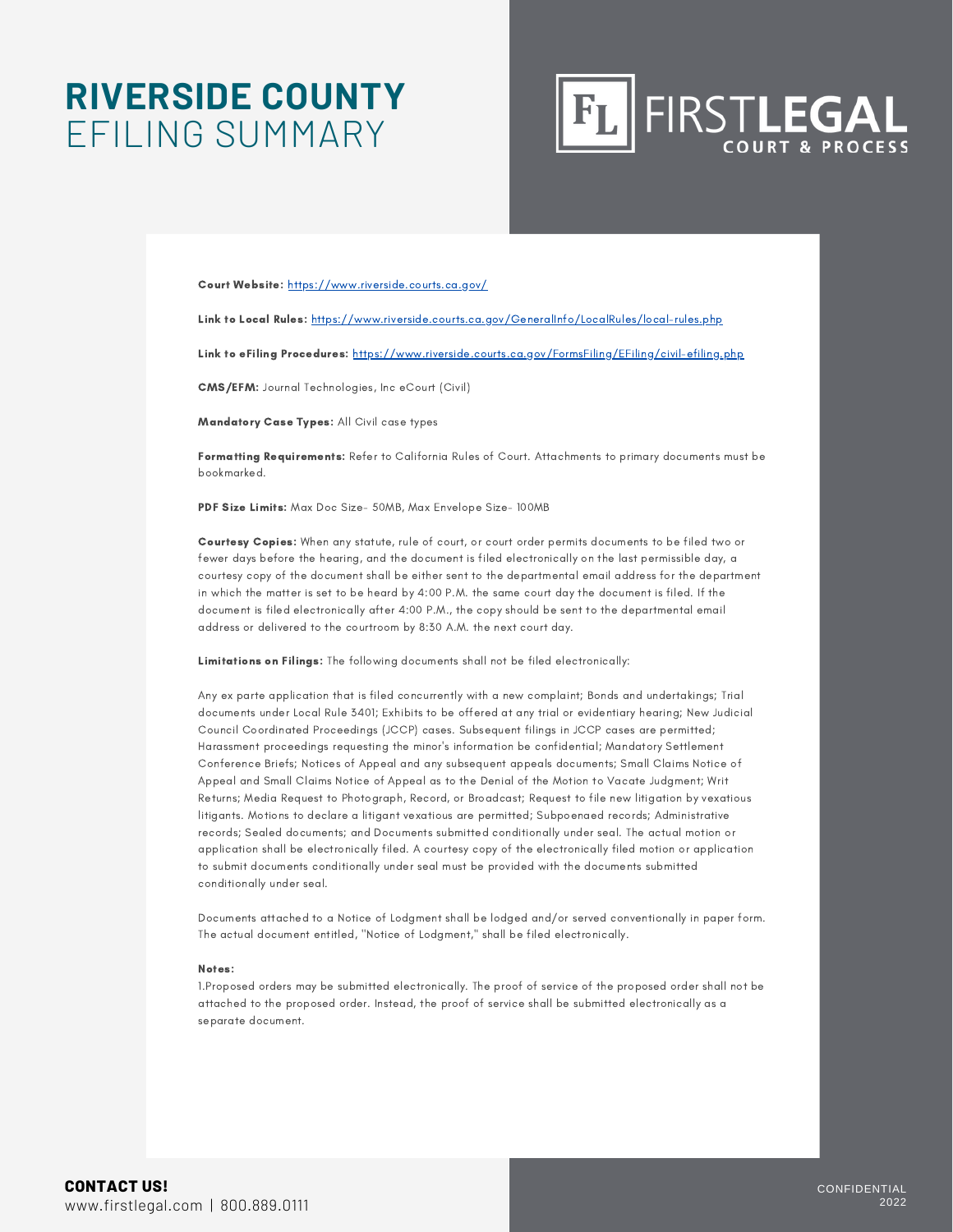### **RIVERSIDE COUNTY** EFILING SUMMARY



Court Website: <https://www.riverside.courts.ca.gov/>

Link to Local Rules: <https://www.riverside.courts.ca.gov/GeneralInfo/LocalRules/local-rules.php>

Link to eFiling Procedures: <https://www.riverside.courts.ca.gov/FormsFiling/EFiling/civil-efiling.php>

CMS/EFM: Journal Technologies, Inc eCourt (Civil)

Mandatory Case Types: All Civil case types

Formatting Requirements: Refer to California Rules of Court. Attachments to primary documents must be bookmarked.

PDF Size Limits: Max Doc Size- 50MB, Max Envelope Size- 100MB

Courtesy Copies: When any statute, rule of court, or court order permits documents to be filed two or fewer days before the hearing, and the document is filed electronically on the last permissible day, a courtesy copy of the document shall be either sent to the departmental email address for the department in which the matter is set to be heard by 4:00 P.M. the same court day the document is filed. If the document is filed electronically after 4:00 P.M., the copy should be sent to the departmental email address or delivered to the courtroom by 8:30 A.M. the next court day.

Limitations on Filings: The following documents shall not be filed electronically:

Any ex parte application that is filed concurrently with a new complaint; Bonds and undertakings; Trial documents under Local Rule 3401; Exhibits to be offered at any trial or evidentiary hearing; New Judicial Council Coordinated Proceedings (JCCP) cases. Subsequent filings in JCCP cases are permitted; Harassment proceedings requesting the minor's information be confidential; Mandatory Settlement Conference Briefs; Notices of Appeal and any subsequent appeals documents; Small Claims Notice of Appeal and Small Claims Notice of Appeal as to the Denial of the Motion to Vacate Judgment; Writ Returns; Media Request to Photograph, Record, or Broadcast; Request to file new litigation by vexatious litigants. Motions to declare a litigant vexatious are permitted; Subpoenaed records; Administrative records; Sealed documents; and Documents submitted conditionally under seal. The actual motion or application shall be electronically filed. A courtesy copy of the electronically filed motion or application to submit documents conditionally under seal must be provided with the documents submitted conditionally under seal.

Documents attached to a Notice of Lodgment shall be lodged and/or served conventionally in paper form. The actual document entitled, ''Notice of Lodgment," shall be filed electronically.

#### Notes:

1.Proposed orders may be submitted electronically. The proof of service of the proposed order shall not be attached to the proposed order. Instead, the proof of service shall be submitted electronically as a separate document.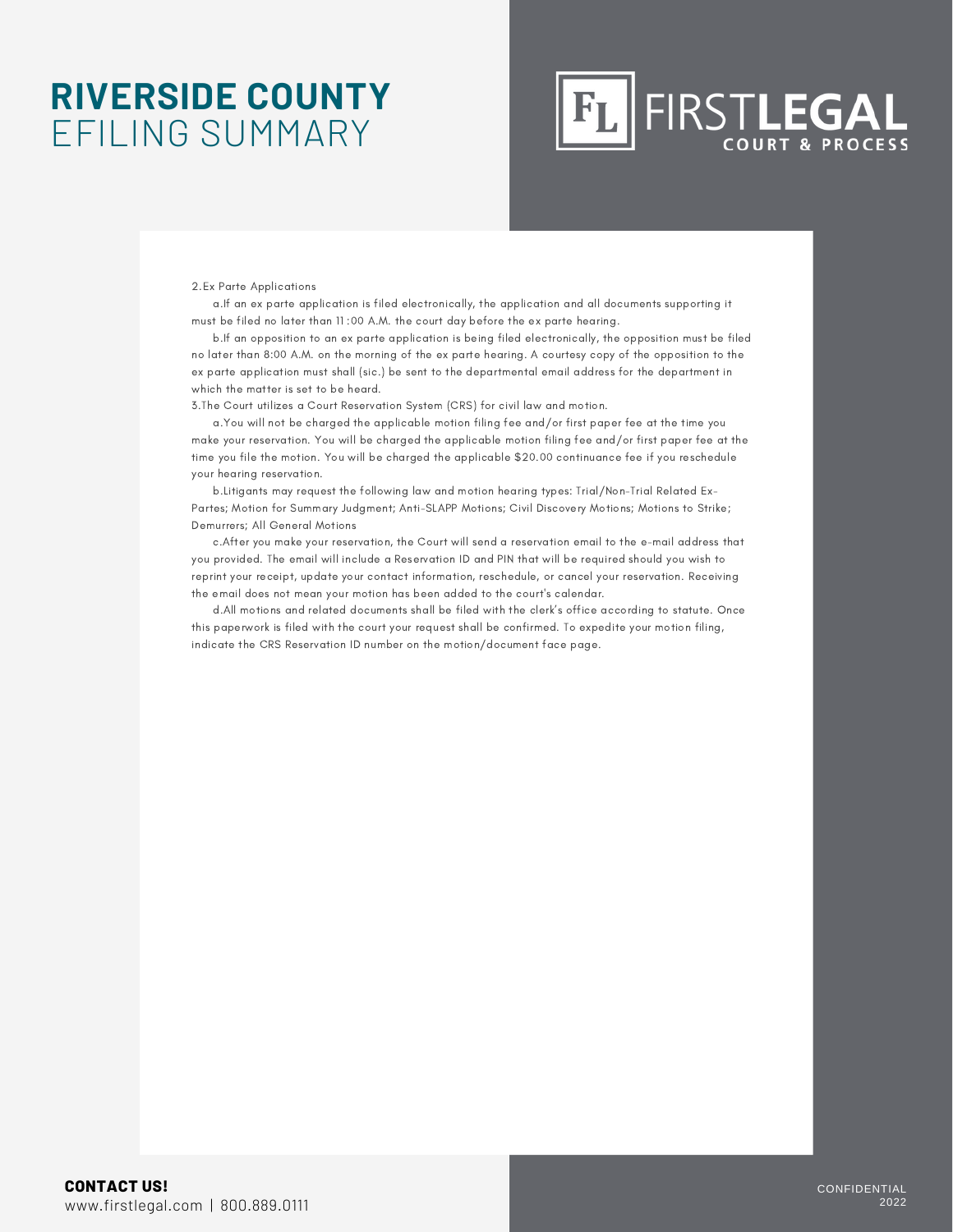### **RIVERSIDE COUNTY** EFILING SUMMARY

### FIRSTLEGAL  $|F_L|$

2.Ex Parte Applications

a.If an ex parte application is filed electronically, the application and all documents supporting it must be filed no later than 11 :00 A.M. the court day before the ex parte hearing.

b.If an opposition to an ex parte application is being filed electronically, the opposition must be filed no later than 8:00 A.M. on the morning of the ex parte hearing. A courtesy copy of the opposition to the ex parte application must shall (sic.) be sent to the departmental email address for the department in which the matter is set to be heard.

3.The Court utilizes a Court Reservation System (CRS) for civil law and motion.

a.You will not be charged the applicable motion filing fee and/or first paper fee at the time you make your reservation. You will be charged the applicable motion filing fee and/or first paper fee at the time you file the motion. You will be charged the applicable \$20.00 continuance fee if you reschedule your hearing reservation.

b.Litigants may request the following law and motion hearing types: Trial/Non-Trial Related Ex-Partes; Motion for Summary Judgment; Anti-SLAPP Motions; Civil Discovery Motions; Motions to Strike; Demurrers; All General Motions

c.After you make your reservation, the Court will send a reservation email to the e-mail address that you provided. The email will include a Reservation ID and PIN that will be required should you wish to reprint your receipt, update your contact information, reschedule, or cancel your reservation. Receiving the email does not mean your motion has been added to the court's calendar.

d.All motions and related documents shall be filed with the clerk's office according to statute. Once this paperwork is filed with the court your request shall be confirmed. To expedite your motion filing, indicate the CRS Reservation ID number on the motion/document face page.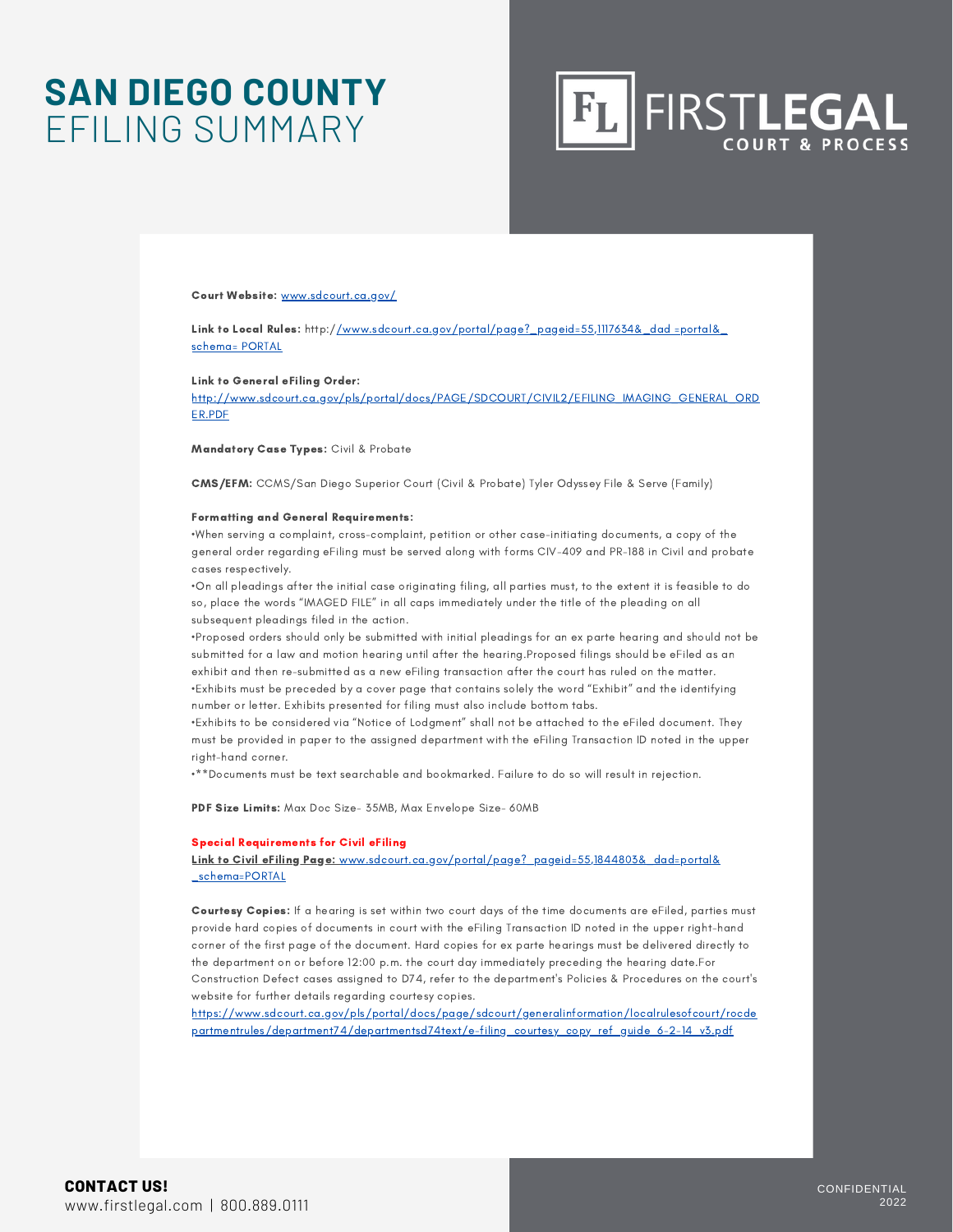### **SAN DIEGO COUNTY** EFILING SUMMARY



#### Court Website: www.sdcourt.ca.gov/

Link to Local Rules: http://www.sdcourt.ca.gov/portal/page?\_pageid=55,1117634&\_dad =portal& schema= PORTAL

#### Link to General eFiling Order:

http://www.sdcourt.ca.gov/pls/portal/docs/PAGE/SDCOURT/CIVIL2/EFILING\_IMAGING\_GENERAL\_ORD ER.PDF

Mandatory Case Types: Civil & Probate

CMS/EFM: CCMS/San Diego Superior Court (Civil & Probate) Tyler Odyssey File & Serve (Family)

#### Formatting and General Requirements:

•When serving a complaint, cross-complaint, petition or other case-initiating documents, a copy of the general order regarding eFiling must be served along with forms CIV-409 and PR-188 in Civil and probate cases respectively.

•On all pleadings after the initial case originating filing, all parties must, to the extent it is feasible to do so, place the words "IMAGED FILE" in all caps immediately under the title of the pleading on all subsequent pleadings filed in the action.

•Proposed orders should only be submitted with initial pleadings for an ex parte hearing and should not be submitted for a law and motion hearing until after the hearing.Proposed filings should be eFiled as an exhibit and then re-submitted as a new eFiling transaction after the court has ruled on the matter. •Exhibits must be preceded by a cover page that contains solely the word "Exhibit" and the identifying number or letter. Exhibits presented for filing must also include bottom tabs.

•Exhibits to be considered via "Notice of Lodgment" shall not be attached to the eFiled document. They must be provided in paper to the assigned department with the eFiling Transaction ID noted in the upper right-hand corner.

•\*\*Documents must be text searchable and bookmarked. Failure to do so will result in rejection.

PDF Size Limits: Max Doc Size- 35MB, Max Envelope Size- 60MB

#### Special Requirements for Civil eFiling

Link to Civil eFiling Page: www.sdcourt.ca.gov/portal/page? pageid=55,1844803& dad=portal& \_schema=PORTAL

Courtesy Copies: If a hearing is set within two court days of the time documents are eFiled, parties must provide hard copies of documents in court with the eFiling Transaction ID noted in the upper right-hand corner of the first page of the document. Hard copies for ex parte hearings must be delivered directly to the department on or before 12:00 p.m. the court day immediately preceding the hearing date.For Construction Defect cases assigned to D74, refer to the department's Policies & Procedures on the court's website for further details regarding courtesy copies.

https://www.sdcourt.ca.gov/pls/portal/docs/page/sdcourt/generalinformation/localrulesofcourt/rocde partmentrules/department74/departmentsd74text/e-filing\_courtesy\_copy\_ref\_guide\_6-2-14\_v3.pdf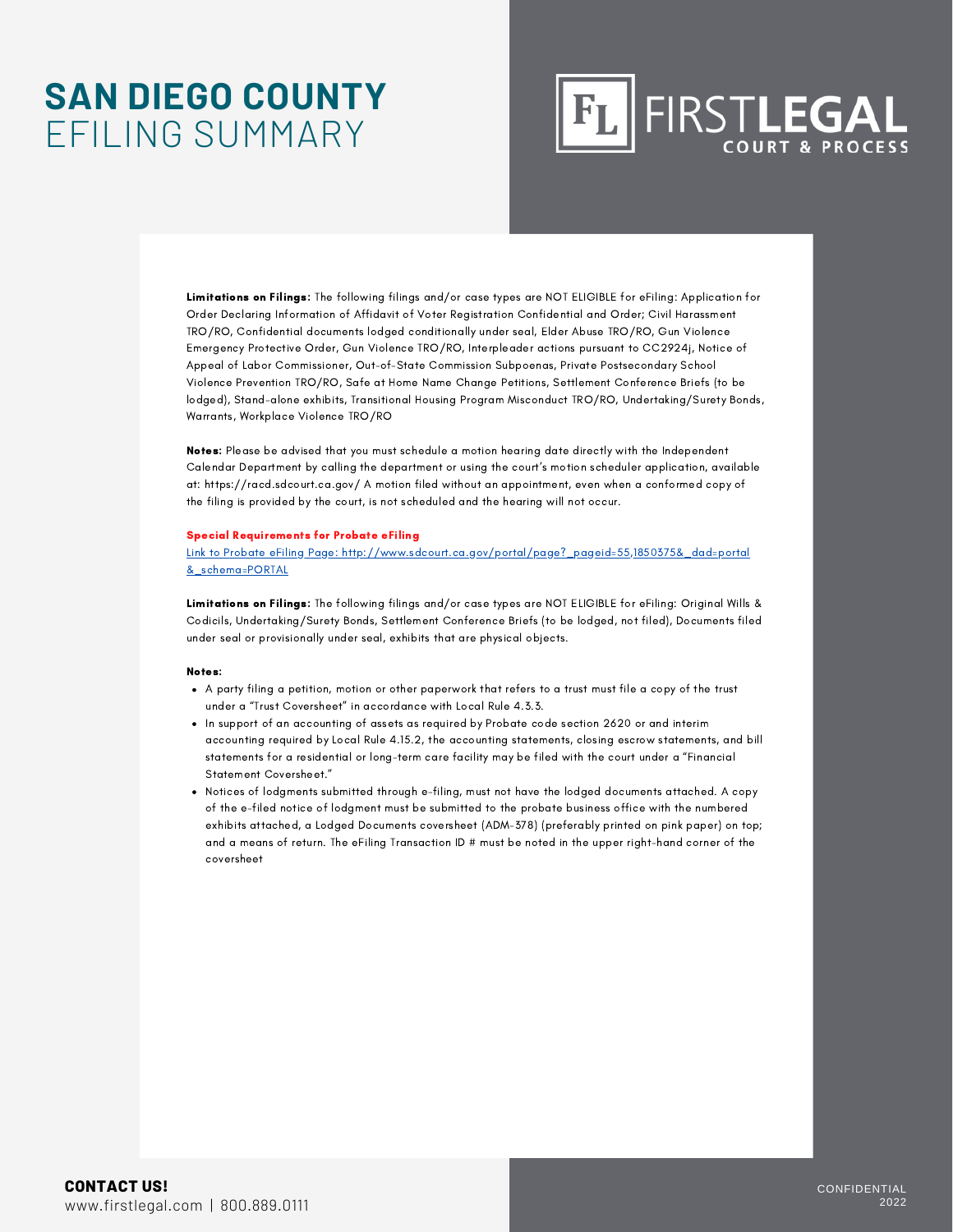### **SAN DIEGO COUNTY** EFILING SUMMARY

## FLIFIRSTLEGAL

Limitations on Filings: The following filings and/or case types are NOT ELIGIBLE for eFiling: Application for Order Declaring Information of Affidavit of Voter Registration Confidential and Order; Civil Harassment TRO/RO, Confidential documents lodged conditionally under seal, Elder Abuse TRO/RO, Gun Violence Emergency Protective Order, Gun Violence TRO/RO, Interpleader actions pursuant to CC2924j, Notice of Appeal of Labor Commissioner, Out-of-State Commission Subpoenas, Private Postsecondary School Violence Prevention TRO/RO, Safe at Home Name Change Petitions, Settlement Conference Briefs (to be lodged), Stand-alone exhibits, Transitional Housing Program Misconduct TRO/RO, Undertaking/Surety Bonds, Warrants, Workplace Violence TRO/RO

Notes: Please be advised that you must schedule a motion hearing date directly with the Independent Calendar Department by calling the department or using the court's motion scheduler application, available at: https://racd.sdcourt.ca.gov/ A motion filed without an appointment, even when a conformed copy of the filing is provided by the court, is not scheduled and the hearing will not occur.

#### Special Requirements for Probate eFiling

Link to Probate eFiling Page: http://www.sdcourt.ca.gov/portal/page?\_pageid=55,1850375&\_dad=portal &\_schema=PORTAL

Limitations on Filings: The following filings and/or case types are NOT ELIGIBLE for eFiling: Original Wills & Codicils, Undertaking/Surety Bonds, Settlement Conference Briefs (to be lodged, not filed), Documents filed under seal or provisionally under seal, exhibits that are physical objects.

#### Notes:

- A party filing a petition, motion or other paperwork that refers to a trust must file a copy of the trust under a "Trust Coversheet" in accordance with Local Rule 4.3.3.
- In support of an accounting of assets as required by Probate code section 2620 or and interim accounting required by Local Rule 4.15.2, the accounting statements, closing escrow statements, and bill statements for a residential or long-term care facility may be filed with the court under a "Financial Statement Coversheet."
- Notices of lodgments submitted through e-filing, must not have the lodged documents attached. A copy of the e-filed notice of lodgment must be submitted to the probate business office with the numbered exhibits attached, a Lodged Documents coversheet (ADM-378) (preferably printed on pink paper) on top; and a means of return. The eFiling Transaction ID # must be noted in the upper right-hand corner of the coversheet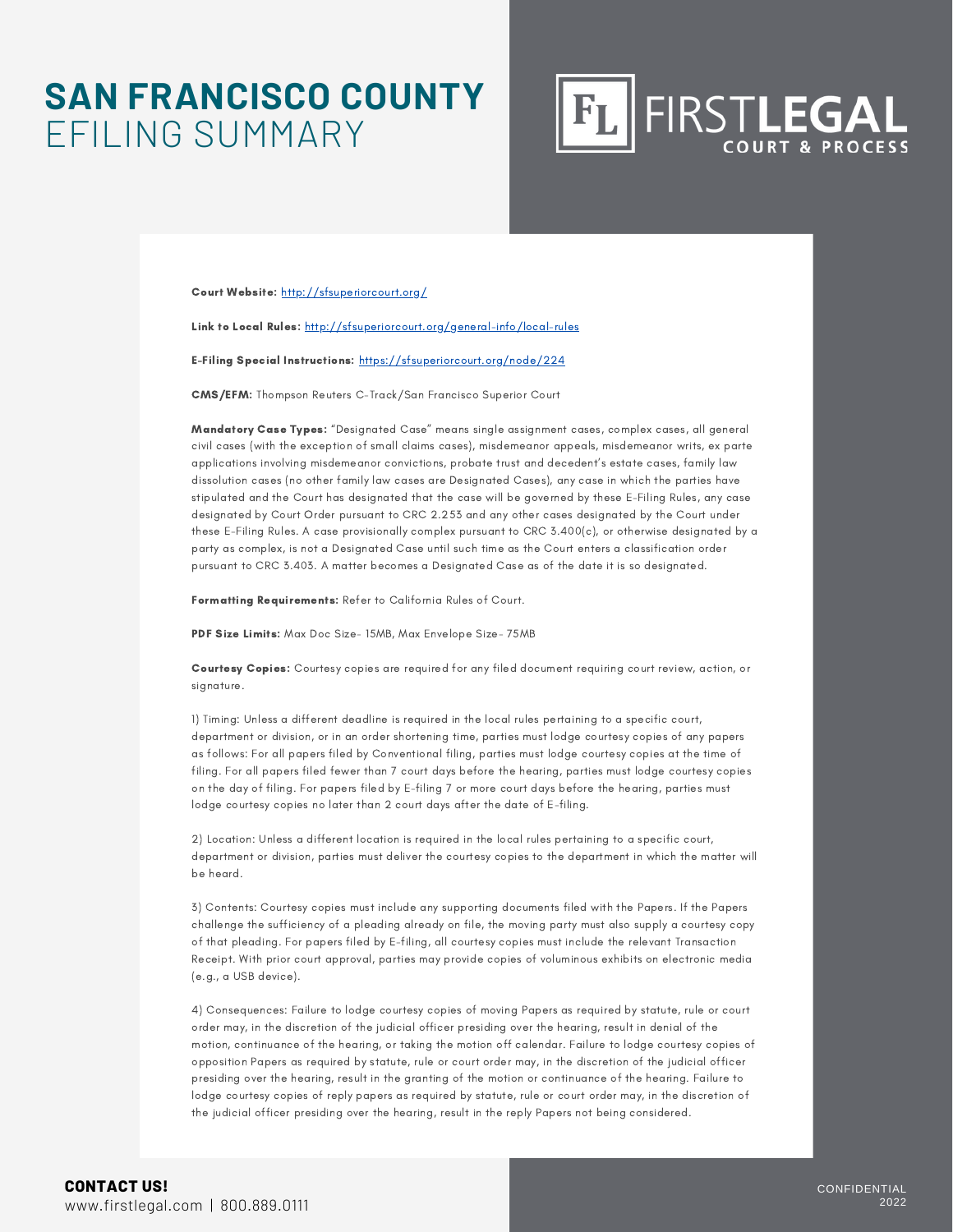### **SAN FRANCISCO COUNTY** EFILING SUMMARY

**FIRSTLEGAL** 

Court Website: <http://sfsuperiorcourt.org/>

Link to Local Rules: <http://sfsuperiorcourt.org/general-info/local-rules>

E-Filing Special Instructions: <https://sfsuperiorcourt.org/node/224>

CMS/EFM: Thompson Reuters C-Track/San Francisco Superior Court

Mandatory Case Types: "Designated Case" means single assignment cases, complex cases, all general civil cases (with the exception of small claims cases), misdemeanor appeals, misdemeanor writs, ex parte applications involving misdemeanor convictions, probate trust and decedent's estate cases, family law dissolution cases (no other family law cases are Designated Cases), any case in which the parties have stipulated and the Court has designated that the case will be governed by these E-Filing Rules, any case designated by Court Order pursuant to CRC 2.253 and any other cases designated by the Court under these E-Filing Rules. A case provisionally complex pursuant to CRC 3.400(c), or otherwise designated by a party as complex, is not a Designated Case until such time as the Court enters a classification order pursuant to CRC 3.403. A matter becomes a Designated Case as of the date it is so designated.

Formatting Requirements: Refer to California Rules of Court.

PDF Size Limits: Max Doc Size- 15MB, Max Envelope Size- 75MB

Courtesy Copies: Courtesy copies are required for any filed document requiring court review, action, or signature.

1) Timing: Unless a different deadline is required in the local rules pertaining to a specific court, department or division, or in an order shortening time, parties must lodge courtesy copies of any papers as follows: For all papers filed by Conventional filing, parties must lodge courtesy copies at the time of filing. For all papers filed fewer than 7 court days before the hearing, parties must lodge courtesy copies on the day of filing. For papers filed by E-filing 7 or more court days before the hearing, parties must lodge courtesy copies no later than 2 court days after the date of E-filing.

2) Location: Unless a different location is required in the local rules pertaining to a specific court, department or division, parties must deliver the courtesy copies to the department in which the matter will be heard.

3) Contents: Courtesy copies must include any supporting documents filed with the Papers. If the Papers challenge the sufficiency of a pleading already on file, the moving party must also supply a courtesy copy of that pleading. For papers filed by E-filing, all courtesy copies must include the relevant Transaction Receipt. With prior court approval, parties may provide copies of voluminous exhibits on electronic media (e.g., a USB device).

4) Consequences: Failure to lodge courtesy copies of moving Papers as required by statute, rule or court order may, in the discretion of the judicial officer presiding over the hearing, result in denial of the motion, continuance of the hearing, or taking the motion off calendar. Failure to lodge courtesy copies of opposition Papers as required by statute, rule or court order may, in the discretion of the judicial officer presiding over the hearing, result in the granting of the motion or continuance of the hearing. Failure to lodge courtesy copies of reply papers as required by statute, rule or court order may, in the discretion of the judicial officer presiding over the hearing, result in the reply Papers not being considered.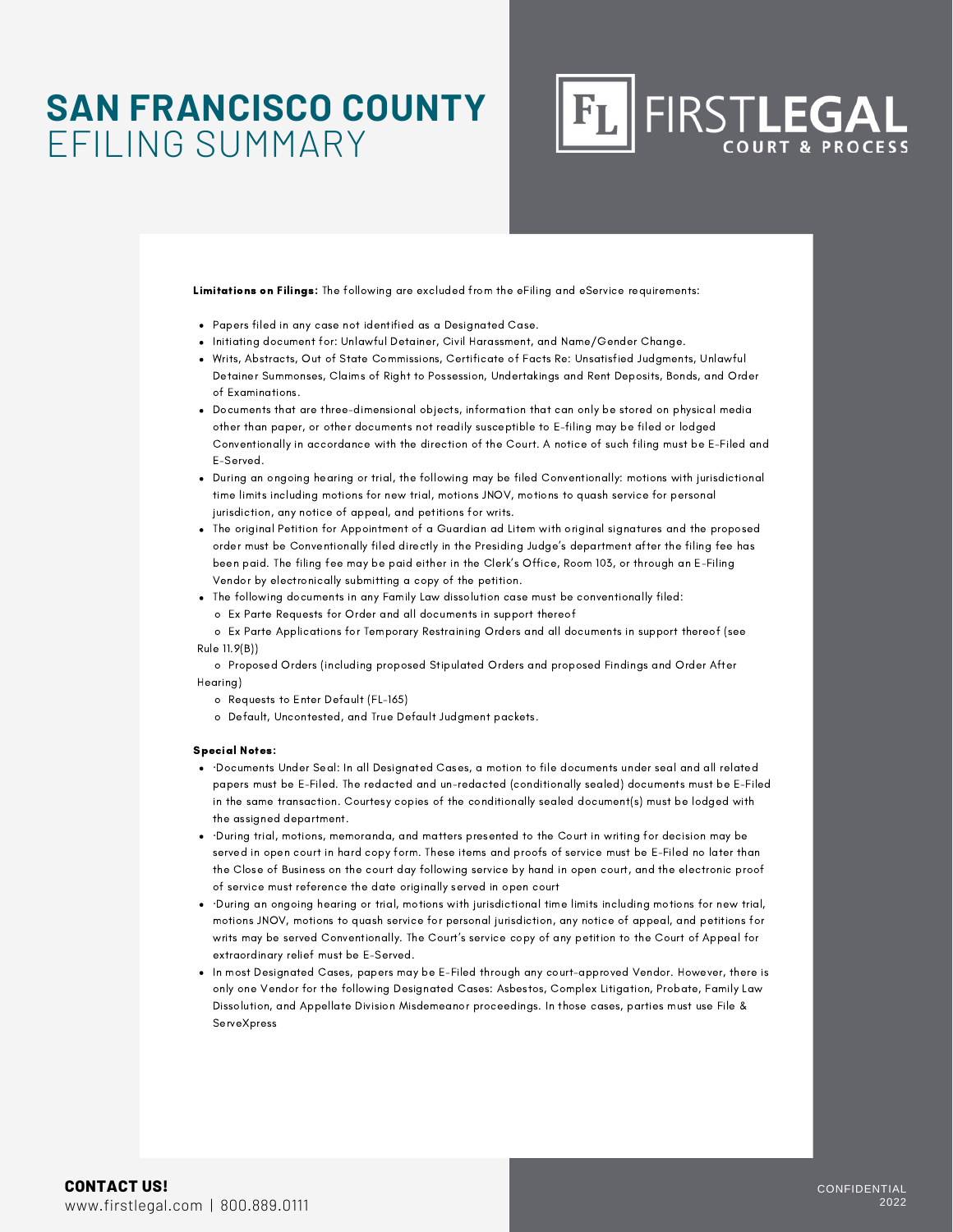### **SAN FRANCISCO COUNTY** EFILING SUMMARY

**FIRSTLEGAL** 

Limitations on Filings: The following are excluded from the eFiling and eService requirements:

- Papers filed in any case not identified as a Designated Case.
- Initiating document for: Unlawful Detainer, Civil Harassment, and Name/Gender Change.
- Writs, Abstracts, Out of State Commissions, Certificate of Facts Re: Unsatisfied Judgments, Unlawful Detainer Summonses, Claims of Right to Possession, Undertakings and Rent Deposits, Bonds, and Order of Examinations.
- Documents that are three-dimensional objects, information that can only be stored on physical media other than paper, or other documents not readily susceptible to E-filing may be filed or lodged Conventionally in accordance with the direction of the Court. A notice of such filing must be E-Filed and E-Served.
- During an ongoing hearing or trial, the following may be filed Conventionally: motions with jurisdictional time limits including motions for new trial, motions JNOV, motions to quash service for personal jurisdiction, any notice of appeal, and petitions for writs.
- The original Petition for Appointment of a Guardian ad Litem with original signatures and the proposed order must be Conventionally filed directly in the Presiding Judge's department after the filing fee has been paid. The filing fee may be paid either in the Clerk's Office, Room 103, or through an E-Filing Vendor by electronically submitting a copy of the petition.
- The following documents in any Family Law dissolution case must be conventionally filed:
	- o Ex Parte Requests for Order and all documents in support thereof
- o Ex Parte Applications for Temporary Restraining Orders and all documents in support thereof (see Rule 11.9(B))

o Proposed Orders (including proposed Stipulated Orders and proposed Findings and Order After Hearing)

- o Requests to Enter Default (FL-165)
- o Default, Uncontested, and True Default Judgment packets.

#### Special Notes:

- ·Documents Under Seal: In all Designated Cases, a motion to file documents under seal and all related papers must be E-Filed. The redacted and un-redacted (conditionally sealed) documents must be E-Filed in the same transaction. Courtesy copies of the conditionally sealed document(s) must be lodged with the assigned department.
- ·During trial, motions, memoranda, and matters presented to the Court in writing for decision may be served in open court in hard copy form. These items and proofs of service must be E-Filed no later than the Close of Business on the court day following service by hand in open court, and the electronic proof of service must reference the date originally served in open court
- ·During an ongoing hearing or trial, motions with jurisdictional time limits including motions for new trial, motions JNOV, motions to quash service for personal jurisdiction, any notice of appeal, and petitions for writs may be served Conventionally. The Court's service copy of any petition to the Court of Appeal for extraordinary relief must be E-Served.
- In most Designated Cases, papers may be E-Filed through any court-approved Vendor. However, there is only one Vendor for the following Designated Cases: Asbestos, Complex Litigation, Probate, Family Law Dissolution, and Appellate Division Misdemeanor proceedings. In those cases, parties must use File & **ServeXpress**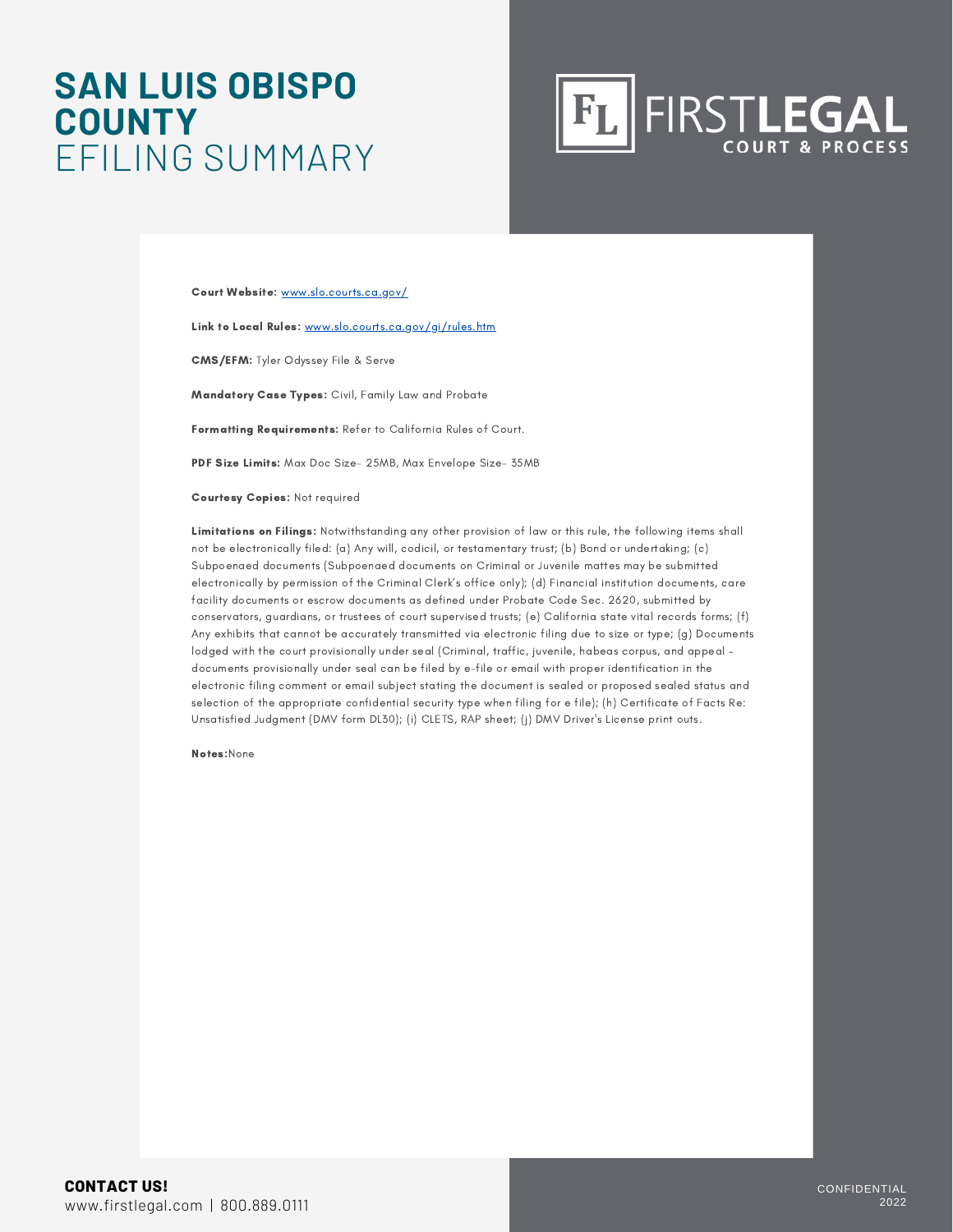### **SAN LUIS OBISPO COUNTY** EFILING SUMMARY



Court Website: www.slo.courts.ca.gov/

Link to Local Rules: www.slo.courts.ca.gov/gi/rules.htm

CMS/EFM: Tyler Odyssey File & Serve

Mandatory Case Types: Civil, Family Law and Probate

Formatting Requirements: Refer to California Rules of Court.

PDF Size Limits: Max Doc Size- 25MB, Max Envelope Size- 35MB

Courtesy Copies: Not required

Limitations on Filings: Notwithstanding any other provision of law or this rule, the following items shall not be electronically filed: (a) Any will, codicil, or testamentary trust; (b) Bond or undertaking; (c) Subpoenaed documents (Subpoenaed documents on Criminal or Juvenile mattes may be submitted electronically by permission of the Criminal Clerk's office only); (d) Financial institution documents, care facility documents or escrow documents as defined under Probate Code Sec. 2620, submitted by conservators, guardians, or trustees of court supervised trusts; (e) California state vital records forms; (f) Any exhibits that cannot be accurately transmitted via electronic filing due to size or type; (g) Documents lodged with the court provisionally under seal (Criminal, traffic, juvenile, habeas corpus, and appeal – documents provisionally under seal can be filed by e-file or email with proper identification in the electronic filing comment or email subject stating the document is sealed or proposed sealed status and selection of the appropriate confidential security type when filing for e file); (h) Certificate of Facts Re: Unsatisfied Judgment (DMV form DL30); (i) CLETS, RAP sheet; (j) DMV Driver's License print outs.

Notes:None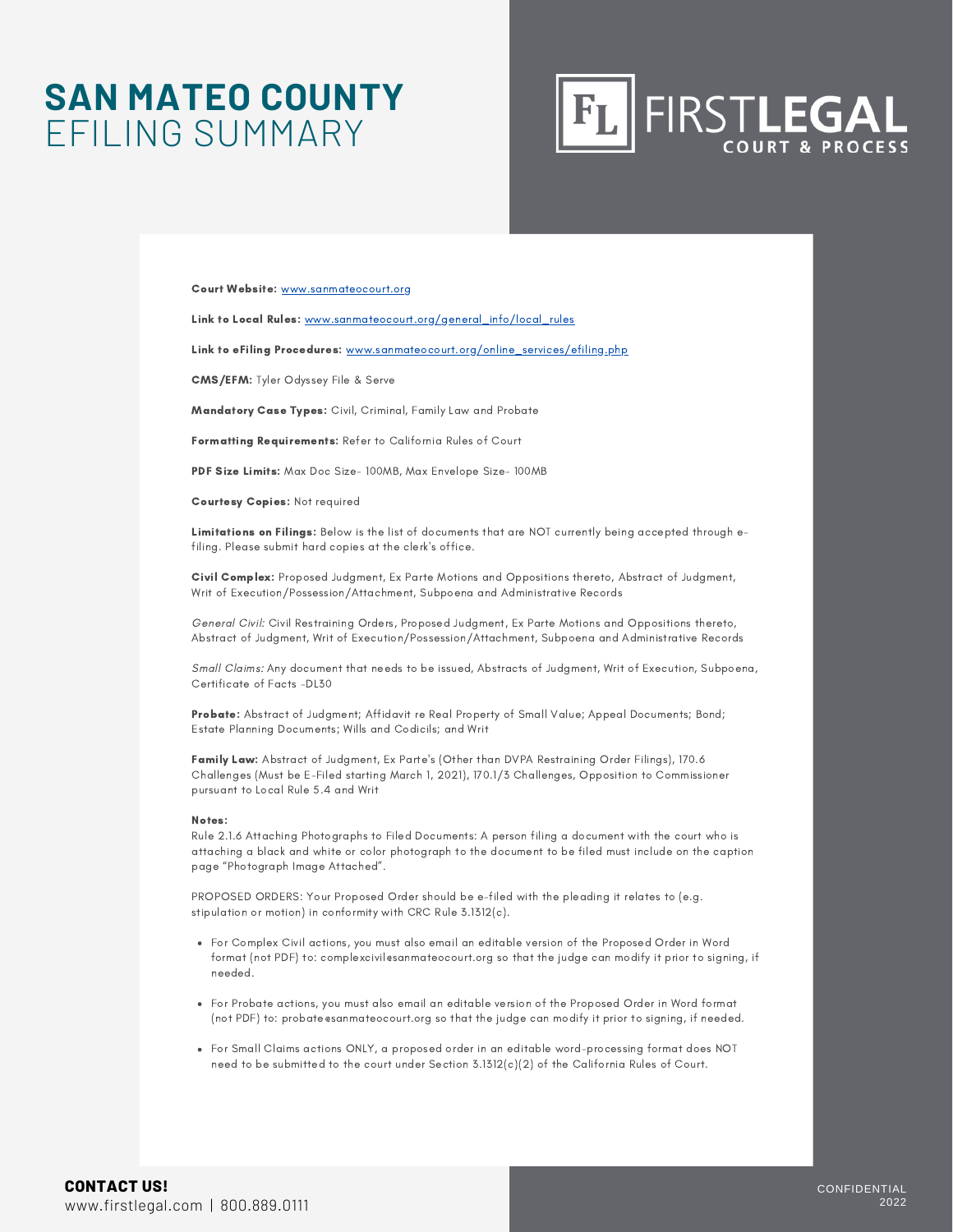### **SAN MATEO COUNTY** EFILING SUMMARY



Court Website: [www.sanmateocourt.org](http://www.sanmateocourt.org/)

Link to Local Rules: [www.sanmateocourt.org/general\\_info/local\\_rules](http://www.sanmateocourt.org/general_info/local_rules)

Link to eFiling Procedures: [www.sanmateocourt.org/online\\_services/efiling.php](http://www.sanmateocourt.org/online_services/efiling.php)

CMS/EFM: Tyler Odyssey File & Serve

Mandatory Case Types: Civil, Criminal, Family Law and Probate

Formatting Requirements: Refer to California Rules of Court

PDF Size Limits: Max Doc Size- 100MB, Max Envelope Size- 100MB

Courtesy Copies: Not required

Limitations on Filings: Below is the list of documents that are NOT currently being accepted through efiling. Please submit hard copies at the clerk's office.

Civil Complex: Proposed Judgment, Ex Parte Motions and Oppositions thereto, Abstract of Judgment, Writ of Execution/Possession/Attachment, Subpoena and Administrative Records

General Civil: Civil Restraining Orders, Proposed Judgment, Ex Parte Motions and Oppositions thereto, Abstract of Judgment, Writ of Execution/Possession/Attachment, Subpoena and Administrative Records

Small Claims: Any document that needs to be issued, Abstracts of Judgment, Writ of Execution, Subpoena, Certificate of Facts -DL30

Probate: Abstract of Judgment; Affidavit re Real Property of Small Value; Appeal Documents; Bond; Estate Planning Documents; Wills and Codicils; and Writ

Family Law: Abstract of Judgment, Ex Parte's (Other than DVPA Restraining Order Filings), 170.6 Challenges (Must be E-Filed starting March 1, 2021), 170.1/3 Challenges, Opposition to Commissioner pursuant to Local Rule 5.4 and Writ

#### Notes:

Rule 2.1.6 Attaching Photographs to Filed Documents: A person filing a document with the court who is attaching a black and white or color photograph to the document to be filed must include on the caption page "Photograph Image Attached".

PROPOSED ORDERS: Your Proposed Order should be e-filed with the pleading it relates to (e.g. stipulation or motion) in conformity with CRC Rule 3.1312(c).

- For Complex Civil actions, you must also email an editable version of the Proposed Order in Word format (not PDF) to: complexcivil@sanmateocourt.org so that the judge can modify it prior to signing, if needed.
- For Probate actions, you must also email an editable version of the Proposed Order in Word format (not PDF) to: probate@sanmateocourt.org so that the judge can modify it prior to signing, if needed.
- For Small Claims actions ONLY, a proposed order in an editable word-processing format does NOT need to be submitted to the court under Section 3.1312(c)(2) of the California Rules of Court.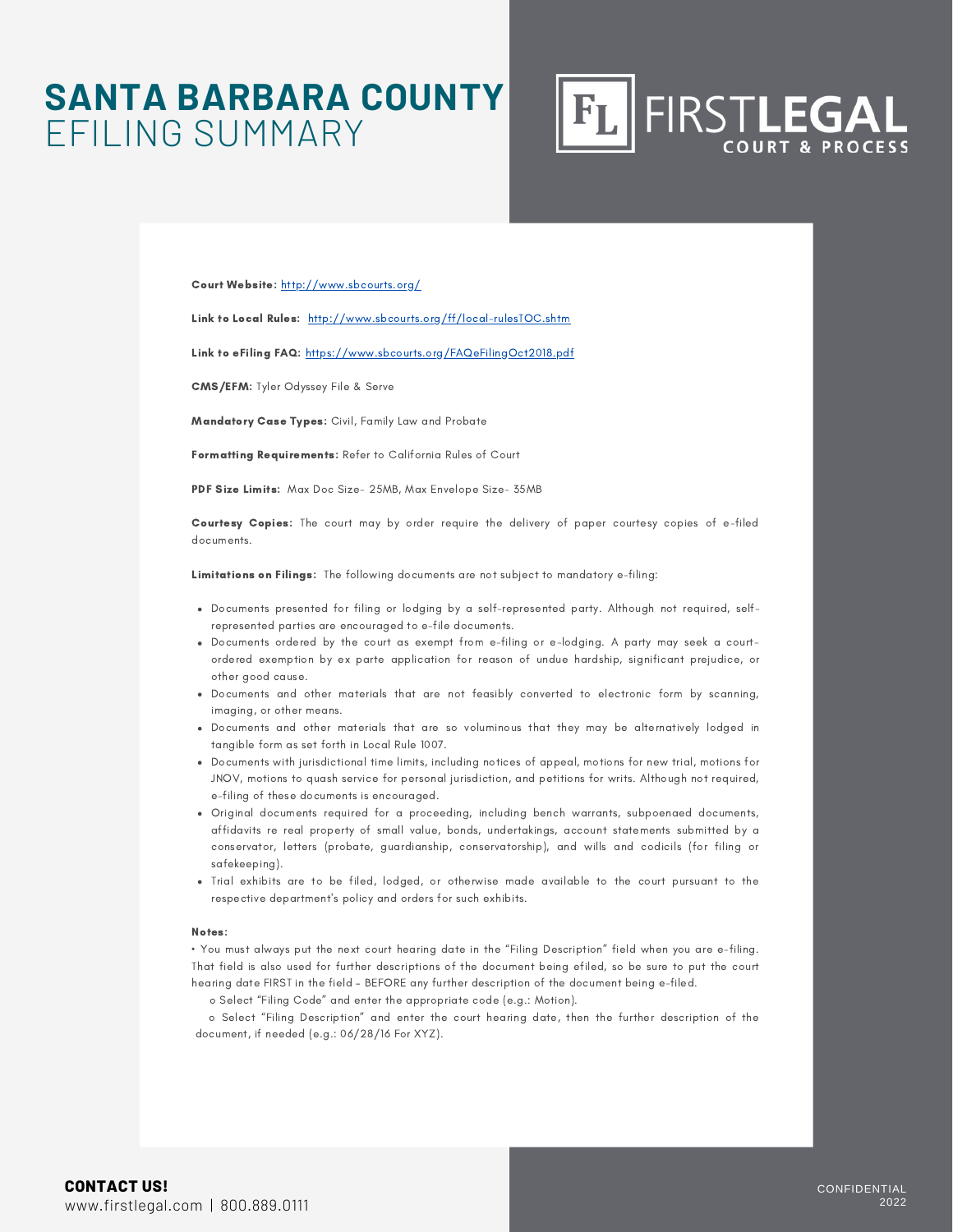### **SANTA BARBARA COUNTY** EFILING SUMMARY

Court Website: http://www.sbcourts.org/

Link to Local Rules: http://www.sbcourts.org/ff/local-rulesTOC.shtm

Link to eFiling FAQ: https://www.sbcourts.org/FAQeFilingOct2018.pdf

CMS/EFM: Tyler Odyssey File & Serve

Mandatory Case Types: Civil, Family Law and Probate

Formatting Requirements: Refer to California Rules of Court

PDF Size Limits: Max Doc Size- 25MB, Max Envelope Size- 35MB

Courtesy Copies: The court may by order require the delivery of paper courtesy copies of e-filed documents.

Limitations on Filings: The following documents are not subject to mandatory e-filing:

- Documents presented for filing or lodging by a self-represented party. Although not required, selfrepresented parties are encouraged to e-file documents.
- Documents ordered by the court as exempt from e-filing or e-lodging. A party may seek a courtordered exemption by ex parte application for reason of undue hardship, significant prejudice, or other good cause.
- Documents and other materials that are not feasibly converted to electronic form by scanning, imaging, or other means.
- Documents and other materials that are so voluminous that they may be alternatively lodged in tangible form as set forth in Local Rule 1007.
- Documents with jurisdictional time limits, including notices of appeal, motions for new trial, motions for JNOV, motions to quash service for personal jurisdiction, and petitions for writs. Although not required, e-filing of these documents is encouraged.
- Original documents required for a proceeding, including bench warrants, subpoenaed documents, affidavits re real property of small value, bonds, undertakings, account statements submitted by a conservator, letters (probate, guardianship, conservatorship), and wills and codicils (for filing or safekeeping).
- Trial exhibits are to be filed, lodged, or otherwise made available to the court pursuant to the respective department's policy and orders for such exhibits.

#### Notes:

• You must always put the next court hearing date in the "Filing Description" field when you are e-filing. That field is also used for further descriptions of the document being efiled, so be sure to put the court hearing date FIRST in the field – BEFORE any further description of the document being e-filed.

o Select "Filing Code" and enter the appropriate code (e.g.: Motion).

o Select "Filing Description" and enter the court hearing date, then the further description of the document, if needed (e.g.: 06/28/16 For XYZ).

**FIRSTLEGAL** 

 $F_{L}$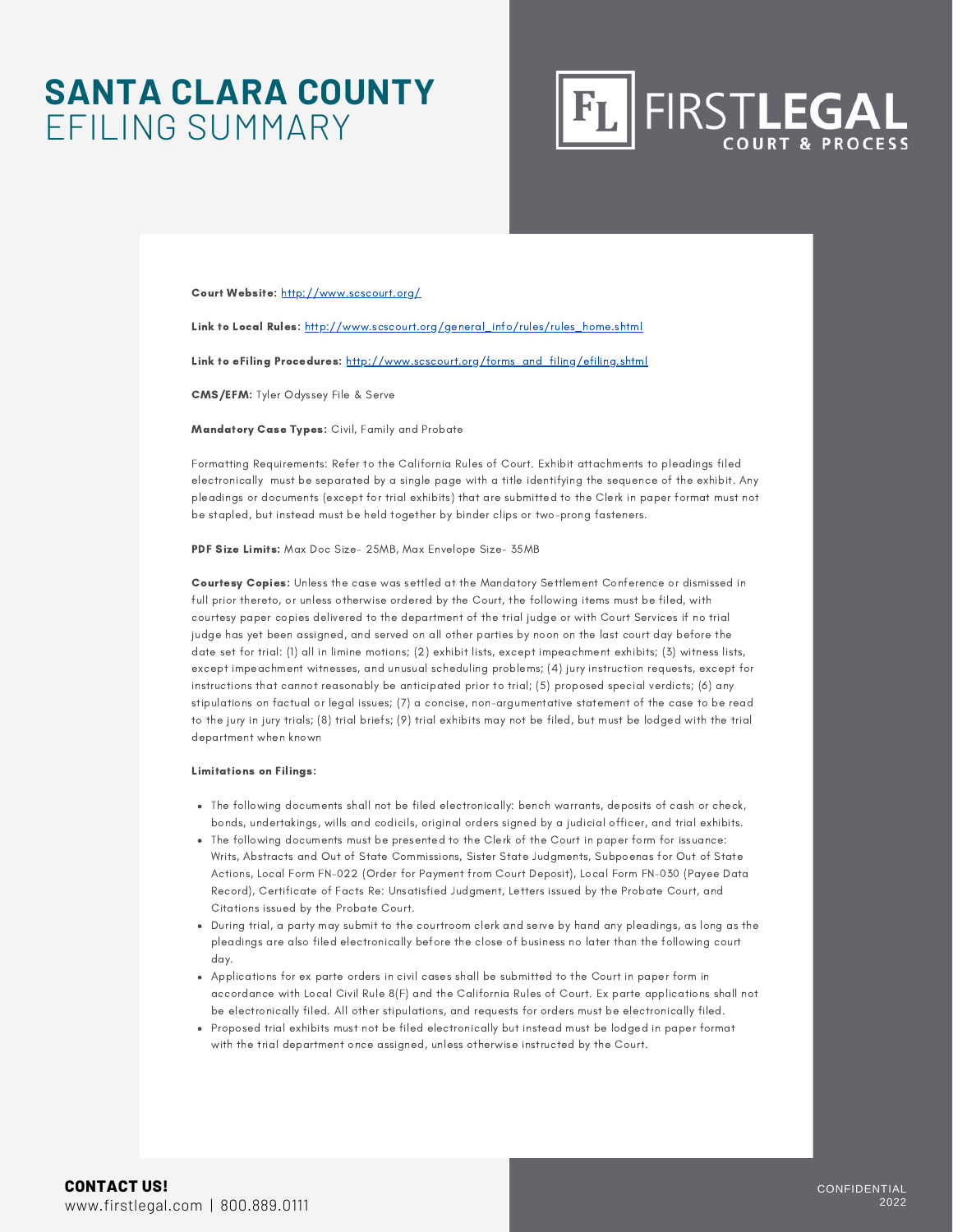### **SANTA CLARA COUNTY** EFILING SUMMARY



Court Website: <http://www.scscourt.org/>

Link to Local Rules: [http://www.scscourt.org/general\\_info/rules/rules\\_home.shtml](http://www.scscourt.org/general_info/rules/rules_home.shtml)

Link to eFiling Procedures: [http://www.scscourt.org/forms\\_and\\_filing/efiling.shtml](http://www.scscourt.org/forms_and_filing/efiling.shtml)

CMS/EFM: Tyler Odyssey File & Serve

Mandatory Case Types: Civil, Family and Probate

Formatting Requirements: Refer to the California Rules of Court. Exhibit attachments to pleadings filed electronically must be separated by a single page with a title identifying the sequence of the exhibit. Any pleadings or documents (except for trial exhibits) that are submitted to the Clerk in paper format must not be stapled, but instead must be held together by binder clips or two-prong fasteners.

PDF Size Limits: Max Doc Size- 25MB, Max Envelope Size- 35MB

Courtesy Copies: Unless the case was settled at the Mandatory Settlement Conference or dismissed in full prior thereto, or unless otherwise ordered by the Court, the following items must be filed, with courtesy paper copies delivered to the department of the trial judge or with Court Services if no trial judge has yet been assigned, and served on all other parties by noon on the last court day before the date set for trial: (1) all in limine motions; (2) exhibit lists, except impeachment exhibits; (3) witness lists, except impeachment witnesses, and unusual scheduling problems; (4) jury instruction requests, except for instructions that cannot reasonably be anticipated prior to trial; (5) proposed special verdicts; (6) any stipulations on factual or legal issues; (7) a concise, non-argumentative statement of the case to be read to the jury in jury trials; (8) trial briefs; (9) trial exhibits may not be filed, but must be lodged with the trial department when known

#### Limitations on Filings:

- The following documents shall not be filed electronically: bench warrants, deposits of cash or check, bonds, undertakings, wills and codicils, original orders signed by a judicial officer, and trial exhibits.
- The following documents must be presented to the Clerk of the Court in paper form for issuance: Writs, Abstracts and Out of State Commissions, Sister State Judgments, Subpoenas for Out of State Actions, Local Form FN-022 (Order for Payment from Court Deposit), Local Form FN-030 (Payee Data Record), Certificate of Facts Re: Unsatisfied Judgment, Letters issued by the Probate Court, and Citations issued by the Probate Court.
- During trial, a party may submit to the courtroom clerk and serve by hand any pleadings, as long as the pleadings are also filed electronically before the close of business no later than the following court day.
- Applications for ex parte orders in civil cases shall be submitted to the Court in paper form in accordance with [Local](http://www.scscourt.org/court_divisions/civil/civil_rules/civil_rule8.shtml#F) Civil Rule 8(F) and the California Rules of Court. Ex parte applications shall not be electronically filed. All other stipulations, and requests for orders must be electronically filed.
- Proposed trial exhibits must not be filed electronically but instead must be lodged in paper format with the trial department once assigned, unless otherwise instructed by the Court.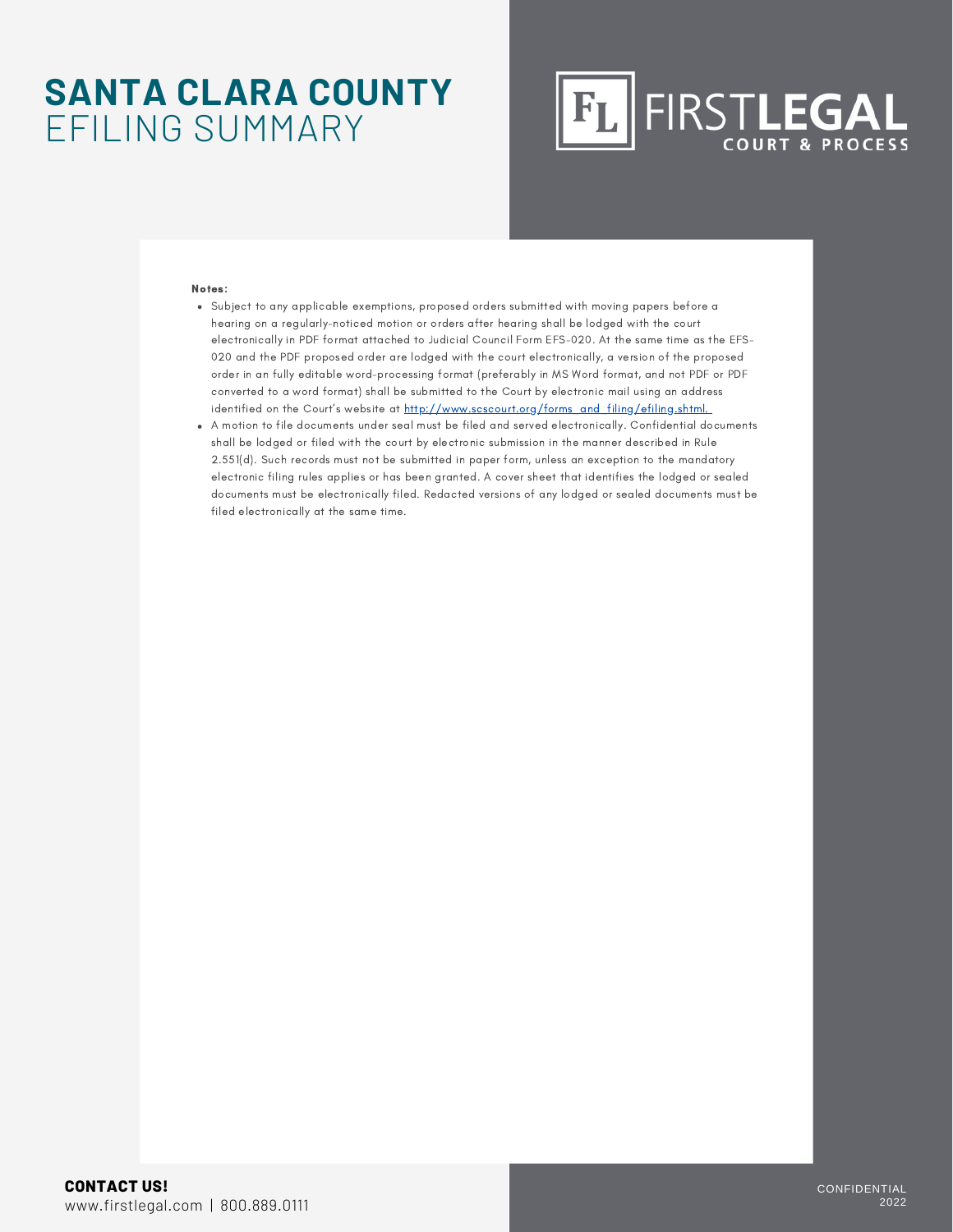### **SANTA CLARA COUNTY** EFILING SUMMARY

### FIRSTLEGAL  $|F_L|$

#### Notes:

- Subject to any applicable exemptions, proposed orders submitted with moving papers before a hearing on a regularly-noticed motion or orders after hearing shall be lodged with the court electronically in PDF format attached to Judicial Council Form EFS-020. At the same time as the EFS-020 and the PDF proposed order are lodged with the court electronically, a version of the proposed order in an fully editable word-processing format (preferably in MS Word format, and not PDF or PDF converted to a word format) shall be submitted to the Court by electronic mail using an address identified on the Court's website at [http://www.scscourt.org/forms\\_and\\_filing/efiling.shtml.](http://www.scscourt.org/forms_and_filing/efiling.shtml)
- A motion to file documents under seal must be filed and served electronically. Confidential documents shall be lodged or filed with the court by electronic submission in the manner described in Rule 2.551(d). Such records must not be submitted in paper form, unless an exception to the mandatory electronic filing rules applies or has been granted. A cover sheet that identifies the lodged or sealed documents must be electronically filed. Redacted versions of any lodged or sealed documents must be filed electronically at the same time.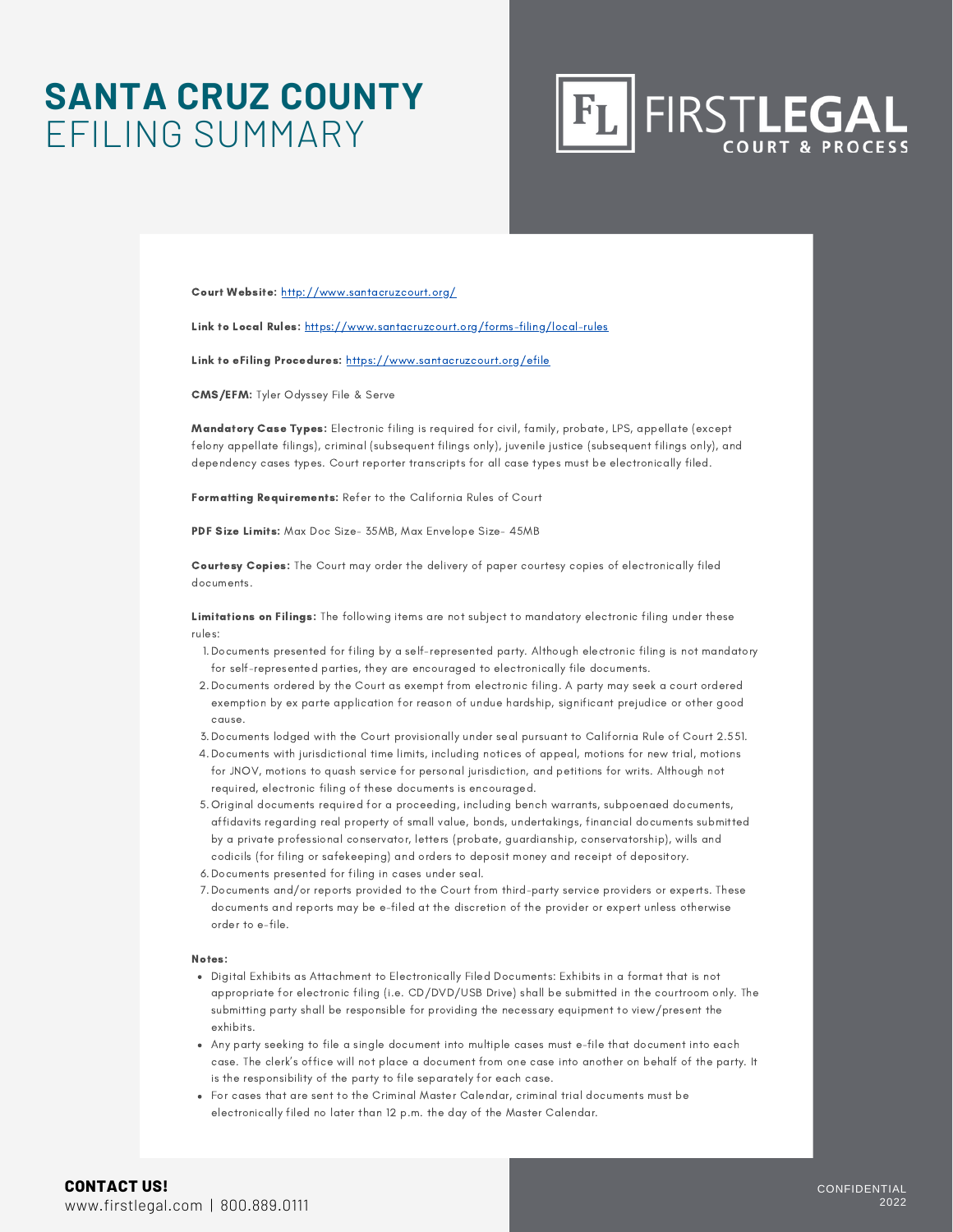### **SANTA CRUZ COUNTY** EFILING SUMMARY



Court Website: <http://www.santacruzcourt.org/>

Link to Local Rules: <https://www.santacruzcourt.org/forms-filing/local-rules>

Link to eFiling Procedures: <https://www.santacruzcourt.org/efile>

CMS/EFM: Tyler Odyssey File & Serve

Mandatory Case Types: Electronic filing is required for civil, family, probate, LPS, appellate (except felony appellate filings), criminal (subsequent filings only), juvenile justice (subsequent filings only), and dependency cases types. Court reporter transcripts for all case types must be electronically filed.

Formatting Requirements: Refer to the California Rules of Court

PDF Size Limits: Max Doc Size- 35MB, Max Envelope Size- 45MB

Courtesy Copies: The Court may order the delivery of paper courtesy copies of electronically filed documents.

Limitations on Filings: The following items are not subject to mandatory electronic filing under these rules:

- 1. Documents presented for filing by a self-represented party. Although electronic filing is not mandatory for self-represented parties, they are encouraged to electronically file documents.
- Documents ordered by the Court as exempt from electronic filing. A party may seek a court ordered 2. exemption by ex parte application for reason of undue hardship, significant prejudice or other good cause.
- Documents lodged with the Court provisionally under seal pursuant to California Rule of Court 2.551. 3.
- Documents with jurisdictional time limits, including notices of appeal, motions for new trial, motions 4. for JNOV, motions to quash service for personal jurisdiction, and petitions for writs. Although not required, electronic filing of these documents is encouraged.
- Original documents required for a proceeding, including bench warrants, subpoenaed documents, 5. affidavits regarding real property of small value, bonds, undertakings, financial documents submitted by a private professional conservator, letters (probate, guardianship, conservatorship), wills and codicils (for filing or safekeeping) and orders to deposit money and receipt of depository.
- 6.Documents presented for filing in cases under seal.
- Documents and/or reports provided to the Court from third-party service providers or experts. These 7. documents and reports may be e-filed at the discretion of the provider or expert unless otherwise order to e-file.

#### Notes:

- Digital Exhibits as Attachment to Electronically Filed Documents: Exhibits in a format that is not appropriate for electronic filing (i.e. CD/DVD/USB Drive) shall be submitted in the courtroom only. The submitting party shall be responsible for providing the necessary equipment to view/present the exhibits.
- Any party seeking to file a single document into multiple cases must e-file that document into each case. The clerk's office will not place a document from one case into another on behalf of the party. It is the responsibility of the party to file separately for each case.
- For cases that are sent to the Criminal Master Calendar, criminal trial documents must be electronically filed no later than 12 p.m. the day of the Master Calendar.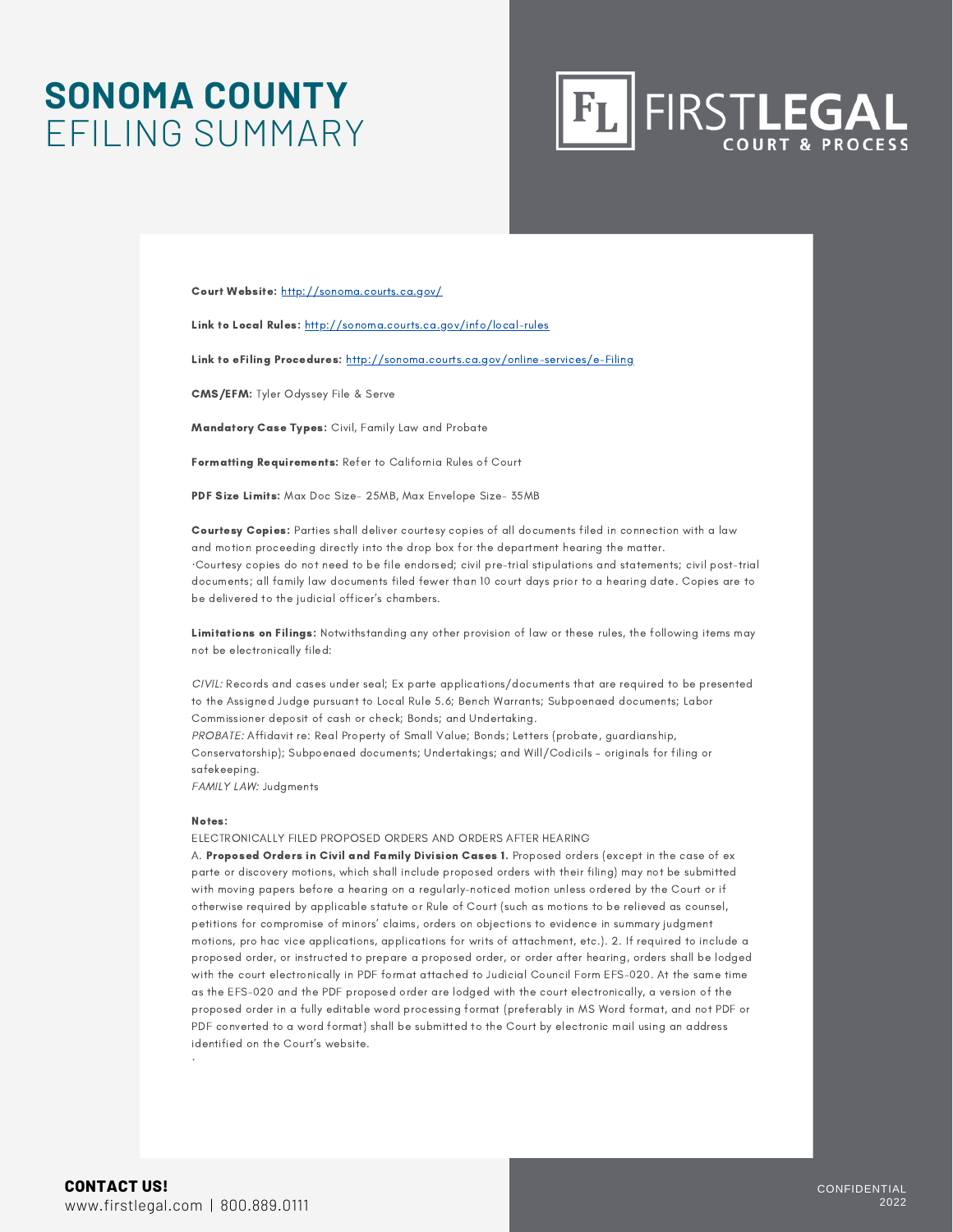### **SONOMA COUNTY** EFILING SUMMARY



Court Website: <http://sonoma.courts.ca.gov/>

Link to Local Rules: <http://sonoma.courts.ca.gov/info/local-rules>

Link to eFiling Procedures: <http://sonoma.courts.ca.gov/online-services/e-Filing>

CMS/EFM: Tyler Odyssey File & Serve

Mandatory Case Types: Civil, Family Law and Probate

Formatting Requirements: Refer to California Rules of Court

PDF Size Limits: Max Doc Size- 25MB, Max Envelope Size- 35MB

Courtesy Copies: Parties shall deliver courtesy copies of all documents filed in connection with a law and motion proceeding directly into the drop box for the department hearing the matter. ·Courtesy copies do not need to be file endorsed; civil pre-trial stipulations and statements; civil post-trial documents; all family law documents filed fewer than 10 court days prior to a hearing date. Copies are to be delivered to the judicial officer's chambers.

Limitations on Filings: Notwithstanding any other provision of law or these rules, the following items may not be electronically filed:

CIVIL: Records and cases under seal; Ex parte applications/documents that are required to be presented to the Assigned Judge pursuant to Local Rule 5.6; Bench Warrants; Subpoenaed documents; Labor Commissioner deposit of cash or check; Bonds; and Undertaking. PROBATE: Affidavit re: Real Property of Small Value; Bonds; Letters (probate, guardianship,

Conservatorship); Subpoenaed documents; Undertakings; and Will/Codicils – originals for filing or safekeeping.

FAMILY LAW: Judgments

#### Notes:

ELECTRONICALLY FILED PROPOSED ORDERS AND ORDERS AFTER HEARING

A. Proposed Orders in Civil and Family Division Cases 1. Proposed orders (except in the case of ex parte or discovery motions, which shall include proposed orders with their filing) may not be submitted with moving papers before a hearing on a regularly-noticed motion unless ordered by the Court or if otherwise required by applicable statute or Rule of Court (such as motions to be relieved as counsel, petitions for compromise of minors' claims, orders on objections to evidence in summary judgment motions, pro hac vice applications, applications for writs of attachment, etc.). 2. If required to include a proposed order, or instructed to prepare a proposed order, or order after hearing, orders shall be lodged with the court electronically in PDF format attached to Judicial Council Form EFS-020. At the same time as the EFS-020 and the PDF proposed order are lodged with the court electronically, a version of the proposed order in a fully editable word processing format (preferably in MS Word format, and not PDF or PDF converted to a word format) shall be submitted to the Court by electronic mail using an address identified on the Court's website.

·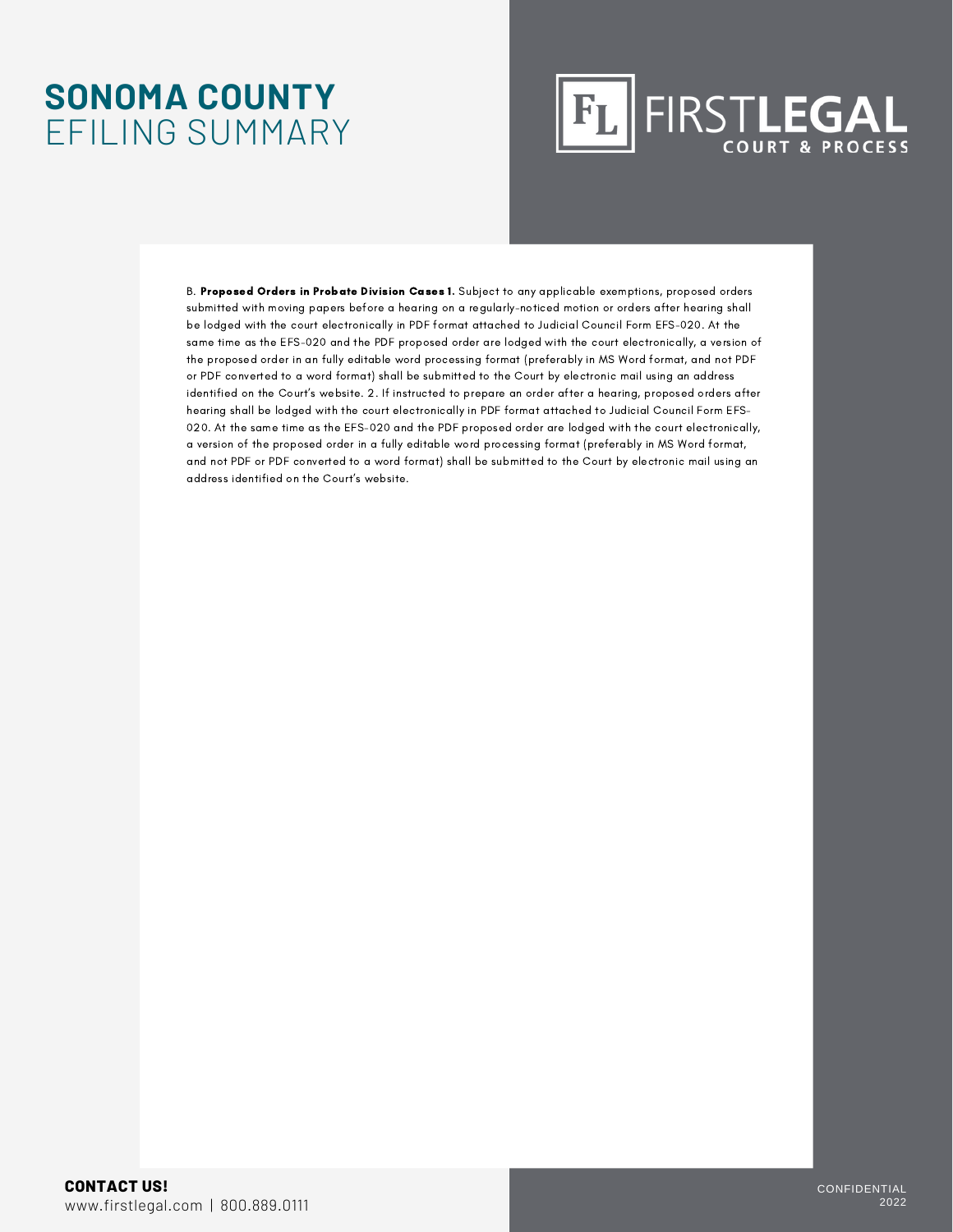### **SONOMA COUNTY** EFILING SUMMARY

### FIRST**LEGAL**  $|F_L|$

B. Proposed Orders in Probate Division Cases 1. Subject to any applicable exemptions, proposed orders submitted with moving papers before a hearing on a regularly-noticed motion or orders after hearing shall be lodged with the court electronically in PDF format attached to Judicial Council Form EFS-020. At the same time as the EFS-020 and the PDF proposed order are lodged with the court electronically, a version of the proposed order in an fully editable word processing format (preferably in MS Word format, and not PDF or PDF converted to a word format) shall be submitted to the Court by electronic mail using an address identified on the Court's website. 2. If instructed to prepare an order after a hearing, proposed orders after hearing shall be lodged with the court electronically in PDF format attached to Judicial Council Form EFS-020. At the same time as the EFS-020 and the PDF proposed order are lodged with the court electronically, a version of the proposed order in a fully editable word processing format (preferably in MS Word format, and not PDF or PDF converted to a word format) shall be submitted to the Court by electronic mail using an address identified on the Court's website.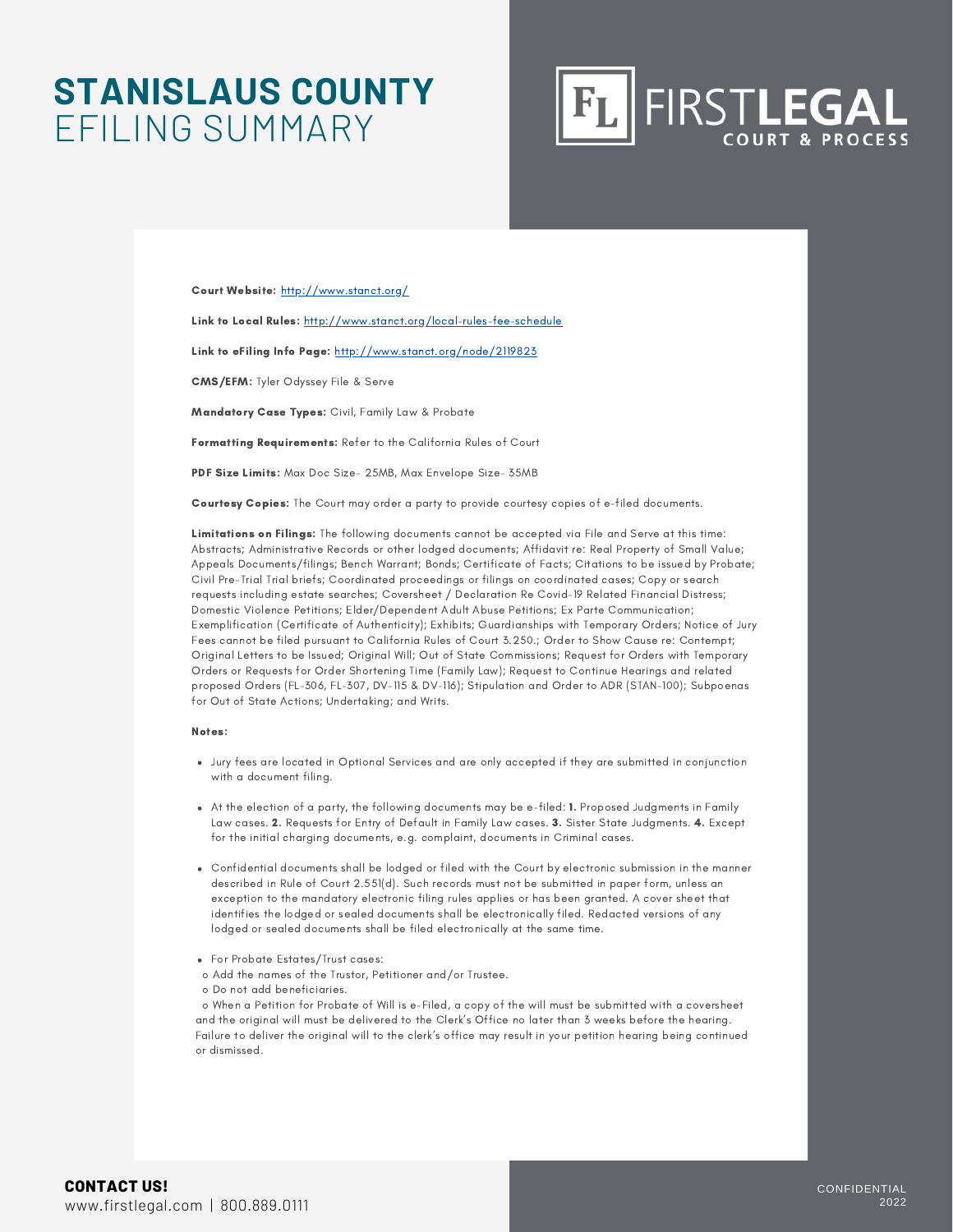### **STANISLAUS COUNTY** EFILING SUMMARY



Court Website: <http://www.stanct.org/>

Link to Local Rules: <http://www.stanct.org/local-rules-fee-schedule>

Link to eFiling Info Page: <http://www.stanct.org/node/2119823>

CMS/EFM: Tyler Odyssey File & Serve

Mandatory Case Types: Civil, Family Law & Probate

Formatting Requirements: Refer to the California Rules of Court

PDF Size Limits: Max Doc Size- 25MB, Max Envelope Size- 35MB

Courtesy Copies: The Court may order a party to provide courtesy copies of e-filed documents.

Limitations on Filings: The following documents cannot be accepted via File and Serve at this time: Abstracts; Administrative Records or other lodged documents; Affidavit re: Real Property of Small Value; Appeals Documents/filings; Bench Warrant; Bonds; Certificate of Facts; Citations to be issued by Probate; Civil Pre-Trial Trial briefs; Coordinated proceedings or filings on coordinated cases; Copy or search requests including estate searches; Coversheet / Declaration Re Covid-19 Related Financial Distress; Domestic Violence Petitions; Elder/Dependent Adult Abuse Petitions; Ex Parte Communication; Exemplification (Certificate of Authenticity); Exhibits; Guardianships with Temporary Orders; Notice of Jury Fees cannot be filed pursuant to California Rules of Court 3.250.; Order to Show Cause re: Contempt; Original Letters to be Issued; Original Will; Out of State Commissions; Request for Orders with Temporary Orders or Requests for Order Shortening Time (Family Law); Request to Continue Hearings and related proposed Orders (FL-306, FL-307, DV-115 & DV-116); Stipulation and Order to ADR (STAN-100); Subpoenas for Out of State Actions; Undertaking; and Writs.

#### Notes:

- Jury fees are located in Optional Services and are only accepted if they are submitted in conjunction with a document filing.
- At the election of a party, the following documents may be e-filed: 1. Proposed Judgments in Family Law cases. 2. Requests for Entry of Default in Family Law cases. 3. Sister State Judgments. 4. Except for the initial charging documents, e.g. complaint, documents in Criminal cases.
- Confidential documents shall be lodged or filed with the Court by electronic submission in the manner described in Rule of Court 2.551(d). Such records must not be submitted in paper form, unless an exception to the mandatory electronic filing rules applies or has been granted. A cover sheet that identifies the lodged or sealed documents shall be electronically filed. Redacted versions of any lodged or sealed documents shall be filed electronically at the same time.
- For Probate Estates/Trust cases:
- o Add the names of the Trustor, Petitioner and/or Trustee.
- o Do not add beneficiaries.

o When a Petition for Probate of Will is e-Filed, a copy of the will must be submitted with a coversheet and the original will must be delivered to the Clerk's Office no later than 3 weeks before the hearing. Failure to deliver the original will to the clerk's office may result in your petition hearing being continued or dismissed.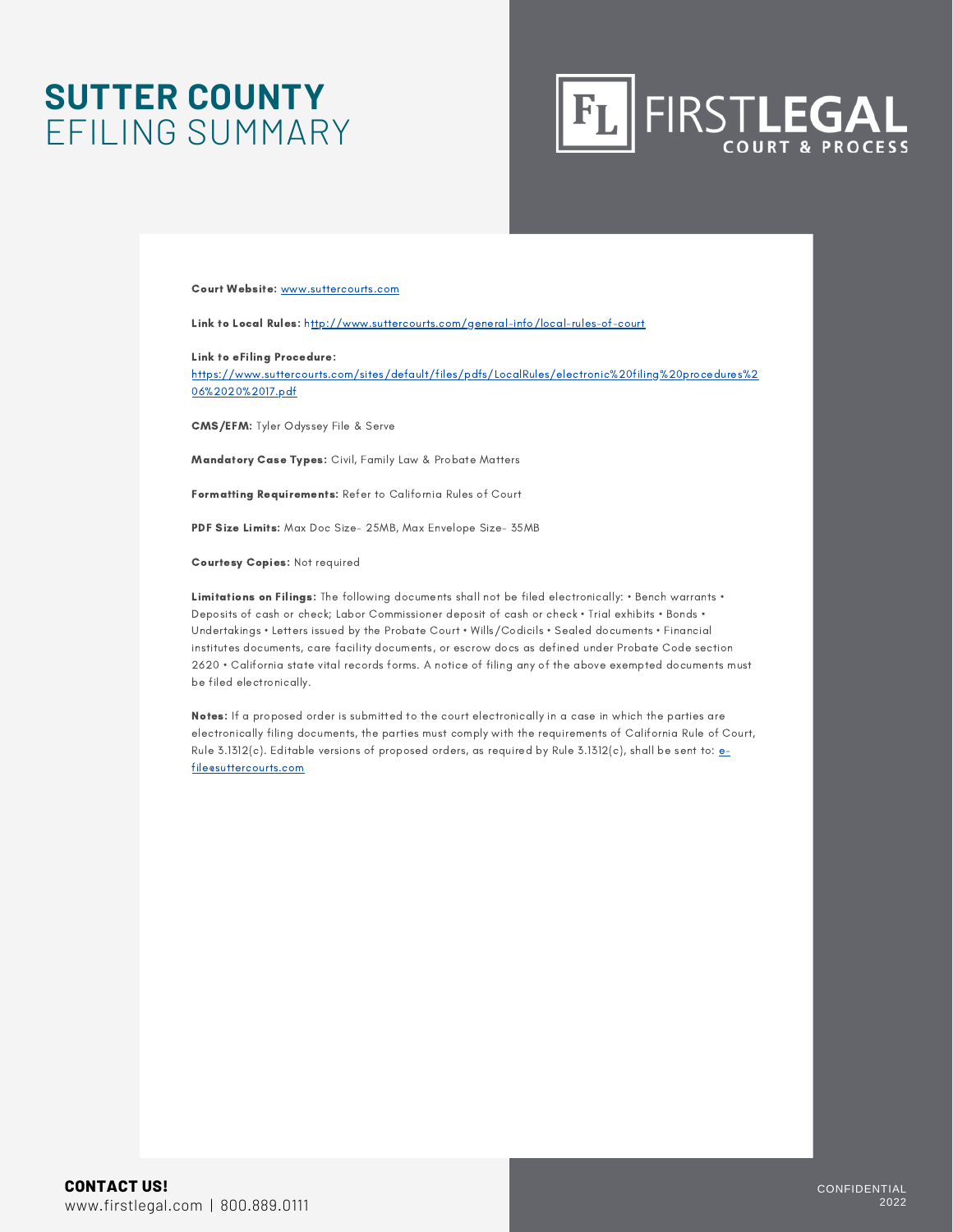### **SUTTER COUNTY** EFILING SUMMARY

## **FL FIRSTLEGAL**

#### Court Website: www.suttercourts.com

Link to Local Rules: http://www.suttercourts.com/general-info/local-rules-of-court

Link to eFiling Procedure:

https://www.suttercourts.com/sites/default/files/pdfs/LocalRules/electronic%20filing%20procedures%2 06%2020%2017.pdf

CMS/EFM: Tyler Odyssey File & Serve

Mandatory Case Types: Civil, Family Law & Probate Matters

Formatting Requirements: Refer to California Rules of Court

PDF Size Limits: Max Doc Size- 25MB, Max Envelope Size- 35MB

Courtesy Copies: Not required

Limitations on Filings: The following documents shall not be filed electronically: • Bench warrants • Deposits of cash or check; Labor Commissioner deposit of cash or check • Trial exhibits • Bonds • Undertakings • Letters issued by the Probate Court • Wills/Codicils • Sealed documents • Financial institutes documents, care facility documents, or escrow docs as defined under Probate Code section 2620 • California state vital records forms. A notice of filing any of the above exempted documents must be filed electronically.

Notes: If a proposed order is submitted to the court electronically in a case in which the parties are electronically filing documents, the parties must comply with the requirements of California Rule of Court, Rule 3.1312(c). Editable versions of proposed orders, as required by Rule 3.1312(c), shall be sent to:  $e$ file@suttercourts.com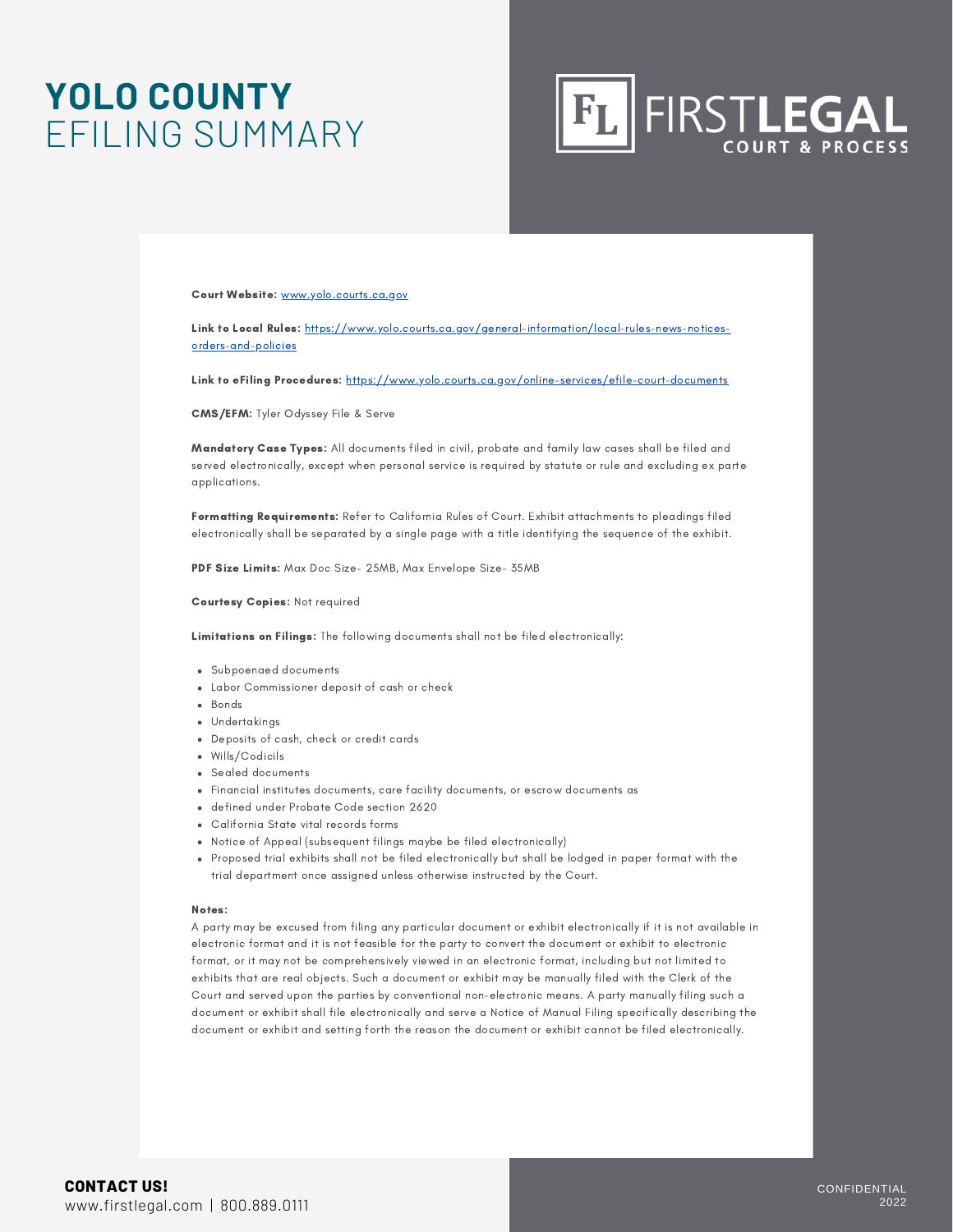### **YOLO COUNTY** EFILING SUMMARY



Court Website: [www.yolo.courts.ca.gov](http://www.yolo.courts.ca.gov/)

Link to Local Rules: [https://www.yolo.courts.ca.gov/general-information/local-rules-news-notices](https://www.yolo.courts.ca.gov/general-information/local-rules-news-notices-orders-and-policies)orders-and-policies

Link to eFiling Procedures: <https://www.yolo.courts.ca.gov/online-services/efile-court-documents>

CMS/EFM: Tyler Odyssey File & Serve

Mandatory Case Types: All documents filed in civil, probate and family law cases shall be filed and served electronically, except when personal service is required by statute or rule and excluding ex parte applications.

Formatting Requirements: Refer to California Rules of Court. Exhibit attachments to pleadings filed electronically shall be separated by a single page with a title identifying the sequence of the exhibit.

PDF Size Limits: Max Doc Size- 25MB, Max Envelope Size- 35MB

Courtesy Copies: Not required

Limitations on Filings: The following documents shall not be filed electronically:

- Subpoenaed documents
- Labor Commissioner deposit of cash or check
- Bonds
- Undertakings
- Deposits of cash, check or credit cards
- Wills/Codicils
- Sealed documents
- Financial institutes documents, care facility documents, or escrow documents as
- defined under Probate Code section 2620
- California State vital records forms
- Notice of Appeal (subsequent filings maybe be filed electronically)
- Proposed trial exhibits shall not be filed electronically but shall be lodged in paper format with the trial department once assigned unless otherwise instructed by the Court.

#### Notes:

A party may be excused from filing any particular document or exhibit electronically if it is not available in electronic format and it is not feasible for the party to convert the document or exhibit to electronic format, or it may not be comprehensively viewed in an electronic format, including but not limited to exhibits that are real objects. Such a document or exhibit may be manually filed with the Clerk of the Court and served upon the parties by conventional non-electronic means. A party manually filing such a document or exhibit shall file electronically and serve a Notice of Manual Filing specifically describing the document or exhibit and setting forth the reason the document or exhibit cannot be filed electronically.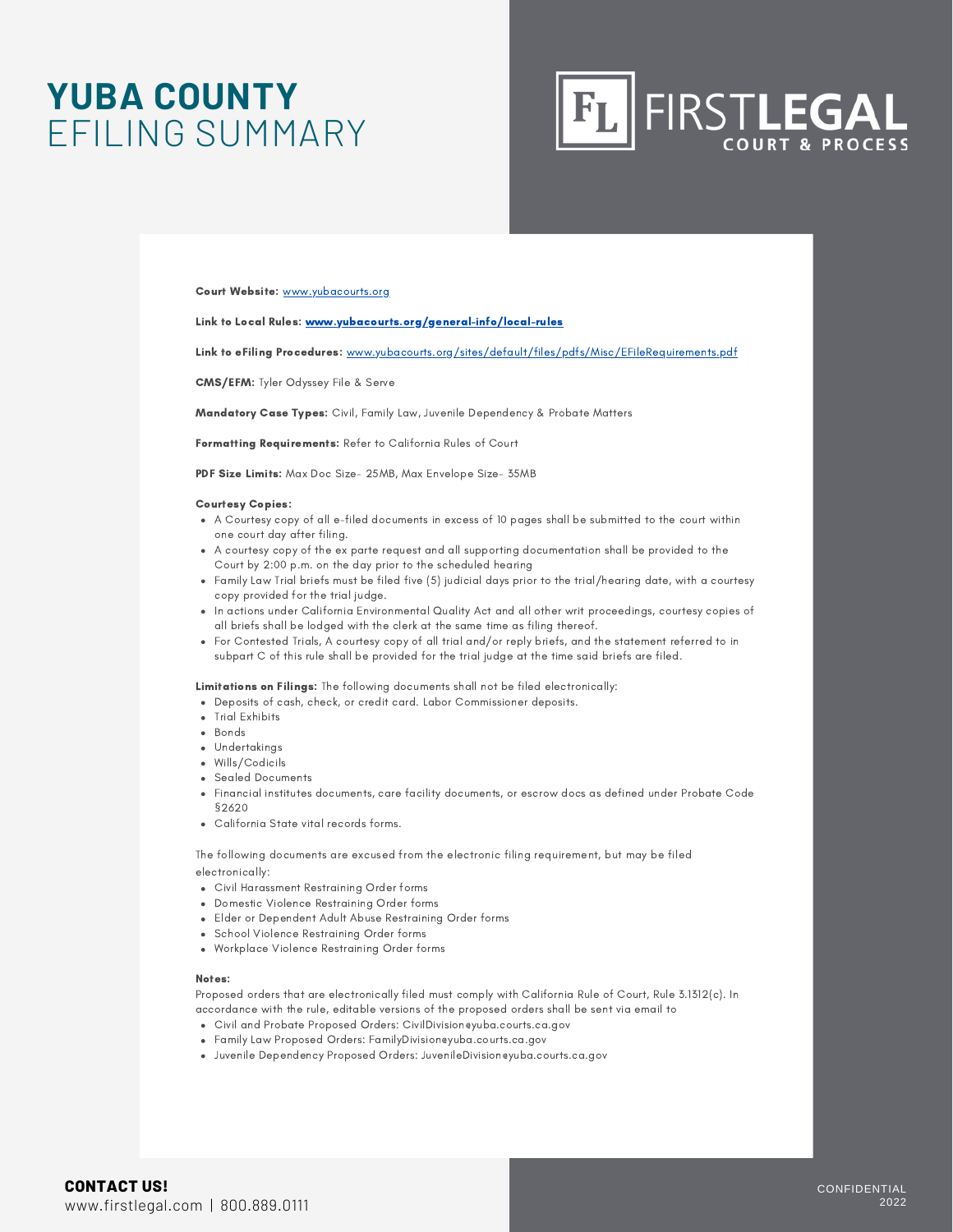### **YUBA COUNTY** EFILING SUMMARY



#### Court Website: [www.yubacourts.org](http://www.yubacourts.org/)

#### Link to Local Rules: [www.yubacourts.org/general-info/local-rules](http://www.yubacourts.org/general-info/local-rules)

Link to eFiling Procedures: [www.yubacourts.org/sites/default/files/pdfs/Misc/EFileRequirements.pdf](http://www.yubacourts.org/sites/default/files/pdfs/Misc/EFileRequirements.pdf)

CMS/EFM: Tyler Odyssey File & Serve

Mandatory Case Types: Civil, Family Law, Juvenile Dependency & Probate Matters

Formatting Requirements: Refer to California Rules of Court

PDF Size Limits: Max Doc Size- 25MB, Max Envelope Size- 35MB

#### Courtesy Copies:

- A Courtesy copy of all e-filed documents in excess of 10 pages shall be submitted to the court within one court day after filing.
- A courtesy copy of the ex parte request and all supporting documentation shall be provided to the Court by 2:00 p.m. on the day prior to the scheduled hearing
- Family Law Trial briefs must be filed five (5) judicial days prior to the trial/hearing date, with a courtesy copy provided for the trial judge.
- . In actions under California Environmental Quality Act and all other writ proceedings, courtesy copies of all briefs shall be lodged with the clerk at the same time as filing thereof.
- For Contested Trials, A courtesy copy of all trial and/or reply briefs, and the statement referred to in subpart C of this rule shall be provided for the trial judge at the time said briefs are filed.

Limitations on Filings: The following documents shall not be filed electronically:

- Deposits of cash, check, or credit card. Labor Commissioner deposits.
- Trial Exhibits
- Bonds
- Undertakings
- Wills/Codicils
- Sealed Documents
- Financial institutes documents, care facility documents, or escrow docs as defined under Probate Code §2620
- California State vital records forms.

The following documents are excused from the electronic filing requirement, but may be filed electronically:

- Civil Harassment Restraining Order forms
- Domestic Violence Restraining Order forms
- Elder or Dependent Adult Abuse Restraining Order forms
- School Violence Restraining Order forms
- Workplace Violence Restraining Order forms

#### Notes:

Proposed orders that are electronically filed must comply with California Rule of Court, Rule 3.1312(c). In accordance with the rule, editable versions of the proposed orders shall be sent via email to

- Civil and Probate Proposed Orders: CivilDivision@yuba.courts.ca.gov
- Family Law Proposed Orders: FamilyDivision@yuba.courts.ca.gov
- Juvenile Dependency Proposed Orders: JuvenileDivision@yuba.courts.ca.gov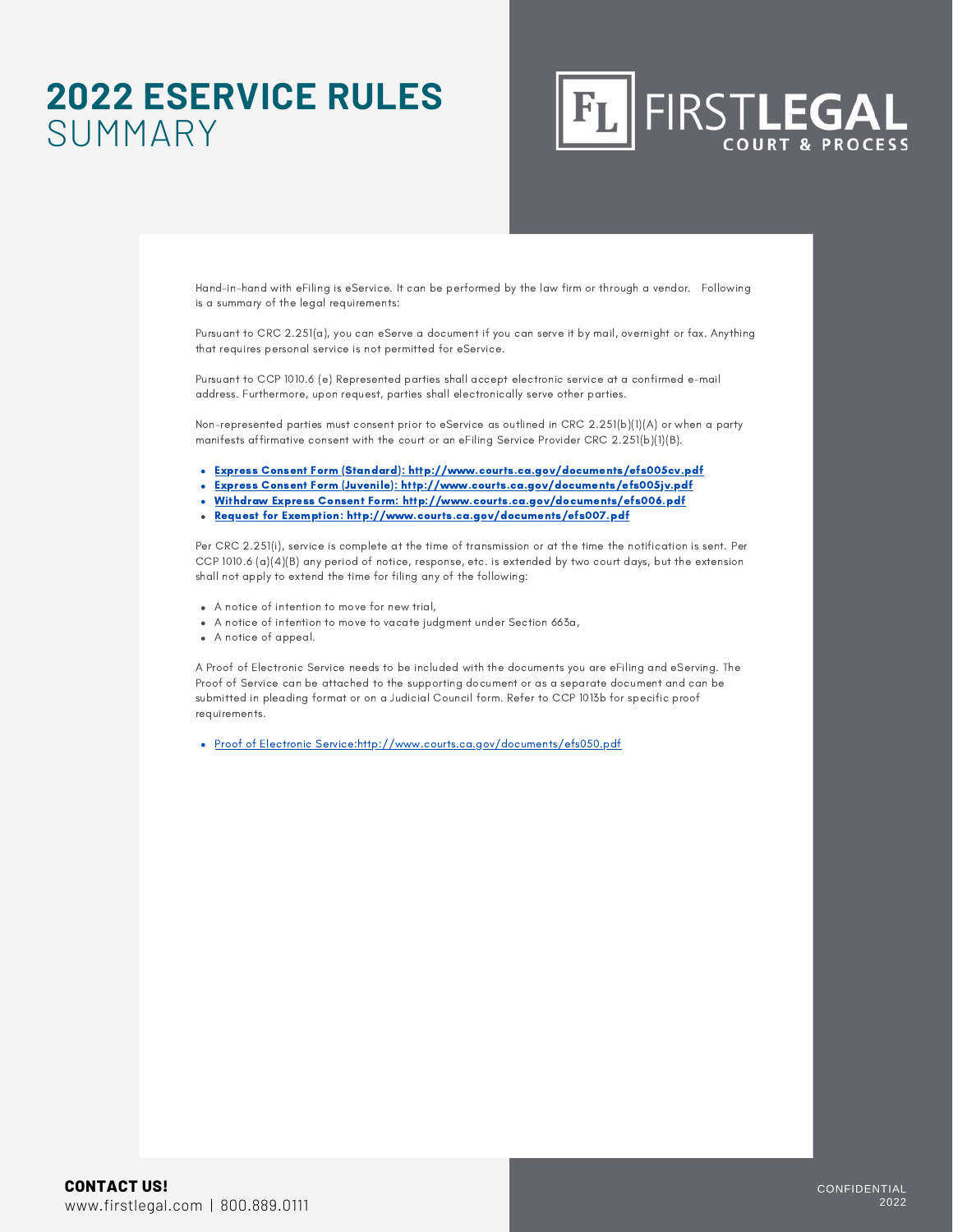### **2022 ESERVICE RULES** SUMMARY



Hand-in-hand with eFiling is eService. It can be performed by the law firm or through a vendor. Following is a summary of the legal requirements:

Pursuant to CRC 2.251(a), you can eServe a document if you can serve it by mail, overnight or fax. Anything that requires personal service is not permitted for eService.

Pursuant to CCP 1010.6 (e) Represented parties shall accept electronic service at a confirmed e-mail address. Furthermore, upon request, parties shall electronically serve other parties.

Non-represented parties must consent prior to eService as outlined in CRC 2.251(b)(1)(A) or when a party manifests affirmative consent with the court or an eFiling Service Provider CRC 2.251(b)(1)(B).

- Express Consent Form (Standard): <http://www.courts.ca.gov/documents/efs005cv.pdf>
- Express Consent Form (Juvenile): <http://www.courts.ca.gov/documents/efs005jv.pdf>
- Withdraw Express Consent Form: <http://www.courts.ca.gov/documents/efs006.pdf>
- Request for Exemption: <http://www.courts.ca.gov/documents/efs007.pdf>

Per CRC 2.251(i), service is complete at the time of transmission or at the time the notification is sent. Per CCP 1010.6 (a)(4)(B) any period of notice, response, etc. is extended by two court days, but the extension shall not apply to extend the time for filing any of the following:

- A notice of intention to move for new trial,
- A notice of intention to move to vacate judgment under Section 663a,
- A notice of appeal.

A Proof of Electronic Service needs to be included with the documents you are eFiling and eServing. The Proof of Service can be attached to the supporting document or as a separate document and can be submitted in pleading format or on a Judicial Council form. Refer to CCP 1013b for specific proof requirements.

Proof of Electronic Service:<http://www.courts.ca.gov/documents/efs050.pdf>